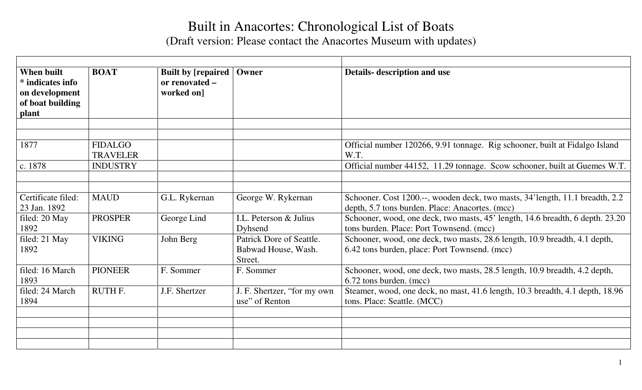## Built in Anacortes: Chronological List of Boats

(Draft version: Please contact the Anacortes Museum with updates)

| <b>When built</b><br>* indicates info<br>on development<br>of boat building<br>plant | <b>BOAT</b>                       | <b>Built by [repaired</b><br>or renovated -<br>worked on] | Owner                                                      | <b>Details-</b> description and use                                                                                             |
|--------------------------------------------------------------------------------------|-----------------------------------|-----------------------------------------------------------|------------------------------------------------------------|---------------------------------------------------------------------------------------------------------------------------------|
| 1877                                                                                 | <b>FIDALGO</b><br><b>TRAVELER</b> |                                                           |                                                            | Official number 120266, 9.91 tonnage. Rig schooner, built at Fidalgo Island<br>W.T.                                             |
| c. 1878                                                                              | <b>INDUSTRY</b>                   |                                                           |                                                            | Official number 44152, 11.29 tonnage. Scow schooner, built at Guemes W.T.                                                       |
| Certificate filed:<br>23 Jan. 1892                                                   | <b>MAUD</b>                       | G.L. Rykernan                                             | George W. Rykernan                                         | Schooner. Cost 1200.--, wooden deck, two masts, 34'length, 11.1 breadth, 2.2<br>depth, 5.7 tons burden. Place: Anacortes. (mcc) |
| filed: 20 May<br>1892                                                                | <b>PROSPER</b>                    | George Lind                                               | I.L. Peterson & Julius<br>Dyhsend                          | Schooner, wood, one deck, two masts, 45' length, 14.6 breadth, 6 depth. 23.20<br>tons burden. Place: Port Townsend. (mcc)       |
| filed: 21 May<br>1892                                                                | <b>VIKING</b>                     | John Berg                                                 | Patrick Dore of Seattle.<br>Babwad House, Wash.<br>Street. | Schooner, wood, one deck, two masts, 28.6 length, 10.9 breadth, 4.1 depth,<br>6.42 tons burden, place: Port Townsend. (mcc)     |
| filed: 16 March<br>1893                                                              | <b>PIONEER</b>                    | F. Sommer                                                 | F. Sommer                                                  | Schooner, wood, one deck, two masts, 28.5 length, 10.9 breadth, 4.2 depth,<br>6.72 tons burden. (mcc)                           |
| filed: 24 March<br>1894                                                              | RUTH F.                           | J.F. Shertzer                                             | J. F. Shertzer, "for my own<br>use" of Renton              | Steamer, wood, one deck, no mast, 41.6 length, 10.3 breadth, 4.1 depth, 18.96<br>tons. Place: Seattle. (MCC)                    |
|                                                                                      |                                   |                                                           |                                                            |                                                                                                                                 |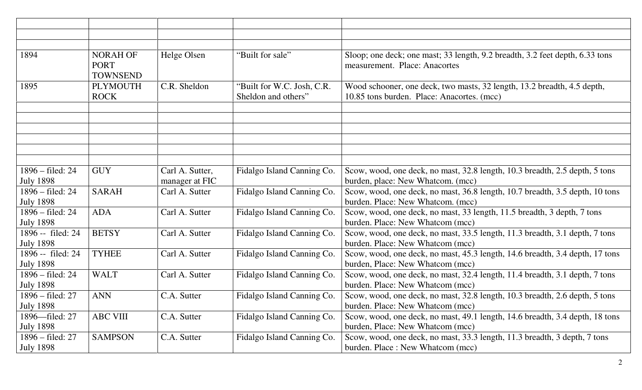| 1894                       | <b>NORAH OF</b><br><b>PORT</b><br><b>TOWNSEND</b> | Helge Olsen     | "Built for sale"           | Sloop; one deck; one mast; 33 length, 9.2 breadth, 3.2 feet depth, 6.33 tons<br>measurement. Place: Anacortes |
|----------------------------|---------------------------------------------------|-----------------|----------------------------|---------------------------------------------------------------------------------------------------------------|
| 1895                       | <b>PLYMOUTH</b>                                   | C.R. Sheldon    | "Built for W.C. Josh, C.R. | Wood schooner, one deck, two masts, 32 length, 13.2 breadth, 4.5 depth,                                       |
|                            | <b>ROCK</b>                                       |                 | Sheldon and others"        | 10.85 tons burden. Place: Anacortes. (mcc)                                                                    |
|                            |                                                   |                 |                            |                                                                                                               |
|                            |                                                   |                 |                            |                                                                                                               |
|                            |                                                   |                 |                            |                                                                                                               |
|                            |                                                   |                 |                            |                                                                                                               |
|                            |                                                   |                 |                            |                                                                                                               |
|                            |                                                   |                 |                            |                                                                                                               |
| 1896 – filed: 24           | <b>GUY</b>                                        | Carl A. Sutter, | Fidalgo Island Canning Co. | Scow, wood, one deck, no mast, 32.8 length, 10.3 breadth, 2.5 depth, 5 tons                                   |
| <b>July 1898</b>           |                                                   | manager at FIC  |                            | burden, place: New Whatcom. (mcc)                                                                             |
| 1896 – filed: 24           | <b>SARAH</b>                                      | Carl A. Sutter  | Fidalgo Island Canning Co. | Scow, wood, one deck, no mast, 36.8 length, 10.7 breadth, 3.5 depth, 10 tons                                  |
| <b>July 1898</b>           |                                                   |                 |                            | burden. Place: New Whatcom. (mcc)                                                                             |
| 1896 – filed: 24           | <b>ADA</b>                                        | Carl A. Sutter  | Fidalgo Island Canning Co. | Scow, wood, one deck, no mast, 33 length, 11.5 breadth, 3 depth, 7 tons                                       |
| <b>July 1898</b>           |                                                   |                 |                            | burden. Place: New Whatcom (mcc)                                                                              |
| 1896 -- filed: 24          | <b>BETSY</b>                                      | Carl A. Sutter  | Fidalgo Island Canning Co. | Scow, wood, one deck, no mast, 33.5 length, 11.3 breadth, 3.1 depth, 7 tons                                   |
| <b>July 1898</b>           |                                                   |                 |                            | burden. Place: New Whatcom (mcc)                                                                              |
| 1896 -- filed: 24          | <b>TYHEE</b>                                      | Carl A. Sutter  | Fidalgo Island Canning Co. | Scow, wood, one deck, no mast, 45.3 length, 14.6 breadth, 3.4 depth, 17 tons                                  |
| <b>July 1898</b>           |                                                   |                 |                            | burden, Place: New Whatcom (mcc)                                                                              |
| $1896 - \text{field}$ : 24 | <b>WALT</b>                                       | Carl A. Sutter  | Fidalgo Island Canning Co. | Scow, wood, one deck, no mast, 32.4 length, 11.4 breadth, 3.1 depth, 7 tons                                   |
| <b>July 1898</b>           |                                                   |                 |                            | burden. Place: New Whatcom (mcc)                                                                              |
| $1896 - \text{field: } 27$ | <b>ANN</b>                                        | C.A. Sutter     | Fidalgo Island Canning Co. | Scow, wood, one deck, no mast, 32.8 length, 10.3 breadth, 2.6 depth, 5 tons                                   |
| <b>July 1898</b>           |                                                   |                 |                            | burden. Place: New Whatcom (mcc)                                                                              |
| 1896—filed: 27             | <b>ABC VIII</b>                                   | C.A. Sutter     | Fidalgo Island Canning Co. | Scow, wood, one deck, no mast, 49.1 length, 14.6 breadth, 3.4 depth, 18 tons                                  |
| <b>July 1898</b>           |                                                   |                 |                            | burden, Place: New Whatcom (mcc)                                                                              |
| $1896 - \text{field}$ : 27 | <b>SAMPSON</b>                                    | C.A. Sutter     | Fidalgo Island Canning Co. | Scow, wood, one deck, no mast, 33.3 length, 11.3 breadth, 3 depth, 7 tons                                     |
| <b>July 1898</b>           |                                                   |                 |                            | burden. Place: New Whatcom (mcc)                                                                              |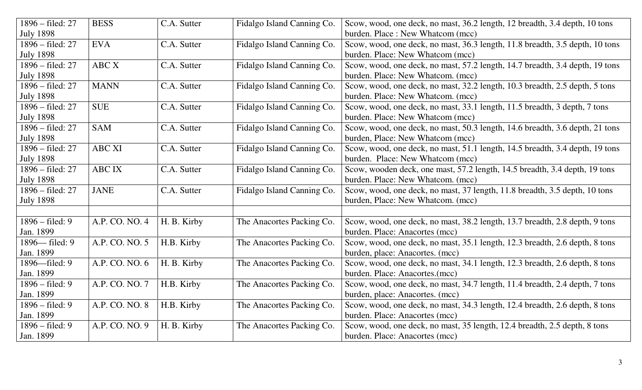| $1896 - \text{field}$ : 27 | <b>BESS</b>    | C.A. Sutter | Fidalgo Island Canning Co. | Scow, wood, one deck, no mast, 36.2 length, 12 breadth, 3.4 depth, 10 tons   |
|----------------------------|----------------|-------------|----------------------------|------------------------------------------------------------------------------|
| <b>July 1898</b>           |                |             |                            | burden. Place: New Whatcom (mcc)                                             |
| 1896 – filed: 27           | <b>EVA</b>     | C.A. Sutter | Fidalgo Island Canning Co. | Scow, wood, one deck, no mast, 36.3 length, 11.8 breadth, 3.5 depth, 10 tons |
| <b>July 1898</b>           |                |             |                            | burden. Place: New Whatcom (mcc)                                             |
| 1896 – filed: 27           | ABC X          | C.A. Sutter | Fidalgo Island Canning Co. | Scow, wood, one deck, no mast, 57.2 length, 14.7 breadth, 3.4 depth, 19 tons |
| <b>July 1898</b>           |                |             |                            | burden. Place: New Whatcom. (mcc)                                            |
| 1896 – filed: 27           | <b>MANN</b>    | C.A. Sutter | Fidalgo Island Canning Co. | Scow, wood, one deck, no mast, 32.2 length, 10.3 breadth, 2.5 depth, 5 tons  |
| <b>July 1898</b>           |                |             |                            | burden. Place: New Whatcom. (mcc)                                            |
| 1896 – filed: 27           | <b>SUE</b>     | C.A. Sutter | Fidalgo Island Canning Co. | Scow, wood, one deck, no mast, 33.1 length, 11.5 breadth, 3 depth, 7 tons    |
| <b>July 1898</b>           |                |             |                            | burden. Place: New Whatcom (mcc)                                             |
| 1896 – filed: 27           | <b>SAM</b>     | C.A. Sutter | Fidalgo Island Canning Co. | Scow, wood, one deck, no mast, 50.3 length, 14.6 breadth, 3.6 depth, 21 tons |
| <b>July 1898</b>           |                |             |                            | burden, Place: New Whatcom (mcc)                                             |
| 1896 – filed: 27           | <b>ABC XI</b>  | C.A. Sutter | Fidalgo Island Canning Co. | Scow, wood, one deck, no mast, 51.1 length, 14.5 breadth, 3.4 depth, 19 tons |
| <b>July 1898</b>           |                |             |                            | burden. Place: New Whatcom (mcc)                                             |
| 1896 – filed: 27           | <b>ABCIX</b>   | C.A. Sutter | Fidalgo Island Canning Co. | Scow, wooden deck, one mast, 57.2 length, 14.5 breadth, 3.4 depth, 19 tons   |
| <b>July 1898</b>           |                |             |                            | burden. Place: New Whatcom. (mcc)                                            |
| 1896 – filed: 27           | <b>JANE</b>    | C.A. Sutter | Fidalgo Island Canning Co. | Scow, wood, one deck, no mast, 37 length, 11.8 breadth, 3.5 depth, 10 tons   |
| <b>July 1898</b>           |                |             |                            | burden, Place: New Whatcom. (mcc)                                            |
|                            |                |             |                            |                                                                              |
| $1896 - \text{field}$ : 9  | A.P. CO. NO. 4 | H. B. Kirby | The Anacortes Packing Co.  | Scow, wood, one deck, no mast, 38.2 length, 13.7 breadth, 2.8 depth, 9 tons  |
| Jan. 1899                  |                |             |                            | burden. Place: Anacortes (mcc)                                               |
| 1896— filed: 9             | A.P. CO. NO. 5 | H.B. Kirby  | The Anacortes Packing Co.  | Scow, wood, one deck, no mast, 35.1 length, 12.3 breadth, 2.6 depth, 8 tons  |
| Jan. 1899                  |                |             |                            | burden, place: Anacortes. (mcc)                                              |
| 1896—filed: 9              | A.P. CO. NO. 6 | H. B. Kirby | The Anacortes Packing Co.  | Scow, wood, one deck, no mast, 34.1 length, 12.3 breadth, 2.6 depth, 8 tons  |
| Jan. 1899                  |                |             |                            | burden. Place: Anacortes.(mcc)                                               |
| $1896 - \text{filed}$ : 9  | A.P. CO. NO. 7 | H.B. Kirby  | The Anacortes Packing Co.  | Scow, wood, one deck, no mast, 34.7 length, 11.4 breadth, 2.4 depth, 7 tons  |
| Jan. 1899                  |                |             |                            | burden, place: Anacortes. (mcc)                                              |
| $1896 - \text{filed}$ : 9  | A.P. CO. NO. 8 | H.B. Kirby  | The Anacortes Packing Co.  | Scow, wood, one deck, no mast, 34.3 length, 12.4 breadth, 2.6 depth, 8 tons  |
| Jan. 1899                  |                |             |                            | burden. Place: Anacortes (mcc)                                               |
| $1896 - \text{field}$ : 9  | A.P. CO. NO. 9 | H. B. Kirby | The Anacortes Packing Co.  | Scow, wood, one deck, no mast, 35 length, 12.4 breadth, 2.5 depth, 8 tons    |
| Jan. 1899                  |                |             |                            | burden. Place: Anacortes (mcc)                                               |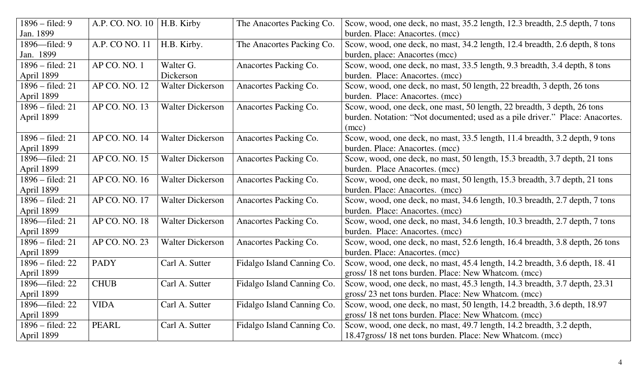| $1896 - \text{filed}$ : 9  | A.P. CO. NO. 10 | H.B. Kirby              | The Anacortes Packing Co.  | Scow, wood, one deck, no mast, 35.2 length, 12.3 breadth, 2.5 depth, 7 tons  |
|----------------------------|-----------------|-------------------------|----------------------------|------------------------------------------------------------------------------|
| Jan. 1899                  |                 |                         |                            | burden. Place: Anacortes. (mcc)                                              |
| 1896-filed: 9              | A.P. CO NO. 11  | H.B. Kirby.             | The Anacortes Packing Co.  | Scow, wood, one deck, no mast, 34.2 length, 12.4 breadth, 2.6 depth, 8 tons  |
| Jan. 1899                  |                 |                         |                            | burden, place: Anacortes (mcc)                                               |
| 1896 – filed: 21           | AP CO. NO. 1    | Walter G.               | Anacortes Packing Co.      | Scow, wood, one deck, no mast, 33.5 length, 9.3 breadth, 3.4 depth, 8 tons   |
| April 1899                 |                 | Dickerson               |                            | burden. Place: Anacortes. (mcc)                                              |
| 1896 – filed: 21           | AP CO. NO. 12   | <b>Walter Dickerson</b> | Anacortes Packing Co.      | Scow, wood, one deck, no mast, 50 length, 22 breadth, 3 depth, 26 tons       |
| April 1899                 |                 |                         |                            | burden. Place: Anacortes. (mcc)                                              |
| 1896 – filed: 21           | AP CO. NO. 13   | <b>Walter Dickerson</b> | Anacortes Packing Co.      | Scow, wood, one deck, one mast, 50 length, 22 breadth, 3 depth, 26 tons      |
| April 1899                 |                 |                         |                            | burden. Notation: "Not documented; used as a pile driver." Place: Anacortes. |
|                            |                 |                         |                            | (mcc)                                                                        |
| 1896 – filed: 21           | AP CO. NO. 14   | <b>Walter Dickerson</b> | Anacortes Packing Co.      | Scow, wood, one deck, no mast, 33.5 length, 11.4 breadth, 3.2 depth, 9 tons  |
| April 1899                 |                 |                         |                            | burden. Place: Anacortes. (mcc)                                              |
| 1896-filed: 21             | AP CO. NO. 15   | <b>Walter Dickerson</b> | Anacortes Packing Co.      | Scow, wood, one deck, no mast, 50 length, 15.3 breadth, 3.7 depth, 21 tons   |
| April 1899                 |                 |                         |                            | burden. Place Anacortes. (mcc)                                               |
| 1896 – filed: 21           | AP CO. NO. 16   | <b>Walter Dickerson</b> | Anacortes Packing Co.      | Scow, wood, one deck, no mast, 50 length, 15.3 breadth, 3.7 depth, 21 tons   |
| April 1899                 |                 |                         |                            | burden. Place: Anacortes. (mcc)                                              |
| 1896 – filed: 21           | AP CO. NO. 17   | <b>Walter Dickerson</b> | Anacortes Packing Co.      | Scow, wood, one deck, no mast, 34.6 length, 10.3 breadth, 2.7 depth, 7 tons  |
| April 1899                 |                 |                         |                            | burden. Place: Anacortes. (mcc)                                              |
| 1896—filed: 21             | AP CO. NO. 18   | <b>Walter Dickerson</b> | Anacortes Packing Co.      | Scow, wood, one deck, no mast, 34.6 length, 10.3 breadth, 2.7 depth, 7 tons  |
| April 1899                 |                 |                         |                            | burden. Place: Anacortes. (mcc)                                              |
| 1896 – filed: 21           | AP CO. NO. 23   | <b>Walter Dickerson</b> | Anacortes Packing Co.      | Scow, wood, one deck, no mast, 52.6 length, 16.4 breadth, 3.8 depth, 26 tons |
| April 1899                 |                 |                         |                            | burden. Place: Anacortes. (mcc)                                              |
| $1896 - \text{field}$ : 22 | <b>PADY</b>     | Carl A. Sutter          | Fidalgo Island Canning Co. | Scow, wood, one deck, no mast, 45.4 length, 14.2 breadth, 3.6 depth, 18.41   |
| April 1899                 |                 |                         |                            | gross/18 net tons burden. Place: New Whatcom. (mcc)                          |
| 1896-filed: 22             | <b>CHUB</b>     | Carl A. Sutter          | Fidalgo Island Canning Co. | Scow, wood, one deck, no mast, 45.3 length, 14.3 breadth, 3.7 depth, 23.31   |
| April 1899                 |                 |                         |                            | gross/23 net tons burden. Place: New Whatcom. (mcc)                          |
| 1896—filed: 22             | <b>VIDA</b>     | Carl A. Sutter          | Fidalgo Island Canning Co. | Scow, wood, one deck, no mast, 50 length, 14.2 breadth, 3.6 depth, 18.97     |
| April 1899                 |                 |                         |                            | gross/18 net tons burden. Place: New Whatcom. (mcc)                          |
| 1896 – filed: 22           | <b>PEARL</b>    | Carl A. Sutter          | Fidalgo Island Canning Co. | Scow, wood, one deck, no mast, 49.7 length, 14.2 breadth, 3.2 depth,         |
| April 1899                 |                 |                         |                            | 18.47gross/18 net tons burden. Place: New Whatcom. (mcc)                     |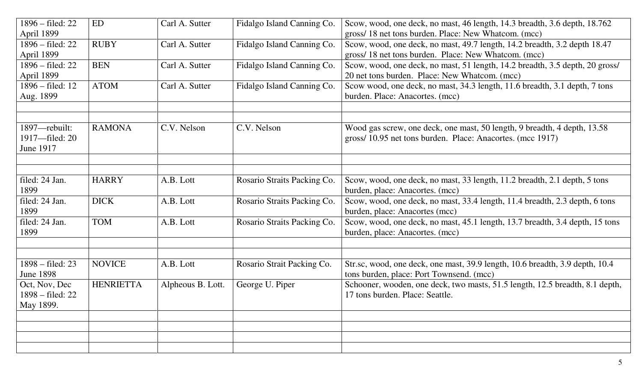| 1896 – filed: 22                         | ED               | Carl A. Sutter    | Fidalgo Island Canning Co.  | Scow, wood, one deck, no mast, 46 length, 14.3 breadth, 3.6 depth, 18.762<br>gross/18 net tons burden. Place: New Whatcom. (mcc) |
|------------------------------------------|------------------|-------------------|-----------------------------|----------------------------------------------------------------------------------------------------------------------------------|
| April 1899<br>$1896 - \text{field}$ : 22 | <b>RUBY</b>      |                   |                             |                                                                                                                                  |
|                                          |                  | Carl A. Sutter    | Fidalgo Island Canning Co.  | Scow, wood, one deck, no mast, 49.7 length, 14.2 breadth, 3.2 depth 18.47                                                        |
| April 1899                               |                  |                   |                             | gross/18 net tons burden. Place: New Whatcom. (mcc)                                                                              |
| $1896 - \text{field}$ : 22               | <b>BEN</b>       | Carl A. Sutter    | Fidalgo Island Canning Co.  | Scow, wood, one deck, no mast, 51 length, 14.2 breadth, 3.5 depth, 20 gross/                                                     |
| April 1899                               |                  |                   |                             | 20 net tons burden. Place: New Whatcom. (mcc)                                                                                    |
| 1896 – filed: 12                         | <b>ATOM</b>      | Carl A. Sutter    | Fidalgo Island Canning Co.  | Scow wood, one deck, no mast, 34.3 length, 11.6 breadth, 3.1 depth, 7 tons                                                       |
| Aug. 1899                                |                  |                   |                             | burden. Place: Anacortes. (mcc)                                                                                                  |
|                                          |                  |                   |                             |                                                                                                                                  |
| 1897—rebuilt:                            | <b>RAMONA</b>    | C.V. Nelson       | C.V. Nelson                 | Wood gas screw, one deck, one mast, 50 length, 9 breadth, 4 depth, 13.58                                                         |
| 1917-filed: 20                           |                  |                   |                             | gross/10.95 net tons burden. Place: Anacortes. (mcc 1917)                                                                        |
| June 1917                                |                  |                   |                             |                                                                                                                                  |
|                                          |                  |                   |                             |                                                                                                                                  |
|                                          |                  |                   |                             |                                                                                                                                  |
| filed: 24 Jan.                           | <b>HARRY</b>     | A.B. Lott         | Rosario Straits Packing Co. | Scow, wood, one deck, no mast, 33 length, 11.2 breadth, 2.1 depth, 5 tons                                                        |
| 1899                                     |                  |                   |                             | burden, place: Anacortes. (mcc)                                                                                                  |
| filed: 24 Jan.                           | <b>DICK</b>      | A.B. Lott         | Rosario Straits Packing Co. | Scow, wood, one deck, no mast, 33.4 length, 11.4 breadth, 2.3 depth, 6 tons                                                      |
| 1899                                     |                  |                   |                             | burden, place: Anacortes (mcc)                                                                                                   |
| filed: 24 Jan.                           | <b>TOM</b>       | A.B. Lott         | Rosario Straits Packing Co. | Scow, wood, one deck, no mast, 45.1 length, 13.7 breadth, 3.4 depth, 15 tons                                                     |
| 1899                                     |                  |                   |                             | burden, place: Anacortes. (mcc)                                                                                                  |
|                                          |                  |                   |                             |                                                                                                                                  |
|                                          |                  |                   |                             |                                                                                                                                  |
| $1898 - \text{field}$ : 23               | <b>NOVICE</b>    | A.B. Lott         | Rosario Strait Packing Co.  | Str.sc, wood, one deck, one mast, 39.9 length, 10.6 breadth, 3.9 depth, 10.4                                                     |
| <b>June 1898</b>                         |                  |                   |                             | tons burden, place: Port Townsend. (mcc)                                                                                         |
| Oct, Nov, Dec                            | <b>HENRIETTA</b> | Alpheous B. Lott. | George U. Piper             | Schooner, wooden, one deck, two masts, 51.5 length, 12.5 breadth, 8.1 depth,                                                     |
| $1898 - \text{field: } 22$               |                  |                   |                             | 17 tons burden. Place: Seattle.                                                                                                  |
| May 1899.                                |                  |                   |                             |                                                                                                                                  |
|                                          |                  |                   |                             |                                                                                                                                  |
|                                          |                  |                   |                             |                                                                                                                                  |
|                                          |                  |                   |                             |                                                                                                                                  |
|                                          |                  |                   |                             |                                                                                                                                  |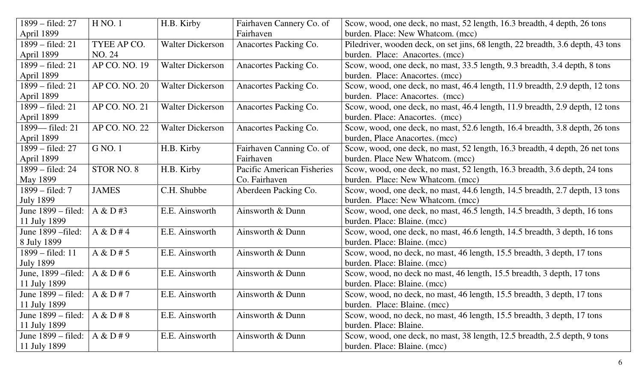| 1899 – filed: 27            | H NO.1        | H.B. Kirby              | Fairhaven Cannery Co. of   | Scow, wood, one deck, no mast, 52 length, 16.3 breadth, 4 depth, 26 tons        |
|-----------------------------|---------------|-------------------------|----------------------------|---------------------------------------------------------------------------------|
| April 1899                  |               |                         | Fairhaven                  | burden. Place: New Whatcom. (mcc)                                               |
| 1899 – filed: 21            | TYEE AP CO.   | <b>Walter Dickerson</b> | Anacortes Packing Co.      | Piledriver, wooden deck, on set jins, 68 length, 22 breadth, 3.6 depth, 43 tons |
| April 1899                  | NO. 24        |                         |                            | burden. Place: Anacortes. (mcc)                                                 |
| 1899 – filed: 21            | AP CO. NO. 19 | <b>Walter Dickerson</b> | Anacortes Packing Co.      | Scow, wood, one deck, no mast, 33.5 length, 9.3 breadth, 3.4 depth, 8 tons      |
| April 1899                  |               |                         |                            | burden. Place: Anacortes. (mcc)                                                 |
| 1899 – filed: 21            | AP CO. NO. 20 | <b>Walter Dickerson</b> | Anacortes Packing Co.      | Scow, wood, one deck, no mast, 46.4 length, 11.9 breadth, 2.9 depth, 12 tons    |
| April 1899                  |               |                         |                            | burden. Place: Anacortes. (mcc)                                                 |
| 1899 – filed: 21            | AP CO. NO. 21 | <b>Walter Dickerson</b> | Anacortes Packing Co.      | Scow, wood, one deck, no mast, 46.4 length, 11.9 breadth, 2.9 depth, 12 tons    |
| April 1899                  |               |                         |                            | burden. Place: Anacortes. (mcc)                                                 |
| 1899— filed: 21             | AP CO. NO. 22 | <b>Walter Dickerson</b> | Anacortes Packing Co.      | Scow, wood, one deck, no mast, 52.6 length, 16.4 breadth, 3.8 depth, 26 tons    |
| April 1899                  |               |                         |                            | burden, Place Anacortes. (mcc)                                                  |
| 1899 – filed: 27            | G NO. 1       | H.B. Kirby              | Fairhaven Canning Co. of   | Scow, wood, one deck, no mast, 52 length, 16.3 breadth, 4 depth, 26 net tons    |
| April 1899                  |               |                         | Fairhaven                  | burden. Place New Whatcom. (mcc)                                                |
| 1899 – filed: 24            | STOR NO. 8    | H.B. Kirby              | Pacific American Fisheries | Scow, wood, one deck, no mast, 52 length, 16.3 breadth, 3.6 depth, 24 tons      |
| May 1899                    |               |                         | Co. Fairhaven              | burden. Place: New Whatcom. (mcc)                                               |
| 1899 – filed: 7             | <b>JAMES</b>  | C.H. Shubbe             | Aberdeen Packing Co.       | Scow, wood, one deck, no mast, 44.6 length, 14.5 breadth, 2.7 depth, 13 tons    |
| <b>July 1899</b>            |               |                         |                            | burden. Place: New Whatcom. (mcc)                                               |
| June 1899 – filed:          | A & D#3       | E.E. Ainsworth          | Ainsworth & Dunn           | Scow, wood, one deck, no mast, 46.5 length, 14.5 breadth, 3 depth, 16 tons      |
| 11 July 1899                |               |                         |                            | burden. Place: Blaine. (mcc)                                                    |
| June 1899 – filed:          | A & D # 4     | E.E. Ainsworth          | Ainsworth & Dunn           | Scow, wood, one deck, no mast, 46.6 length, 14.5 breadth, 3 depth, 16 tons      |
| 8 July 1899                 |               |                         |                            | burden. Place: Blaine. (mcc)                                                    |
| 1899 – filed: 11            | A & D # 5     | E.E. Ainsworth          | Ainsworth & Dunn           | Scow, wood, no deck, no mast, 46 length, 15.5 breadth, 3 depth, 17 tons         |
| <b>July 1899</b>            |               |                         |                            | burden. Place: Blaine. (mcc)                                                    |
| June, 1899 – filed:         | A & D # 6     | E.E. Ainsworth          | Ainsworth & Dunn           | Scow, wood, no deck no mast, 46 length, 15.5 breadth, 3 depth, 17 tons          |
| 11 July 1899                |               |                         |                            | burden. Place: Blaine. (mcc)                                                    |
| June $1899 - \text{filed}:$ | A & D#7       | E.E. Ainsworth          | Ainsworth & Dunn           | Scow, wood, no deck, no mast, 46 length, 15.5 breadth, 3 depth, 17 tons         |
| 11 July 1899                |               |                         |                            | burden. Place: Blaine. (mcc)                                                    |
| June 1899 – filed:          | A & D # 8     | E.E. Ainsworth          | Ainsworth & Dunn           | Scow, wood, no deck, no mast, 46 length, 15.5 breadth, 3 depth, 17 tons         |
| 11 July 1899                |               |                         |                            | burden. Place: Blaine.                                                          |
| June 1899 – filed:          | A & D #9      | E.E. Ainsworth          | Ainsworth & Dunn           | Scow, wood, one deck, no mast, 38 length, 12.5 breadth, 2.5 depth, 9 tons       |
| 11 July 1899                |               |                         |                            | burden. Place: Blaine. (mcc)                                                    |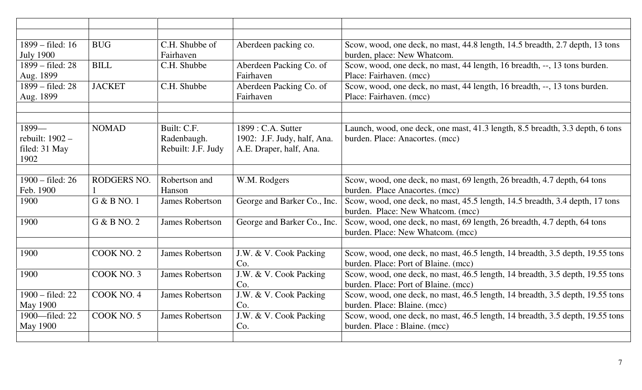| 1899 – filed: 16 | <b>BUG</b>    | C.H. Shubbe of         | Aberdeen packing co.        | Scow, wood, one deck, no mast, 44.8 length, 14.5 breadth, 2.7 depth, 13 tons  |
|------------------|---------------|------------------------|-----------------------------|-------------------------------------------------------------------------------|
| <b>July 1900</b> |               | Fairhaven              |                             | burden, place: New Whatcom.                                                   |
| 1899 – filed: 28 | <b>BILL</b>   | C.H. Shubbe            | Aberdeen Packing Co. of     | Scow, wood, one deck, no mast, 44 length, 16 breadth, --, 13 tons burden.     |
| Aug. 1899        |               |                        | Fairhaven                   | Place: Fairhaven. (mcc)                                                       |
| 1899 – filed: 28 | <b>JACKET</b> | C.H. Shubbe            | Aberdeen Packing Co. of     | Scow, wood, one deck, no mast, 44 length, 16 breadth, --, 13 tons burden.     |
| Aug. 1899        |               |                        | Fairhaven                   | Place: Fairhaven. (mcc)                                                       |
|                  |               |                        |                             |                                                                               |
|                  |               |                        |                             |                                                                               |
| 1899-            | <b>NOMAD</b>  | Built: C.F.            | 1899 : C.A. Sutter          | Launch, wood, one deck, one mast, 41.3 length, 8.5 breadth, 3.3 depth, 6 tons |
| rebuilt: 1902 -  |               | Radenbaugh.            | 1902: J.F. Judy, half, Ana. | burden. Place: Anacortes. (mcc)                                               |
| filed: 31 May    |               | Rebuilt: J.F. Judy     | A.E. Draper, half, Ana.     |                                                                               |
| 1902             |               |                        |                             |                                                                               |
| 1900 - filed: 26 | RODGERS NO.   | Robertson and          | W.M. Rodgers                | Scow, wood, one deck, no mast, 69 length, 26 breadth, 4.7 depth, 64 tons      |
| Feb. 1900        |               | Hanson                 |                             | burden. Place Anacortes. (mcc)                                                |
| 1900             | G & B NO. 1   | <b>James Robertson</b> | George and Barker Co., Inc. | Scow, wood, one deck, no mast, 45.5 length, 14.5 breadth, 3.4 depth, 17 tons  |
|                  |               |                        |                             | burden. Place: New Whatcom. (mcc)                                             |
| 1900             | G & B NQ.2    | <b>James Robertson</b> | George and Barker Co., Inc. | Scow, wood, one deck, no mast, 69 length, 26 breadth, 4.7 depth, 64 tons      |
|                  |               |                        |                             | burden. Place: New Whatcom. (mcc)                                             |
|                  |               |                        |                             |                                                                               |
| 1900             | COOK NO. 2    | <b>James Robertson</b> | J.W. & V. Cook Packing      | Scow, wood, one deck, no mast, 46.5 length, 14 breadth, 3.5 depth, 19.55 tons |
|                  |               |                        | Co.                         | burden. Place: Port of Blaine. (mcc)                                          |
| 1900             | COOK NO. 3    | <b>James Robertson</b> | J.W. & V. Cook Packing      | Scow, wood, one deck, no mast, 46.5 length, 14 breadth, 3.5 depth, 19.55 tons |
|                  |               |                        | Co.                         | burden. Place: Port of Blaine. (mcc)                                          |
| 1900 - filed: 22 | COOK NO. 4    | <b>James Robertson</b> | J.W. & V. Cook Packing      | Scow, wood, one deck, no mast, 46.5 length, 14 breadth, 3.5 depth, 19.55 tons |
| <b>May 1900</b>  |               |                        | Co.                         | burden. Place: Blaine. (mcc)                                                  |
| 1900-filed: 22   | COOK NO. 5    | <b>James Robertson</b> | J.W. & V. Cook Packing      | Scow, wood, one deck, no mast, 46.5 length, 14 breadth, 3.5 depth, 19.55 tons |
| <b>May 1900</b>  |               |                        | Co.                         | burden. Place : Blaine. (mcc)                                                 |
|                  |               |                        |                             |                                                                               |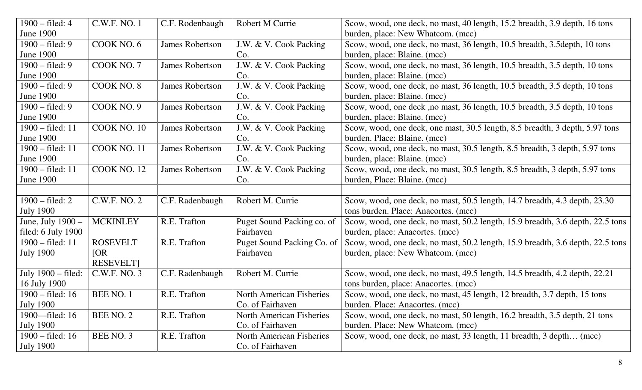| $1900 - \text{filed}: 4$   | C.W.F. NO. 1     | C.F. Rodenbaugh        | Robert M Currie            | Scow, wood, one deck, no mast, 40 length, 15.2 breadth, 3.9 depth, 16 tons     |
|----------------------------|------------------|------------------------|----------------------------|--------------------------------------------------------------------------------|
| <b>June 1900</b>           |                  |                        |                            | burden, place: New Whatcom. (mcc)                                              |
| $1900 - \text{field}$ : 9  | COOK NO. 6       | <b>James Robertson</b> | J.W. & V. Cook Packing     | Scow, wood, one deck, no mast, 36 length, 10.5 breadth, 3.5 depth, 10 tons     |
| June 1900                  |                  |                        | Co.                        | burden, place: Blaine. (mcc)                                                   |
| $1900 - \text{field}$ : 9  | COOK NO. 7       | <b>James Robertson</b> | J.W. & V. Cook Packing     | Scow, wood, one deck, no mast, 36 length, 10.5 breadth, 3.5 depth, 10 tons     |
| June 1900                  |                  |                        | Co.                        | burden, place: Blaine. (mcc)                                                   |
| $1900 - \text{filed}$ : 9  | COOK NO. 8       | <b>James Robertson</b> | J.W. & V. Cook Packing     | Scow, wood, one deck, no mast, 36 length, 10.5 breadth, 3.5 depth, 10 tons     |
| June 1900                  |                  |                        | Co.                        | burden, place: Blaine. (mcc)                                                   |
| $1900 - \text{field}$ : 9  | COOK NO. 9       | <b>James Robertson</b> | J.W. & V. Cook Packing     | Scow, wood, one deck, no mast, 36 length, 10.5 breadth, 3.5 depth, 10 tons     |
| <b>June 1900</b>           |                  |                        | Co.                        | burden, place: Blaine. (mcc)                                                   |
| 1900 – filed: 11           | COOK NO. 10      | <b>James Robertson</b> | J.W. & V. Cook Packing     | Scow, wood, one deck, one mast, 30.5 length, 8.5 breadth, 3 depth, 5.97 tons   |
| <b>June 1900</b>           |                  |                        | Co.                        | burden. Place: Blaine. (mcc)                                                   |
| 1900 - filed: 11           | COOK NO. 11      | <b>James Robertson</b> | J.W. & V. Cook Packing     | Scow, wood, one deck, no mast, 30.5 length, 8.5 breadth, 3 depth, 5.97 tons    |
| <b>June 1900</b>           |                  |                        | Co.                        | burden, place: Blaine. (mcc)                                                   |
| 1900 – filed: 11           | COOK NO. 12      | <b>James Robertson</b> | J.W. & V. Cook Packing     | Scow, wood, one deck, no mast, 30.5 length, 8.5 breadth, 3 depth, 5.97 tons    |
| <b>June 1900</b>           |                  |                        | Co.                        | burden, Place: Blaine. (mcc)                                                   |
|                            |                  |                        |                            |                                                                                |
| $1900 - \text{field: } 2$  | C.W.F. NO. 2     | C.F. Radenbaugh        | Robert M. Currie           | Scow, wood, one deck, no mast, 50.5 length, 14.7 breadth, 4.3 depth, 23.30     |
| <b>July 1900</b>           |                  |                        |                            | tons burden. Place: Anacortes. (mcc)                                           |
| June, July 1900 –          | <b>MCKINLEY</b>  | R.E. Trafton           | Puget Sound Packing co. of | Scow, wood, one deck, no mast, 50.2 length, 15.9 breadth, 3.6 depth, 22.5 tons |
| filed: $6$ July 1900       |                  |                        | Fairhaven                  | burden, place: Anacortes. (mcc)                                                |
| $1900 - \text{filed}: 11$  | <b>ROSEVELT</b>  | R.E. Trafton           | Puget Sound Packing Co. of | Scow, wood, one deck, no mast, 50.2 length, 15.9 breadth, 3.6 depth, 22.5 tons |
| <b>July 1900</b>           | [OR]             |                        | Fairhaven                  | burden, place: New Whatcom. (mcc)                                              |
|                            | <b>RESEVELT</b>  |                        |                            |                                                                                |
| July 1900 – filed:         | C.W.F. NO. 3     | C.F. Radenbaugh        | Robert M. Currie           | Scow, wood, one deck, no mast, 49.5 length, 14.5 breadth, 4.2 depth, 22.21     |
| 16 July 1900               |                  |                        |                            | tons burden, place: Anacortes. (mcc)                                           |
| 1900 – filed: 16           | <b>BEE NO. 1</b> | R.E. Trafton           | North American Fisheries   | Scow, wood, one deck, no mast, 45 length, 12 breadth, 3.7 depth, 15 tons       |
| <b>July 1900</b>           |                  |                        | Co. of Fairhaven           | burden. Place: Anacortes. (mcc)                                                |
| 1900—filed: 16             | BEE NO. 2        | R.E. Trafton           | North American Fisheries   | Scow, wood, one deck, no mast, 50 length, 16.2 breadth, 3.5 depth, 21 tons     |
| <b>July 1900</b>           |                  |                        | Co. of Fairhaven           | burden. Place: New Whatcom. (mcc)                                              |
| $1900 - \text{field}$ : 16 | BEE NO. 3        | R.E. Trafton           | North American Fisheries   | Scow, wood, one deck, no mast, 33 length, 11 breadth, 3 depth (mcc)            |
| <b>July 1900</b>           |                  |                        | Co. of Fairhaven           |                                                                                |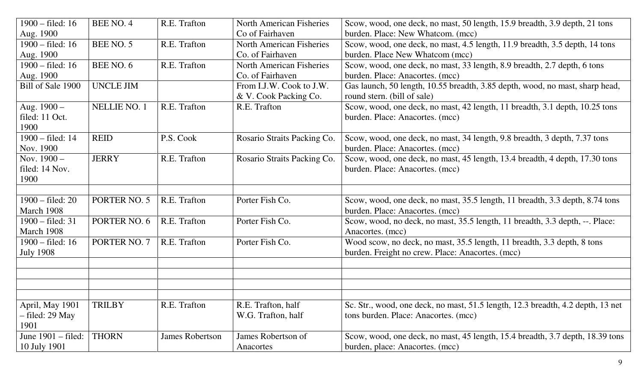| $1900 - \text{filed}: 16$  | BEE NO. 4           | R.E. Trafton    | <b>North American Fisheries</b> | Scow, wood, one deck, no mast, 50 length, 15.9 breadth, 3.9 depth, 21 tons      |
|----------------------------|---------------------|-----------------|---------------------------------|---------------------------------------------------------------------------------|
| Aug. 1900                  |                     |                 | Co of Fairhaven                 | burden. Place: New Whatcom. (mcc)                                               |
| $1900 - \text{filed}: 16$  | BEE NO. 5           | R.E. Trafton    | North American Fisheries        | Scow, wood, one deck, no mast, 4.5 length, 11.9 breadth, 3.5 depth, 14 tons     |
| Aug. 1900                  |                     |                 | Co. of Fairhaven                | burden. Place New Whatcom (mcc)                                                 |
| $1900 - \text{field}$ : 16 | BEE NO. 6           | R.E. Trafton    | North American Fisheries        | Scow, wood, one deck, no mast, 33 length, 8.9 breadth, 2.7 depth, 6 tons        |
| Aug. 1900                  |                     |                 | Co. of Fairhaven                | burden. Place: Anacortes. (mcc)                                                 |
| Bill of Sale 1900          | <b>UNCLE JIM</b>    |                 | From I.J.W. Cook to J.W.        | Gas launch, 50 length, 10.55 breadth, 3.85 depth, wood, no mast, sharp head,    |
|                            |                     |                 | & V. Cook Packing Co.           | round stern. (bill of sale)                                                     |
| Aug. 1900 -                | <b>NELLIE NO. 1</b> | R.E. Trafton    | R.E. Trafton                    | Scow, wood, one deck, no mast, 42 length, 11 breadth, 3.1 depth, 10.25 tons     |
| filed: 11 Oct.             |                     |                 |                                 | burden. Place: Anacortes. (mcc)                                                 |
| 1900                       |                     |                 |                                 |                                                                                 |
| $1900 - \text{filed}: 14$  | <b>REID</b>         | P.S. Cook       | Rosario Straits Packing Co.     | Scow, wood, one deck, no mast, 34 length, 9.8 breadth, 3 depth, 7.37 tons       |
| Nov. 1900                  |                     |                 |                                 | burden. Place: Anacortes. (mcc)                                                 |
| Nov. $1900 -$              | <b>JERRY</b>        | R.E. Trafton    | Rosario Straits Packing Co.     | Scow, wood, one deck, no mast, 45 length, 13.4 breadth, 4 depth, 17.30 tons     |
| filed: 14 Nov.             |                     |                 |                                 | burden. Place: Anacortes. (mcc)                                                 |
| 1900                       |                     |                 |                                 |                                                                                 |
|                            |                     |                 |                                 |                                                                                 |
| $1900 - \text{field}$ : 20 | PORTER NO. 5        | R.E. Trafton    | Porter Fish Co.                 | Scow, wood, one deck, no mast, 35.5 length, 11 breadth, 3.3 depth, 8.74 tons    |
| March 1908                 |                     |                 |                                 | burden. Place: Anacortes. (mcc)                                                 |
| $1900 -$ filed: 31         | PORTER NO. 6        | R.E. Trafton    | Porter Fish Co.                 | Scow, wood, no deck, no mast, 35.5 length, 11 breadth, 3.3 depth, --. Place:    |
| March 1908                 |                     |                 |                                 | Anacortes. (mcc)                                                                |
| $1900 - \text{field}$ : 16 | PORTER NO. 7        | R.E. Trafton    | Porter Fish Co.                 | Wood scow, no deck, no mast, 35.5 length, 11 breadth, 3.3 depth, 8 tons         |
| <b>July 1908</b>           |                     |                 |                                 | burden. Freight no crew. Place: Anacortes. (mcc)                                |
|                            |                     |                 |                                 |                                                                                 |
|                            |                     |                 |                                 |                                                                                 |
|                            |                     |                 |                                 |                                                                                 |
|                            |                     |                 |                                 |                                                                                 |
| April, May 1901            | <b>TRILBY</b>       | R.E. Trafton    | R.E. Trafton, half              | Sc. Str., wood, one deck, no mast, 51.5 length, 12.3 breadth, 4.2 depth, 13 net |
| - filed: 29 May            |                     |                 | W.G. Trafton, half              | tons burden. Place: Anacortes. (mcc)                                            |
| 1901                       |                     |                 |                                 |                                                                                 |
| June 1901 – filed:         | <b>THORN</b>        | James Robertson | James Robertson of              | Scow, wood, one deck, no mast, 45 length, 15.4 breadth, 3.7 depth, 18.39 tons   |
| 10 July 1901               |                     |                 | Anacortes                       | burden, place: Anacortes. (mcc)                                                 |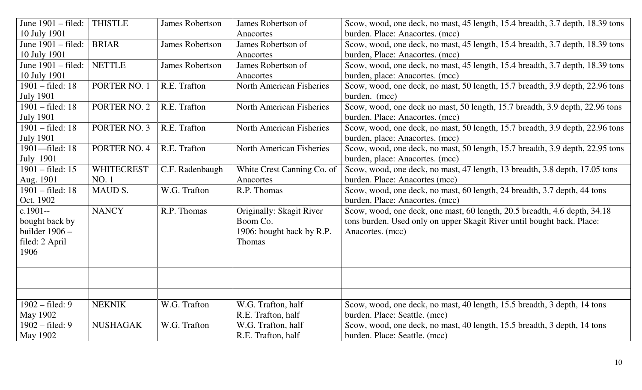| June 1901 – filed:           | <b>THISTLE</b>    | <b>James Robertson</b> | James Robertson of              | Scow, wood, one deck, no mast, 45 length, 15.4 breadth, 3.7 depth, 18.39 tons |
|------------------------------|-------------------|------------------------|---------------------------------|-------------------------------------------------------------------------------|
| 10 July 1901                 |                   |                        | Anacortes                       | burden. Place: Anacortes. (mcc)                                               |
| June 1901 – filed:           | <b>BRIAR</b>      | <b>James Robertson</b> | James Robertson of              | Scow, wood, one deck, no mast, 45 length, 15.4 breadth, 3.7 depth, 18.39 tons |
| 10 July 1901                 |                   |                        | Anacortes                       | burden, Place: Anacortes. (mcc)                                               |
| June $1901 - \text{filed}$ : | <b>NETTLE</b>     | <b>James Robertson</b> | James Robertson of              | Scow, wood, one deck, no mast, 45 length, 15.4 breadth, 3.7 depth, 18.39 tons |
| 10 July 1901                 |                   |                        | Anacortes                       | burden, place: Anacortes. (mcc)                                               |
| 1901 – filed: 18             | PORTER NO. 1      | R.E. Trafton           | <b>North American Fisheries</b> | Scow, wood, one deck, no mast, 50 length, 15.7 breadth, 3.9 depth, 22.96 tons |
| <b>July 1901</b>             |                   |                        |                                 | burden. (mcc)                                                                 |
| 1901 – filed: 18             | PORTER NO. 2      | R.E. Trafton           | <b>North American Fisheries</b> | Scow, wood, one deck no mast, 50 length, 15.7 breadth, 3.9 depth, 22.96 tons  |
| <b>July 1901</b>             |                   |                        |                                 | burden. Place: Anacortes. (mcc)                                               |
| 1901 – filed: 18             | PORTER NO. 3      | R.E. Trafton           | <b>North American Fisheries</b> | Scow, wood, one deck, no mast, 50 length, 15.7 breadth, 3.9 depth, 22.96 tons |
| <b>July 1901</b>             |                   |                        |                                 | burden, place: Anacortes. (mcc)                                               |
| 1901-filed: 18               | PORTER NO. 4      | R.E. Trafton           | <b>North American Fisheries</b> | Scow, wood, one deck, no mast, 50 length, 15.7 breadth, 3.9 depth, 22.95 tons |
| July 1901                    |                   |                        |                                 | burden, place: Anacortes. (mcc)                                               |
| 1901 – filed: 15             | <b>WHITECREST</b> | C.F. Radenbaugh        | White Crest Canning Co. of      | Scow, wood, one deck, no mast, 47 length, 13 breadth, 3.8 depth, 17.05 tons   |
| Aug. 1901                    | <b>NO.1</b>       |                        | Anacortes                       | burden. Place: Anacortes (mcc)                                                |
| 1901 – filed: 18             | MAUD S.           | W.G. Trafton           | R.P. Thomas                     | Scow, wood, one deck, no mast, 60 length, 24 breadth, 3.7 depth, 44 tons      |
| Oct. 1902                    |                   |                        |                                 | burden. Place: Anacortes. (mcc)                                               |
| $c.1901 -$                   | <b>NANCY</b>      | R.P. Thomas            | Originally: Skagit River        | Scow, wood, one deck, one mast, 60 length, 20.5 breadth, 4.6 depth, 34.18     |
| bought back by               |                   |                        | Boom Co.                        | tons burden. Used only on upper Skagit River until bought back. Place:        |
| builder $1906 -$             |                   |                        | 1906: bought back by R.P.       | Anacortes. (mcc)                                                              |
| filed: 2 April               |                   |                        | <b>Thomas</b>                   |                                                                               |
| 1906                         |                   |                        |                                 |                                                                               |
|                              |                   |                        |                                 |                                                                               |
|                              |                   |                        |                                 |                                                                               |
|                              |                   |                        |                                 |                                                                               |
|                              |                   |                        |                                 |                                                                               |
| $1902 - filed: 9$            | <b>NEKNIK</b>     | W.G. Trafton           | W.G. Trafton, half              | Scow, wood, one deck, no mast, 40 length, 15.5 breadth, 3 depth, 14 tons      |
| May 1902                     |                   |                        | R.E. Trafton, half              | burden. Place: Seattle. (mcc)                                                 |
| $1902 - \text{field}$ : 9    | <b>NUSHAGAK</b>   | W.G. Trafton           | W.G. Trafton, half              | Scow, wood, one deck, no mast, 40 length, 15.5 breadth, 3 depth, 14 tons      |
| May 1902                     |                   |                        | R.E. Trafton, half              | burden. Place: Seattle. (mcc)                                                 |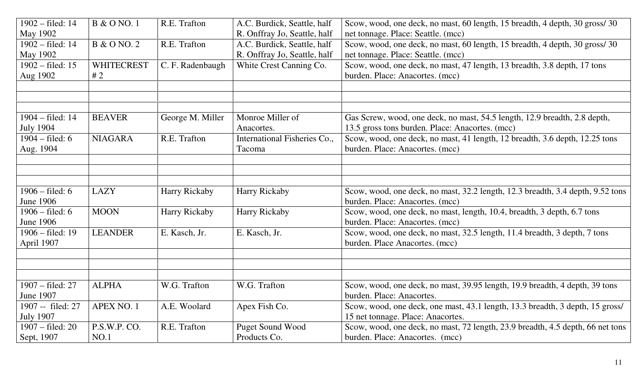| 1902 - filed: 14          | <b>B</b> & O NO. 1 | R.E. Trafton     | A.C. Burdick, Seattle, half  | Scow, wood, one deck, no mast, 60 length, 15 breadth, 4 depth, 30 gross/30     |
|---------------------------|--------------------|------------------|------------------------------|--------------------------------------------------------------------------------|
| May 1902                  |                    |                  | R. Onffray Jo, Seattle, half | net tonnage. Place: Seattle. (mcc)                                             |
| 1902 – filed: 14          | <b>B</b> & O NO. 2 | R.E. Trafton     | A.C. Burdick, Seattle, half  | Scow, wood, one deck, no mast, 60 length, 15 breadth, 4 depth, 30 gross/30     |
| May 1902                  |                    |                  | R. Onffray Jo, Seattle, half | net tonnage. Place: Seattle. (mcc)                                             |
| $1902 -$ filed: 15        | <b>WHITECREST</b>  | C. F. Radenbaugh | White Crest Canning Co.      | Scow, wood, one deck, no mast, 47 length, 13 breadth, 3.8 depth, 17 tons       |
| Aug 1902                  | #2                 |                  |                              | burden. Place: Anacortes. (mcc)                                                |
|                           |                    |                  |                              |                                                                                |
|                           |                    |                  |                              |                                                                                |
|                           |                    |                  |                              |                                                                                |
| 1904 – filed: 14          | <b>BEAVER</b>      | George M. Miller | Monroe Miller of             | Gas Screw, wood, one deck, no mast, 54.5 length, 12.9 breadth, 2.8 depth,      |
| <b>July 1904</b>          |                    |                  | Anacortes.                   | 13.5 gross tons burden. Place: Anacortes. (mcc)                                |
| $1904 - filed: 6$         | <b>NIAGARA</b>     | R.E. Trafton     | International Fisheries Co., | Scow, wood, one deck, no mast, 41 length, 12 breadth, 3.6 depth, 12.25 tons    |
| Aug. 1904                 |                    |                  | Tacoma                       | burden. Place: Anacortes. (mcc)                                                |
|                           |                    |                  |                              |                                                                                |
|                           |                    |                  |                              |                                                                                |
|                           |                    |                  |                              |                                                                                |
| $1906 - \text{filed: } 6$ | <b>LAZY</b>        | Harry Rickaby    | <b>Harry Rickaby</b>         | Scow, wood, one deck, no mast, 32.2 length, 12.3 breadth, 3.4 depth, 9.52 tons |
| <b>June 1906</b>          |                    |                  |                              | burden. Place: Anacortes. (mcc)                                                |
| $1906 - \text{field}$ : 6 | <b>MOON</b>        | Harry Rickaby    | <b>Harry Rickaby</b>         | Scow, wood, one deck, no mast, length, 10.4, breadth, 3 depth, 6.7 tons        |
| <b>June 1906</b>          |                    |                  |                              | burden. Place: Anacortes. (mcc)                                                |
| $1906 - \text{filed}: 19$ | <b>LEANDER</b>     | E. Kasch, Jr.    | E. Kasch, Jr.                | Scow, wood, one deck, no mast, 32.5 length, 11.4 breadth, 3 depth, 7 tons      |
| April 1907                |                    |                  |                              | burden. Place Anacortes. (mcc)                                                 |
|                           |                    |                  |                              |                                                                                |
|                           |                    |                  |                              |                                                                                |
|                           |                    |                  |                              |                                                                                |
| 1907 – filed: 27          | <b>ALPHA</b>       | W.G. Trafton     | W.G. Trafton                 | Scow, wood, one deck, no mast, 39.95 length, 19.9 breadth, 4 depth, 39 tons    |
| <b>June 1907</b>          |                    |                  |                              | burden. Place: Anacortes.                                                      |
| 1907 -- filed: 27         | APEX NO. 1         | A.E. Woolard     | Apex Fish Co.                | Scow, wood, one deck, one mast, 43.1 length, 13.3 breadth, 3 depth, 15 gross/  |
| <b>July 1907</b>          |                    |                  |                              | 15 net tonnage. Place: Anacortes.                                              |
| 1907 – filed: 20          | P.S.W.P. CO.       | R.E. Trafton     | <b>Puget Sound Wood</b>      | Scow, wood, one deck, no mast, 72 length, 23.9 breadth, 4.5 depth, 66 net tons |
| Sept, 1907                | NO.1               |                  | Products Co.                 | burden. Place: Anacortes. (mcc)                                                |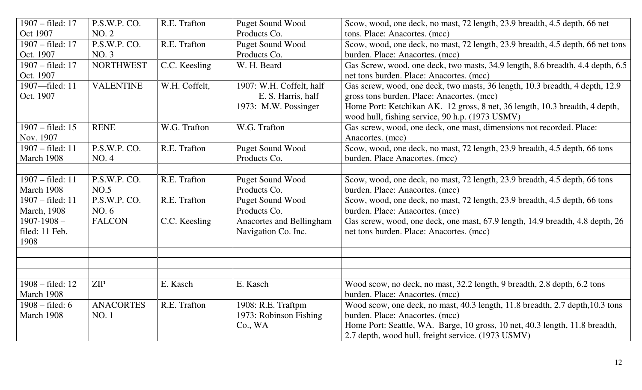| 1907 – filed: 17          | P.S.W.P. CO.     | R.E. Trafton  | <b>Puget Sound Wood</b>  | Scow, wood, one deck, no mast, 72 length, 23.9 breadth, 4.5 depth, 66 net                                                      |
|---------------------------|------------------|---------------|--------------------------|--------------------------------------------------------------------------------------------------------------------------------|
| Oct 1907                  | <b>NO. 2</b>     |               | Products Co.             | tons. Place: Anacortes. (mcc)                                                                                                  |
| 1907 – filed: 17          | P.S.W.P. CO.     | R.E. Trafton  | <b>Puget Sound Wood</b>  | Scow, wood, one deck, no mast, 72 length, 23.9 breadth, 4.5 depth, 66 net tons                                                 |
| Oct. 1907                 | NO.3             |               | Products Co.             | burden. Place: Anacortes. (mcc)                                                                                                |
| 1907 – filed: 17          | <b>NORTHWEST</b> | C.C. Keesling | W. H. Beard              | Gas Screw, wood, one deck, two masts, 34.9 length, 8.6 breadth, 4.4 depth, 6.5                                                 |
| Oct. 1907                 |                  |               |                          | net tons burden. Place: Anacortes. (mcc)                                                                                       |
| 1907-filed: 11            | <b>VALENTINE</b> | W.H. Coffelt, | 1907: W.H. Coffelt, half | Gas screw, wood, one deck, two masts, 36 length, 10.3 breadth, 4 depth, 12.9                                                   |
| Oct. 1907                 |                  |               | E. S. Harris, half       | gross tons burden. Place: Anacortes. (mcc)                                                                                     |
|                           |                  |               | 1973: M.W. Possinger     | Home Port: Ketchikan AK. 12 gross, 8 net, 36 length, 10.3 breadth, 4 depth,<br>wood hull, fishing service, 90 h.p. (1973 USMV) |
| 1907 – filed: 15          | <b>RENE</b>      | W.G. Trafton  | W.G. Trafton             | Gas screw, wood, one deck, one mast, dimensions not recorded. Place:                                                           |
| Nov. 1907                 |                  |               |                          | Anacortes. (mcc)                                                                                                               |
| 1907 – filed: 11          | P.S.W.P. CO.     | R.E. Trafton  | <b>Puget Sound Wood</b>  | Scow, wood, one deck, no mast, 72 length, 23.9 breadth, 4.5 depth, 66 tons                                                     |
| March 1908                | NO. 4            |               | Products Co.             | burden. Place Anacortes. (mcc)                                                                                                 |
|                           |                  |               |                          |                                                                                                                                |
| 1907 – filed: 11          | P.S.W.P. CO.     | R.E. Trafton  | <b>Puget Sound Wood</b>  | Scow, wood, one deck, no mast, 72 length, 23.9 breadth, 4.5 depth, 66 tons                                                     |
| March 1908                | NO.5             |               | Products Co.             | burden. Place: Anacortes. (mcc)                                                                                                |
| 1907 – filed: 11          | P.S.W.P. CO.     | R.E. Trafton  | <b>Puget Sound Wood</b>  | Scow, wood, one deck, no mast, 72 length, 23.9 breadth, 4.5 depth, 66 tons                                                     |
| <b>March</b> , 1908       | NO. 6            |               | Products Co.             | burden. Place: Anacortes. (mcc)                                                                                                |
| $1907 - 1908 -$           | <b>FALCON</b>    | C.C. Keesling | Anacortes and Bellingham | Gas screw, wood, one deck, one mast, 67.9 length, 14.9 breadth, 4.8 depth, 26                                                  |
| filed: 11 Feb.            |                  |               | Navigation Co. Inc.      | net tons burden. Place: Anacortes. (mcc)                                                                                       |
| 1908                      |                  |               |                          |                                                                                                                                |
|                           |                  |               |                          |                                                                                                                                |
|                           |                  |               |                          |                                                                                                                                |
| 1908 – filed: 12          | <b>ZIP</b>       | E. Kasch      | E. Kasch                 | Wood scow, no deck, no mast, 32.2 length, 9 breadth, 2.8 depth, 6.2 tons                                                       |
| March 1908                |                  |               |                          | burden. Place: Anacortes. (mcc)                                                                                                |
| $1908 - \text{field}$ : 6 | <b>ANACORTES</b> | R.E. Trafton  | 1908: R.E. Traftpm       | Wood scow, one deck, no mast, 40.3 length, 11.8 breadth, 2.7 depth, 10.3 tons                                                  |
| March 1908                | <b>NO.1</b>      |               | 1973: Robinson Fishing   | burden. Place: Anacortes. (mcc)                                                                                                |
|                           |                  |               | Co., WA                  | Home Port: Seattle, WA. Barge, 10 gross, 10 net, 40.3 length, 11.8 breadth,                                                    |
|                           |                  |               |                          | 2.7 depth, wood hull, freight service. (1973 USMV)                                                                             |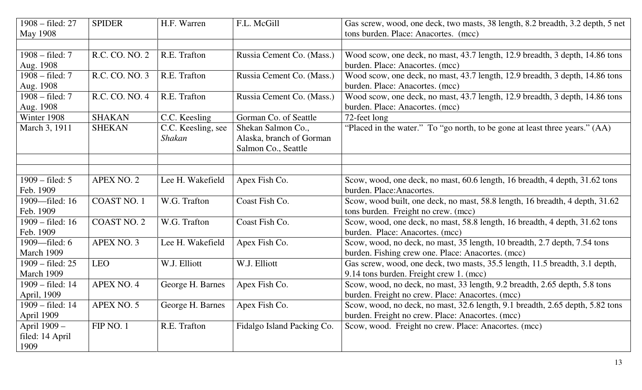| 1908 – filed: 27           | <b>SPIDER</b>      | H.F. Warren        | F.L. McGill                | Gas screw, wood, one deck, two masts, 38 length, 8.2 breadth, 3.2 depth, 5 net |
|----------------------------|--------------------|--------------------|----------------------------|--------------------------------------------------------------------------------|
| May 1908                   |                    |                    |                            | tons burden. Place: Anacortes. (mcc)                                           |
|                            |                    |                    |                            |                                                                                |
| $1908 - \text{filed}: 7$   | R.C. CO. NO. 2     | R.E. Trafton       | Russia Cement Co. (Mass.)  | Wood scow, one deck, no mast, 43.7 length, 12.9 breadth, 3 depth, 14.86 tons   |
| Aug. 1908                  |                    |                    |                            | burden. Place: Anacortes. (mcc)                                                |
| $1908 - \text{filed}: 7$   | R.C. CO. NO. 3     | R.E. Trafton       | Russia Cement Co. (Mass.)  | Wood scow, one deck, no mast, 43.7 length, 12.9 breadth, 3 depth, 14.86 tons   |
| Aug. 1908                  |                    |                    |                            | burden. Place: Anacortes. (mcc)                                                |
| $1908 - \text{field}$ : 7  | R.C. CO. NO. 4     | R.E. Trafton       | Russia Cement Co. (Mass.)  | Wood scow, one deck, no mast, 43.7 length, 12.9 breadth, 3 depth, 14.86 tons   |
| Aug. 1908                  |                    |                    |                            | burden. Place: Anacortes. (mcc)                                                |
| Winter 1908                | <b>SHAKAN</b>      | C.C. Keesling      | Gorman Co. of Seattle      | 72-feet long                                                                   |
| March 3, 1911              | <b>SHEKAN</b>      | C.C. Keesling, see | Shekan Salmon Co.,         | "Placed in the water." To "go north, to be gone at least three years." (AA)    |
|                            |                    | Shakan             | Alaska, branch of Gorman   |                                                                                |
|                            |                    |                    | Salmon Co., Seattle        |                                                                                |
|                            |                    |                    |                            |                                                                                |
|                            |                    |                    |                            |                                                                                |
| $1909 - \text{field}$ : 5  | <b>APEX NO. 2</b>  | Lee H. Wakefield   | Apex Fish Co.              | Scow, wood, one deck, no mast, 60.6 length, 16 breadth, 4 depth, 31.62 tons    |
| Feb. 1909                  |                    |                    |                            | burden. Place: Anacortes.                                                      |
| 1909-filed: 16             | <b>COAST NO. 1</b> | W.G. Trafton       | Coast Fish Co.             | Scow, wood built, one deck, no mast, 58.8 length, 16 breadth, 4 depth, 31.62   |
| Feb. 1909                  |                    |                    |                            | tons burden. Freight no crew. (mcc)                                            |
| 1909 – filed: 16           | <b>COAST NO. 2</b> | W.G. Trafton       | Coast Fish Co.             | Scow, wood, one deck, no mast, 58.8 length, 16 breadth, 4 depth, 31.62 tons    |
| Feb. 1909                  |                    |                    |                            | burden. Place: Anacortes. (mcc)                                                |
| 1909—filed: 6              | APEX NO. 3         | Lee H. Wakefield   | Apex Fish Co.              | Scow, wood, no deck, no mast, 35 length, 10 breadth, 2.7 depth, 7.54 tons      |
| March 1909                 |                    |                    |                            | burden. Fishing crew one. Place: Anacortes. (mcc)                              |
| $1909 - \text{field}$ : 25 | <b>LEO</b>         | W.J. Elliott       | W.J. Elliott               | Gas screw, wood, one deck, two masts, 35.5 length, 11.5 breadth, 3.1 depth,    |
| March 1909                 |                    |                    |                            | 9.14 tons burden. Freight crew 1. (mcc)                                        |
| 1909 – filed: 14           | APEX NO. 4         | George H. Barnes   | Apex Fish Co.              | Scow, wood, no deck, no mast, 33 length, 9.2 breadth, 2.65 depth, 5.8 tons     |
| April, 1909                |                    |                    |                            | burden. Freight no crew. Place: Anacortes. (mcc)                               |
| 1909 – filed: 14           | APEX NO. 5         | George H. Barnes   | Apex Fish Co.              | Scow, wood, no deck, no mast, 32.6 length, 9.1 breadth, 2.65 depth, 5.82 tons  |
| April 1909                 |                    |                    |                            | burden. Freight no crew. Place: Anacortes. (mcc)                               |
| April 1909 -               | FIP NO. 1          | R.E. Trafton       | Fidalgo Island Packing Co. | Scow, wood. Freight no crew. Place: Anacortes. (mcc)                           |
| filed: 14 April            |                    |                    |                            |                                                                                |
| 1909                       |                    |                    |                            |                                                                                |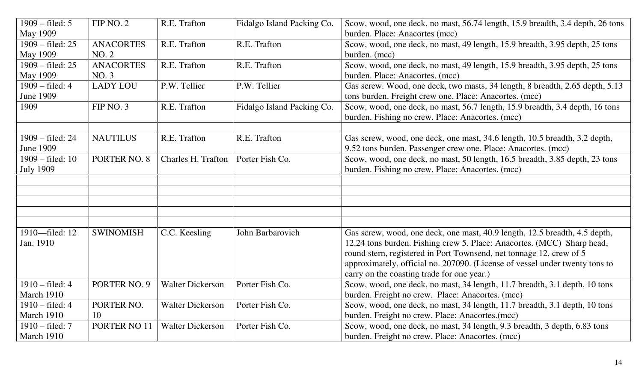| $1909 - \text{field}$ : 5 | FIP NO. 2        | R.E. Trafton            | Fidalgo Island Packing Co. | Scow, wood, one deck, no mast, 56.74 length, 15.9 breadth, 3.4 depth, 26 tons                                                    |
|---------------------------|------------------|-------------------------|----------------------------|----------------------------------------------------------------------------------------------------------------------------------|
| May 1909                  |                  |                         |                            | burden. Place: Anacortes (mcc)                                                                                                   |
| 1909 – filed: 25          | <b>ANACORTES</b> | R.E. Trafton            | R.E. Trafton               | Scow, wood, one deck, no mast, 49 length, 15.9 breadth, 3.95 depth, 25 tons                                                      |
| <b>May 1909</b>           | <b>NO. 2</b>     |                         |                            | burden. (mcc)                                                                                                                    |
| 1909 – filed: 25          | <b>ANACORTES</b> | R.E. Trafton            | R.E. Trafton               | Scow, wood, one deck, no mast, 49 length, 15.9 breadth, 3.95 depth, 25 tons                                                      |
| <b>May 1909</b>           | NO. 3            |                         |                            | burden. Place: Anacortes. (mcc)                                                                                                  |
| 1909 – filed: 4           | <b>LADY LOU</b>  | P.W. Tellier            | P.W. Tellier               | Gas screw. Wood, one deck, two masts, 34 length, 8 breadth, 2.65 depth, 5.13                                                     |
| <b>June 1909</b>          |                  |                         |                            | tons burden. Freight crew one. Place: Anacortes. (mcc)                                                                           |
| 1909                      | FIP NO. 3        | R.E. Trafton            | Fidalgo Island Packing Co. | Scow, wood, one deck, no mast, 56.7 length, 15.9 breadth, 3.4 depth, 16 tons<br>burden. Fishing no crew. Place: Anacortes. (mcc) |
|                           |                  |                         |                            |                                                                                                                                  |
| 1909 - filed: 24          | <b>NAUTILUS</b>  | R.E. Trafton            | R.E. Trafton               | Gas screw, wood, one deck, one mast, 34.6 length, 10.5 breadth, 3.2 depth,                                                       |
| <b>June 1909</b>          |                  |                         |                            | 9.52 tons burden. Passenger crew one. Place: Anacortes. (mcc)                                                                    |
| 1909 – filed: 10          | PORTER NO. 8     | Charles H. Trafton      | Porter Fish Co.            | Scow, wood, one deck, no mast, 50 length, 16.5 breadth, 3.85 depth, 23 tons                                                      |
| <b>July 1909</b>          |                  |                         |                            | burden. Fishing no crew. Place: Anacortes. (mcc)                                                                                 |
|                           |                  |                         |                            |                                                                                                                                  |
|                           |                  |                         |                            |                                                                                                                                  |
|                           |                  |                         |                            |                                                                                                                                  |
|                           |                  |                         |                            |                                                                                                                                  |
|                           |                  |                         |                            |                                                                                                                                  |
| 1910-filed: 12            | <b>SWINOMISH</b> | C.C. Keesling           | John Barbarovich           | Gas screw, wood, one deck, one mast, 40.9 length, 12.5 breadth, 4.5 depth,                                                       |
| Jan. 1910                 |                  |                         |                            | 12.24 tons burden. Fishing crew 5. Place: Anacortes. (MCC) Sharp head,                                                           |
|                           |                  |                         |                            | round stern, registered in Port Townsend, net tonnage 12, crew of 5                                                              |
|                           |                  |                         |                            | approximately, official no. 207090. (License of vessel under twenty tons to                                                      |
|                           |                  |                         |                            | carry on the coasting trade for one year.)                                                                                       |
| $1910 - \text{filed}: 4$  | PORTER NO. 9     | <b>Walter Dickerson</b> | Porter Fish Co.            | Scow, wood, one deck, no mast, 34 length, 11.7 breadth, 3.1 depth, 10 tons                                                       |
| March 1910                |                  |                         |                            | burden. Freight no crew. Place: Anacortes. (mcc)                                                                                 |
| $1910 - \text{filed}: 4$  | PORTER NO.       | <b>Walter Dickerson</b> | Porter Fish Co.            | Scow, wood, one deck, no mast, 34 length, 11.7 breadth, 3.1 depth, 10 tons                                                       |
| March 1910                | 10               |                         |                            | burden. Freight no crew. Place: Anacortes.(mcc)                                                                                  |
| $1910 - \text{filed}: 7$  | PORTER NO 11     | <b>Walter Dickerson</b> | Porter Fish Co.            | Scow, wood, one deck, no mast, 34 length, 9.3 breadth, 3 depth, 6.83 tons                                                        |
| March 1910                |                  |                         |                            | burden. Freight no crew. Place: Anacortes. (mcc)                                                                                 |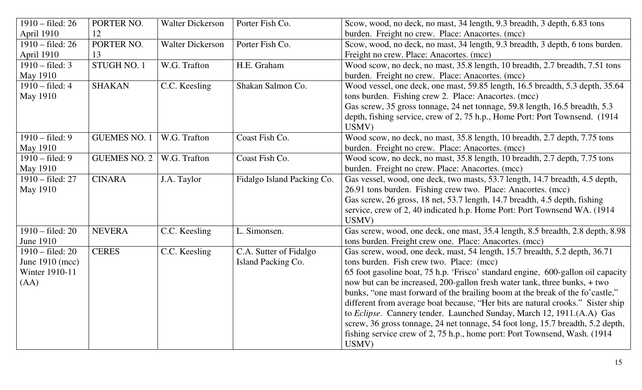| $1910 - \text{field}$ : 26 | PORTER NO.          | <b>Walter Dickerson</b> | Porter Fish Co.            | Scow, wood, no deck, no mast, 34 length, 9.3 breadth, 3 depth, 6.83 tons         |
|----------------------------|---------------------|-------------------------|----------------------------|----------------------------------------------------------------------------------|
| April 1910                 | 12                  |                         |                            | burden. Freight no crew. Place: Anacortes. (mcc)                                 |
| $1910 - \text{field}$ : 26 | PORTER NO.          | <b>Walter Dickerson</b> | Porter Fish Co.            | Scow, wood, no deck, no mast, 34 length, 9.3 breadth, 3 depth, 6 tons burden.    |
| April 1910                 | 13                  |                         |                            | Freight no crew. Place: Anacortes. (mcc)                                         |
| $1910 - \text{filed: } 3$  | STUGH NO. 1         | W.G. Trafton            | H.E. Graham                | Wood scow, no deck, no mast, 35.8 length, 10 breadth, 2.7 breadth, 7.51 tons     |
| <b>May 1910</b>            |                     |                         |                            | burden. Freight no crew. Place: Anacortes. (mcc)                                 |
| $1910 - \text{filed}: 4$   | <b>SHAKAN</b>       | C.C. Keesling           | Shakan Salmon Co.          | Wood vessel, one deck, one mast, 59.85 length, 16.5 breadth, 5.3 depth, 35.64    |
| May 1910                   |                     |                         |                            | tons burden. Fishing crew 2. Place: Anacortes. (mcc)                             |
|                            |                     |                         |                            | Gas screw, 35 gross tonnage, 24 net tonnage, 59.8 length, 16.5 breadth, 5.3      |
|                            |                     |                         |                            | depth, fishing service, crew of 2, 75 h.p., Home Port: Port Townsend. (1914)     |
|                            |                     |                         |                            | USMV)                                                                            |
| $1910 - \text{field}$ : 9  | <b>GUEMES NO. 1</b> | W.G. Trafton            | Coast Fish Co.             | Wood scow, no deck, no mast, 35.8 length, 10 breadth, 2.7 depth, 7.75 tons       |
| <b>May 1910</b>            |                     |                         |                            | burden. Freight no crew. Place: Anacortes. (mcc)                                 |
| $1910 - \text{field}$ : 9  | <b>GUEMES NO. 2</b> | W.G. Trafton            | Coast Fish Co.             | Wood scow, no deck, no mast, 35.8 length, 10 breadth, 2.7 depth, 7.75 tons       |
| May 1910                   |                     |                         |                            | burden. Freight no crew. Place: Anacortes. (mcc)                                 |
| 1910 - filed: 27           | <b>CINARA</b>       | J.A. Taylor             | Fidalgo Island Packing Co. | Gas vessel, wood, one deck, two masts, 53.7 length, 14.7 breadth, 4.5 depth,     |
| <b>May 1910</b>            |                     |                         |                            | 26.91 tons burden. Fishing crew two. Place: Anacortes. (mcc)                     |
|                            |                     |                         |                            | Gas screw, 26 gross, 18 net, 53.7 length, 14.7 breadth, 4.5 depth, fishing       |
|                            |                     |                         |                            | service, crew of 2, 40 indicated h.p. Home Port: Port Townsend WA. (1914)        |
|                            |                     |                         |                            | USMV)                                                                            |
| $1910 - \text{field}$ : 20 | <b>NEVERA</b>       | C.C. Keesling           | L. Simonsen.               | Gas screw, wood, one deck, one mast, 35.4 length, 8.5 breadth, 2.8 depth, 8.98   |
| <b>June 1910</b>           |                     |                         |                            | tons burden. Freight crew one. Place: Anacortes. (mcc)                           |
| $1910 - \text{field}$ : 20 | <b>CERES</b>        | C.C. Keesling           | C.A. Sutter of Fidalgo     | Gas screw, wood, one deck, mast, 54 length, 15.7 breadth, 5.2 depth, 36.71       |
| June 1910 (mcc)            |                     |                         | Island Packing Co.         | tons burden. Fish crew two. Place: (mcc)                                         |
| Winter 1910-11             |                     |                         |                            | 65 foot gasoline boat, 75 h.p. 'Frisco' standard engine, 600-gallon oil capacity |
| (AA)                       |                     |                         |                            | now but can be increased, 200-gallon fresh water tank, three bunks, + two        |
|                            |                     |                         |                            | bunks, "one mast forward of the brailing boom at the break of the fo'castle,"    |
|                            |                     |                         |                            | different from average boat because, "Her bits are natural crooks." Sister ship  |
|                            |                     |                         |                            | to <i>Eclipse</i> . Cannery tender. Launched Sunday, March 12, 1911.(A.A) Gas    |
|                            |                     |                         |                            | screw, 36 gross tonnage, 24 net tonnage, 54 foot long, 15.7 breadth, 5.2 depth,  |
|                            |                     |                         |                            | fishing service crew of 2, 75 h.p., home port: Port Townsend, Wash. (1914)       |
|                            |                     |                         |                            | USMV)                                                                            |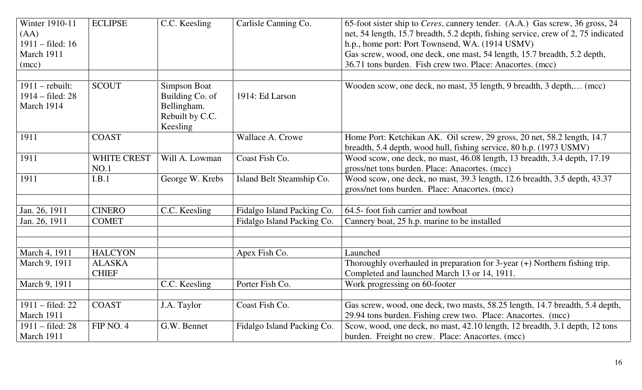| Winter 1910-11<br>(AA)<br>$1911 - \text{field}$ : 16<br>March 1911<br>(mcc) | <b>ECLIPSE</b>                | C.C. Keesling                                                                        | Carlisle Canning Co.       | 65-foot sister ship to Ceres, cannery tender. (A.A.) Gas screw, 36 gross, 24<br>net, 54 length, 15.7 breadth, 5.2 depth, fishing service, crew of 2, 75 indicated<br>h.p., home port: Port Townsend, WA. (1914 USMV)<br>Gas screw, wood, one deck, one mast, 54 length, 15.7 breadth, 5.2 depth,<br>36.71 tons burden. Fish crew two. Place: Anacortes. (mcc) |
|-----------------------------------------------------------------------------|-------------------------------|--------------------------------------------------------------------------------------|----------------------------|---------------------------------------------------------------------------------------------------------------------------------------------------------------------------------------------------------------------------------------------------------------------------------------------------------------------------------------------------------------|
| $1911$ – rebuilt:<br>1914 – filed: 28<br>March 1914                         | <b>SCOUT</b>                  | <b>Simpson Boat</b><br>Building Co. of<br>Bellingham.<br>Rebuilt by C.C.<br>Keesling | 1914: Ed Larson            | Wooden scow, one deck, no mast, 35 length, 9 breadth, 3 depth, (mcc)                                                                                                                                                                                                                                                                                          |
| 1911                                                                        | <b>COAST</b>                  |                                                                                      | Wallace A. Crowe           | Home Port: Ketchikan AK. Oil screw, 29 gross, 20 net, 58.2 length, 14.7<br>breadth, 5.4 depth, wood hull, fishing service, 80 h.p. (1973 USMV)                                                                                                                                                                                                                |
| 1911                                                                        | <b>WHITE CREST</b><br>NO.1    | Will A. Lowman                                                                       | Coast Fish Co.             | Wood scow, one deck, no mast, 46.08 length, 13 breadth, 3.4 depth, 17.19<br>gross/net tons burden. Place: Anacortes. (mcc)                                                                                                                                                                                                                                    |
| 1911                                                                        | I.B.1                         | George W. Krebs                                                                      | Island Belt Steamship Co.  | Wood scow, one deck, no mast, 39.3 length, 12.6 breadth, 3.5 depth, 43.37<br>gross/net tons burden. Place: Anacortes. (mcc)                                                                                                                                                                                                                                   |
| Jan. 26, 1911                                                               | <b>CINERO</b>                 | C.C. Keesling                                                                        | Fidalgo Island Packing Co. | 64.5- foot fish carrier and towboat                                                                                                                                                                                                                                                                                                                           |
| Jan. 26, 1911                                                               | <b>COMET</b>                  |                                                                                      | Fidalgo Island Packing Co. | Cannery boat, 25 h.p. marine to be installed                                                                                                                                                                                                                                                                                                                  |
| March 4, 1911                                                               | <b>HALCYON</b>                |                                                                                      | Apex Fish Co.              | Launched                                                                                                                                                                                                                                                                                                                                                      |
| March 9, 1911                                                               | <b>ALASKA</b><br><b>CHIEF</b> |                                                                                      |                            | Thoroughly overhauled in preparation for $3$ -year $(+)$ Northern fishing trip.<br>Completed and launched March 13 or 14, 1911.                                                                                                                                                                                                                               |
| March 9, 1911                                                               |                               | C.C. Keesling                                                                        | Porter Fish Co.            | Work progressing on 60-footer                                                                                                                                                                                                                                                                                                                                 |
| 1911 – filed: 22<br>March 1911                                              | <b>COAST</b>                  | J.A. Taylor                                                                          | Coast Fish Co.             | Gas screw, wood, one deck, two masts, 58.25 length, 14.7 breadth, 5.4 depth,<br>29.94 tons burden. Fishing crew two. Place: Anacortes. (mcc)                                                                                                                                                                                                                  |
| 1911 – filed: 28<br>March 1911                                              | FIP NO. 4                     | G.W. Bennet                                                                          | Fidalgo Island Packing Co. | Scow, wood, one deck, no mast, 42.10 length, 12 breadth, 3.1 depth, 12 tons<br>burden. Freight no crew. Place: Anacortes. (mcc)                                                                                                                                                                                                                               |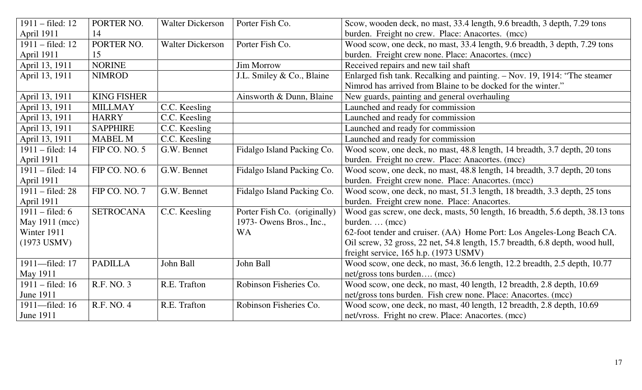| $1911 - \text{field}$ : 12 | PORTER NO.         | <b>Walter Dickerson</b> | Porter Fish Co.              | Scow, wooden deck, no mast, 33.4 length, 9.6 breadth, 3 depth, 7.29 tons      |
|----------------------------|--------------------|-------------------------|------------------------------|-------------------------------------------------------------------------------|
| April 1911                 | 14                 |                         |                              | burden. Freight no crew. Place: Anacortes. (mcc)                              |
| $1911 - \text{field}$ : 12 | PORTER NO.         | <b>Walter Dickerson</b> | Porter Fish Co.              | Wood scow, one deck, no mast, 33.4 length, 9.6 breadth, 3 depth, 7.29 tons    |
| April 1911                 | 15                 |                         |                              | burden. Freight crew none. Place: Anacortes. (mcc)                            |
| April 13, 1911             | <b>NORINE</b>      |                         | <b>Jim Morrow</b>            | Received repairs and new tail shaft                                           |
| April 13, 1911             | <b>NIMROD</b>      |                         | J.L. Smiley & Co., Blaine    | Enlarged fish tank. Recalking and painting. - Nov. 19, 1914: "The steamer     |
|                            |                    |                         |                              | Nimrod has arrived from Blaine to be docked for the winter."                  |
| April 13, 1911             | <b>KING FISHER</b> |                         | Ainsworth & Dunn, Blaine     | New guards, painting and general overhauling                                  |
| April 13, 1911             | <b>MILLMAY</b>     | C.C. Keesling           |                              | Launched and ready for commission                                             |
| April 13, 1911             | <b>HARRY</b>       | C.C. Keesling           |                              | Launched and ready for commission                                             |
| April 13, 1911             | <b>SAPPHIRE</b>    | C.C. Keesling           |                              | Launched and ready for commission                                             |
| April 13, 1911             | <b>MABEL M</b>     | C.C. Keesling           |                              | Launched and ready for commission                                             |
| 1911 – filed: 14           | FIP CO. NO. 5      | G.W. Bennet             | Fidalgo Island Packing Co.   | Wood scow, one deck, no mast, 48.8 length, 14 breadth, 3.7 depth, 20 tons     |
| April 1911                 |                    |                         |                              | burden. Freight no crew. Place: Anacortes. (mcc)                              |
| 1911 – filed: 14           | FIP CO. NO. 6      | G.W. Bennet             | Fidalgo Island Packing Co.   | Wood scow, one deck, no mast, 48.8 length, 14 breadth, 3.7 depth, 20 tons     |
| April 1911                 |                    |                         |                              | burden. Freight crew none. Place: Anacortes. (mcc)                            |
| $1911 - \text{field}$ : 28 | FIP CO. NO. 7      | G.W. Bennet             | Fidalgo Island Packing Co.   | Wood scow, one deck, no mast, 51.3 length, 18 breadth, 3.3 depth, 25 tons     |
| April 1911                 |                    |                         |                              | burden. Freight crew none. Place: Anacortes.                                  |
| $1911 - \text{field}$ : 6  | <b>SETROCANA</b>   | C.C. Keesling           | Porter Fish Co. (originally) | Wood gas screw, one deck, masts, 50 length, 16 breadth, 5.6 depth, 38.13 tons |
| May 1911 (mcc)             |                    |                         | 1973- Owens Bros., Inc.,     | burden (mcc)                                                                  |
| Winter 1911                |                    |                         | <b>WA</b>                    | 62-foot tender and cruiser. (AA) Home Port: Los Angeles-Long Beach CA.        |
| $(1973$ USMV)              |                    |                         |                              | Oil screw, 32 gross, 22 net, 54.8 length, 15.7 breadth, 6.8 depth, wood hull, |
|                            |                    |                         |                              | freight service, 165 h.p. (1973 USMV)                                         |
| 1911-filed: 17             | <b>PADILLA</b>     | John Ball               | John Ball                    | Wood scow, one deck, no mast, 36.6 length, 12.2 breadth, 2.5 depth, 10.77     |
| May 1911                   |                    |                         |                              | net/gross tons burden (mcc)                                                   |
| $1911 - \text{field}$ : 16 | R.F. NO. 3         | R.E. Trafton            | Robinson Fisheries Co.       | Wood scow, one deck, no mast, 40 length, 12 breadth, 2.8 depth, 10.69         |
| <b>June 1911</b>           |                    |                         |                              | net/gross tons burden. Fish crew none. Place: Anacortes. (mcc)                |
| 1911-filed: 16             | R.F. NO. 4         | R.E. Trafton            | Robinson Fisheries Co.       | Wood scow, one deck, no mast, 40 length, 12 breadth, 2.8 depth, 10.69         |
| June 1911                  |                    |                         |                              | net/vross. Fright no crew. Place: Anacortes. (mcc)                            |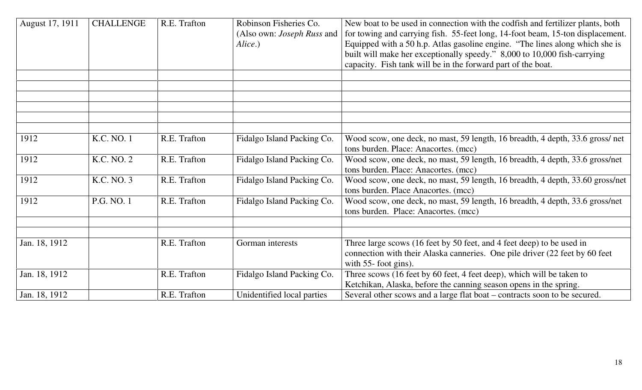| August 17, 1911 | <b>CHALLENGE</b> | R.E. Trafton | Robinson Fisheries Co.<br>(Also own: <i>Joseph Russ</i> and<br>Alice.) | New boat to be used in connection with the codfish and fertilizer plants, both<br>for towing and carrying fish. 55-feet long, 14-foot beam, 15-ton displacement.<br>Equipped with a 50 h.p. Atlas gasoline engine. "The lines along which she is<br>built will make her exceptionally speedy." 8,000 to 10,000 fish-carrying<br>capacity. Fish tank will be in the forward part of the boat. |
|-----------------|------------------|--------------|------------------------------------------------------------------------|----------------------------------------------------------------------------------------------------------------------------------------------------------------------------------------------------------------------------------------------------------------------------------------------------------------------------------------------------------------------------------------------|
|                 |                  |              |                                                                        |                                                                                                                                                                                                                                                                                                                                                                                              |
|                 |                  |              |                                                                        |                                                                                                                                                                                                                                                                                                                                                                                              |
|                 |                  |              |                                                                        |                                                                                                                                                                                                                                                                                                                                                                                              |
|                 |                  |              |                                                                        |                                                                                                                                                                                                                                                                                                                                                                                              |
|                 |                  |              |                                                                        |                                                                                                                                                                                                                                                                                                                                                                                              |
| 1912            | K.C. NO. 1       | R.E. Trafton | Fidalgo Island Packing Co.                                             | Wood scow, one deck, no mast, 59 length, 16 breadth, 4 depth, 33.6 gross/net<br>tons burden. Place: Anacortes. (mcc)                                                                                                                                                                                                                                                                         |
| 1912            | K.C. NO. 2       | R.E. Trafton | Fidalgo Island Packing Co.                                             | Wood scow, one deck, no mast, 59 length, 16 breadth, 4 depth, 33.6 gross/net<br>tons burden. Place: Anacortes. (mcc)                                                                                                                                                                                                                                                                         |
| 1912            | K.C. NO. 3       | R.E. Trafton | Fidalgo Island Packing Co.                                             | Wood scow, one deck, no mast, 59 length, 16 breadth, 4 depth, 33.60 gross/net<br>tons burden. Place Anacortes. (mcc)                                                                                                                                                                                                                                                                         |
| 1912            | P.G. NO. 1       | R.E. Trafton | Fidalgo Island Packing Co.                                             | Wood scow, one deck, no mast, 59 length, 16 breadth, 4 depth, 33.6 gross/net<br>tons burden. Place: Anacortes. (mcc)                                                                                                                                                                                                                                                                         |
|                 |                  |              |                                                                        |                                                                                                                                                                                                                                                                                                                                                                                              |
| Jan. 18, 1912   |                  | R.E. Trafton | Gorman interests                                                       | Three large scows (16 feet by 50 feet, and 4 feet deep) to be used in<br>connection with their Alaska canneries. One pile driver (22 feet by 60 feet)<br>with $55$ - foot gins).                                                                                                                                                                                                             |
| Jan. 18, 1912   |                  | R.E. Trafton | Fidalgo Island Packing Co.                                             | Three scows (16 feet by 60 feet, 4 feet deep), which will be taken to<br>Ketchikan, Alaska, before the canning season opens in the spring.                                                                                                                                                                                                                                                   |
| Jan. 18, 1912   |                  | R.E. Trafton | Unidentified local parties                                             | Several other scows and a large flat boat – contracts soon to be secured.                                                                                                                                                                                                                                                                                                                    |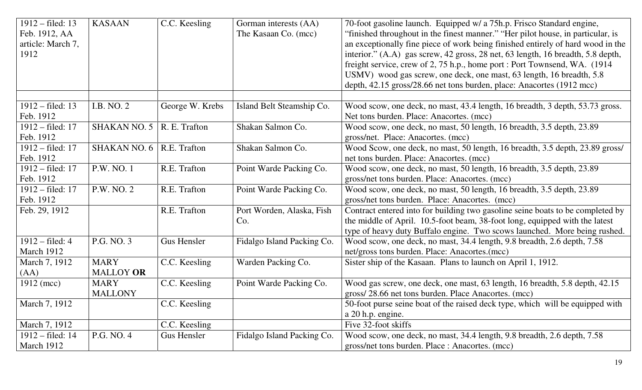| $1912 - filed: 13$<br>Feb. 1912, AA<br>article: March 7,<br>1912 | <b>KASAAN</b>       | C.C. Keesling      | Gorman interests (AA)<br>The Kasaan Co. (mcc) | 70-foot gasoline launch. Equipped w/ a 75h.p. Frisco Standard engine,<br>"finished throughout in the finest manner." "Her pilot house, in particular, is<br>an exceptionally fine piece of work being finished entirely of hard wood in the<br>interior." (A.A) gas screw, 42 gross, 28 net, 63 length, 16 breadth, 5.8 depth,<br>freight service, crew of 2, 75 h.p., home port : Port Townsend, WA. (1914)<br>USMV) wood gas screw, one deck, one mast, 63 length, 16 breadth, 5.8<br>depth, 42.15 gross/28.66 net tons burden, place: Anacortes (1912 mcc) |
|------------------------------------------------------------------|---------------------|--------------------|-----------------------------------------------|---------------------------------------------------------------------------------------------------------------------------------------------------------------------------------------------------------------------------------------------------------------------------------------------------------------------------------------------------------------------------------------------------------------------------------------------------------------------------------------------------------------------------------------------------------------|
|                                                                  |                     |                    |                                               |                                                                                                                                                                                                                                                                                                                                                                                                                                                                                                                                                               |
| $1912 - filed: 13$                                               | I.B. NO. 2          | George W. Krebs    | Island Belt Steamship Co.                     | Wood scow, one deck, no mast, 43.4 length, 16 breadth, 3 depth, 53.73 gross.                                                                                                                                                                                                                                                                                                                                                                                                                                                                                  |
| Feb. 1912                                                        |                     |                    |                                               | Net tons burden. Place: Anacortes. (mcc)                                                                                                                                                                                                                                                                                                                                                                                                                                                                                                                      |
| 1912 – filed: 17                                                 | <b>SHAKAN NO. 5</b> | R. E. Trafton      | Shakan Salmon Co.                             | Wood scow, one deck, no mast, 50 length, 16 breadth, 3.5 depth, 23.89                                                                                                                                                                                                                                                                                                                                                                                                                                                                                         |
| Feb. 1912                                                        |                     |                    |                                               | gross/net. Place: Anacortes. (mcc)                                                                                                                                                                                                                                                                                                                                                                                                                                                                                                                            |
| 1912 – filed: 17                                                 | <b>SHAKAN NO. 6</b> | R.E. Trafton       | Shakan Salmon Co.                             | Wood Scow, one deck, no mast, 50 length, 16 breadth, 3.5 depth, 23.89 gross/                                                                                                                                                                                                                                                                                                                                                                                                                                                                                  |
| Feb. 1912                                                        |                     |                    |                                               | net tons burden. Place: Anacortes. (mcc)                                                                                                                                                                                                                                                                                                                                                                                                                                                                                                                      |
| 1912 – filed: 17                                                 | P.W. NO. 1          | R.E. Trafton       | Point Warde Packing Co.                       | Wood scow, one deck, no mast, 50 length, 16 breadth, 3.5 depth, 23.89                                                                                                                                                                                                                                                                                                                                                                                                                                                                                         |
| Feb. 1912                                                        |                     |                    |                                               | gross/net tons burden. Place: Anacortes. (mcc)                                                                                                                                                                                                                                                                                                                                                                                                                                                                                                                |
| $1912 - \text{field}$ : 17                                       | P.W. NO. 2          | R.E. Trafton       | Point Warde Packing Co.                       | Wood scow, one deck, no mast, 50 length, 16 breadth, 3.5 depth, 23.89                                                                                                                                                                                                                                                                                                                                                                                                                                                                                         |
| Feb. 1912                                                        |                     |                    |                                               | gross/net tons burden. Place: Anacortes. (mcc)                                                                                                                                                                                                                                                                                                                                                                                                                                                                                                                |
| Feb. 29, 1912                                                    |                     | R.E. Trafton       | Port Worden, Alaska, Fish                     | Contract entered into for building two gasoline seine boats to be completed by                                                                                                                                                                                                                                                                                                                                                                                                                                                                                |
|                                                                  |                     |                    | Co.                                           | the middle of April. 10.5-foot beam, 38-foot long, equipped with the latest                                                                                                                                                                                                                                                                                                                                                                                                                                                                                   |
|                                                                  |                     |                    |                                               | type of heavy duty Buffalo engine. Two scows launched. More being rushed.                                                                                                                                                                                                                                                                                                                                                                                                                                                                                     |
| $1912 - filed: 4$                                                | P.G. NO. 3          | Gus Hensler        | Fidalgo Island Packing Co.                    | Wood scow, one deck, no mast, 34.4 length, 9.8 breadth, 2.6 depth, 7.58                                                                                                                                                                                                                                                                                                                                                                                                                                                                                       |
| March 1912                                                       |                     |                    |                                               | net/gross tons burden. Place: Anacortes.(mcc)                                                                                                                                                                                                                                                                                                                                                                                                                                                                                                                 |
| March 7, 1912                                                    | <b>MARY</b>         | C.C. Keesling      | Warden Packing Co.                            | Sister ship of the Kasaan. Plans to launch on April 1, 1912.                                                                                                                                                                                                                                                                                                                                                                                                                                                                                                  |
| (AA)                                                             | <b>MALLOY OR</b>    |                    |                                               |                                                                                                                                                                                                                                                                                                                                                                                                                                                                                                                                                               |
| 1912 (mcc)                                                       | <b>MARY</b>         | C.C. Keesling      | Point Warde Packing Co.                       | Wood gas screw, one deck, one mast, 63 length, 16 breadth, 5.8 depth, 42.15                                                                                                                                                                                                                                                                                                                                                                                                                                                                                   |
|                                                                  | <b>MALLONY</b>      |                    |                                               | gross/28.66 net tons burden. Place Anacortes. (mcc)                                                                                                                                                                                                                                                                                                                                                                                                                                                                                                           |
| March 7, 1912                                                    |                     | C.C. Keesling      |                                               | 50-foot purse seine boat of the raised deck type, which will be equipped with                                                                                                                                                                                                                                                                                                                                                                                                                                                                                 |
|                                                                  |                     |                    |                                               | a 20 h.p. engine.                                                                                                                                                                                                                                                                                                                                                                                                                                                                                                                                             |
| March 7, 1912                                                    |                     | C.C. Keesling      |                                               | Five 32-foot skiffs                                                                                                                                                                                                                                                                                                                                                                                                                                                                                                                                           |
| 1912 – filed: 14                                                 | P.G. NO. 4          | <b>Gus Hensler</b> | Fidalgo Island Packing Co.                    | Wood scow, one deck, no mast, 34.4 length, 9.8 breadth, 2.6 depth, 7.58                                                                                                                                                                                                                                                                                                                                                                                                                                                                                       |
| March 1912                                                       |                     |                    |                                               | gross/net tons burden. Place : Anacortes. (mcc)                                                                                                                                                                                                                                                                                                                                                                                                                                                                                                               |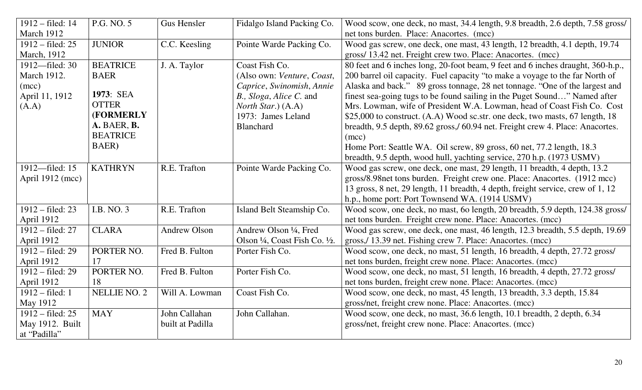| 1912 – filed: 14           | P.G. NO. 5      | <b>Gus Hensler</b>  | Fidalgo Island Packing Co.     | Wood scow, one deck, no mast, 34.4 length, 9.8 breadth, 2.6 depth, 7.58 gross/  |
|----------------------------|-----------------|---------------------|--------------------------------|---------------------------------------------------------------------------------|
| March 1912                 |                 |                     |                                | net tons burden. Place: Anacortes. (mcc)                                        |
| $1912 - \text{field}$ : 25 | <b>JUNIOR</b>   | C.C. Keesling       | Pointe Warde Packing Co.       | Wood gas screw, one deck, one mast, 43 length, 12 breadth, 4.1 depth, 19.74     |
| March, 1912                |                 |                     |                                | gross/ 13.42 net. Freight crew two. Place: Anacortes. (mcc)                     |
| 1912—filed: 30             | <b>BEATRICE</b> | J. A. Taylor        | Coast Fish Co.                 | 80 feet and 6 inches long, 20-foot beam, 9 feet and 6 inches draught, 360-h.p., |
| March 1912.                | <b>BAER</b>     |                     | (Also own: Venture, Coast,     | 200 barrel oil capacity. Fuel capacity "to make a voyage to the far North of    |
| (mcc)                      |                 |                     | Caprice, Swinomish, Annie      | Alaska and back." 89 gross tonnage, 28 net tonnage. "One of the largest and     |
| April 11, 1912             | 1973: SEA       |                     | B., Sloga, Alice C. and        | finest sea-going tugs to be found sailing in the Puget Sound" Named after       |
| (A.A)                      | <b>OTTER</b>    |                     | North Star.) (A.A)             | Mrs. Lowman, wife of President W.A. Lowman, head of Coast Fish Co. Cost         |
|                            | (FORMERLY       |                     | 1973: James Leland             | \$25,000 to construct. (A.A) Wood sc.str. one deck, two masts, 67 length, 18    |
|                            | A. BAER, B.     |                     | <b>Blanchard</b>               | breadth, 9.5 depth, 89.62 gross,/ 60.94 net. Freight crew 4. Place: Anacortes.  |
|                            | <b>BEATRICE</b> |                     |                                | (mcc)                                                                           |
|                            | BAER)           |                     |                                | Home Port: Seattle WA. Oil screw, 89 gross, 60 net, 77.2 length, 18.3           |
|                            |                 |                     |                                | breadth, 9.5 depth, wood hull, yachting service, 270 h.p. (1973 USMV)           |
| 1912-filed: 15             | <b>KATHRYN</b>  | R.E. Trafton        | Pointe Warde Packing Co.       | Wood gas screw, one deck, one mast, 29 length, 11 breadth, 4 depth, 13.2        |
| April 1912 (mcc)           |                 |                     |                                | gross/8.98net tons burden. Freight crew one. Place: Anacortes. (1912 mcc)       |
|                            |                 |                     |                                | 13 gross, 8 net, 29 length, 11 breadth, 4 depth, freight service, crew of 1, 12 |
|                            |                 |                     |                                | h.p., home port: Port Townsend WA. (1914 USMV)                                  |
| 1912 – filed: 23           | I.B. NO. 3      | R.E. Trafton        | Island Belt Steamship Co.      | Wood scow, one deck, no mast, 6o length, 20 breadth, 5.9 depth, 124.38 gross/   |
| April 1912                 |                 |                     |                                | net tons burden. Freight crew none. Place: Anacortes. (mcc)                     |
| 1912 - filed: 27           | <b>CLARA</b>    | <b>Andrew Olson</b> | Andrew Olson 1/4, Fred         | Wood gas screw, one deck, one mast, 46 length, 12.3 breadth, 5.5 depth, 19.69   |
| April 1912                 |                 |                     | Olson 1/4, Coast Fish Co. 1/2. | gross, 13.39 net. Fishing crew 7. Place: Anacortes. (mcc)                       |
| 1912 - filed: 29           | PORTER NO.      | Fred B. Fulton      | Porter Fish Co.                | Wood scow, one deck, no mast, 51 length, 16 breadth, 4 depth, 27.72 gross/      |
| April 1912                 | 17              |                     |                                | net tons burden, freight crew none. Place: Anacortes. (mcc)                     |
| 1912 – filed: 29           | PORTER NO.      | Fred B. Fulton      | Porter Fish Co.                | Wood scow, one deck, no mast, 51 length, 16 breadth, 4 depth, 27.72 gross/      |
| April 1912                 | 18              |                     |                                | net tons burden, freight crew none. Place: Anacortes. (mcc)                     |
| $1912 - filed: 1$          | NELLIE NO. 2    | Will A. Lowman      | Coast Fish Co.                 | Wood scow, one deck, no mast, 45 length, 13 breadth, 3.3 depth, 15.84           |
| May 1912                   |                 |                     |                                | gross/net, freight crew none. Place: Anacortes. (mcc)                           |
| 1912 – filed: 25           | <b>MAY</b>      | John Callahan       | John Callahan.                 | Wood scow, one deck, no mast, 36.6 length, 10.1 breadth, 2 depth, 6.34          |
| May 1912. Built            |                 | built at Padilla    |                                | gross/net, freight crew none. Place: Anacortes. (mcc)                           |
| at "Padilla"               |                 |                     |                                |                                                                                 |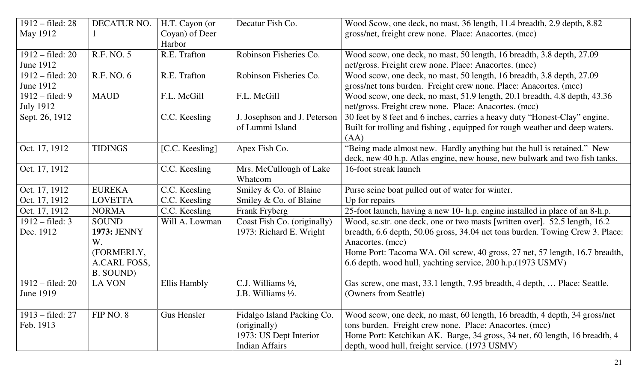| $1912 - filed: 28$<br>May 1912                 | DECATUR NO.                                                                  | H.T. Cayon (or<br>Coyan) of Deer | Decatur Fish Co.                                                                              | Wood Scow, one deck, no mast, 36 length, 11.4 breadth, 2.9 depth, 8.82<br>gross/net, freight crew none. Place: Anacortes. (mcc)                                                                                                                                                                                                |
|------------------------------------------------|------------------------------------------------------------------------------|----------------------------------|-----------------------------------------------------------------------------------------------|--------------------------------------------------------------------------------------------------------------------------------------------------------------------------------------------------------------------------------------------------------------------------------------------------------------------------------|
| $1912 - \text{field}$ : 20<br><b>June 1912</b> | R.F. NO. 5                                                                   | Harbor<br>R.E. Trafton           | Robinson Fisheries Co.                                                                        | Wood scow, one deck, no mast, 50 length, 16 breadth, 3.8 depth, 27.09<br>net/gross. Freight crew none. Place: Anacortes. (mcc)                                                                                                                                                                                                 |
| $1912 - \text{field}$ : 20<br>June 1912        | R.F. NO. 6                                                                   | R.E. Trafton                     | Robinson Fisheries Co.                                                                        | Wood scow, one deck, no mast, 50 length, 16 breadth, 3.8 depth, 27.09<br>gross/net tons burden. Freight crew none. Place: Anacortes. (mcc)                                                                                                                                                                                     |
| $1912 - \text{field}$ : 9<br><b>July 1912</b>  | <b>MAUD</b>                                                                  | F.L. McGill                      | F.L. McGill                                                                                   | Wood scow, one deck, no mast, 51.9 length, 20.1 breadth, 4.8 depth, 43.36<br>net/gross. Freight crew none. Place: Anacortes. (mcc)                                                                                                                                                                                             |
| Sept. 26, 1912                                 |                                                                              | C.C. Keesling                    | J. Josephson and J. Peterson<br>of Lummi Island                                               | 30 feet by 8 feet and 6 inches, carries a heavy duty "Honest-Clay" engine.<br>Built for trolling and fishing, equipped for rough weather and deep waters.<br>(AA)                                                                                                                                                              |
| Oct. 17, 1912                                  | <b>TIDINGS</b>                                                               | [C.C. Keesling]                  | Apex Fish Co.                                                                                 | "Being made almost new. Hardly anything but the hull is retained." New<br>deck, new 40 h.p. Atlas engine, new house, new bulwark and two fish tanks.                                                                                                                                                                           |
| Oct. 17, 1912                                  |                                                                              | C.C. Keesling                    | Mrs. McCullough of Lake<br>Whatcom                                                            | 16-foot streak launch                                                                                                                                                                                                                                                                                                          |
| Oct. 17, 1912                                  | <b>EUREKA</b>                                                                | C.C. Keesling                    | Smiley & Co. of Blaine                                                                        | Purse seine boat pulled out of water for winter.                                                                                                                                                                                                                                                                               |
| Oct. 17, 1912                                  | <b>LOVETTA</b>                                                               | C.C. Keesling                    | Smiley & Co. of Blaine                                                                        | Up for repairs                                                                                                                                                                                                                                                                                                                 |
| Oct. 17, 1912                                  | <b>NORMA</b>                                                                 | C.C. Keesling                    | Frank Fryberg                                                                                 | 25-foot launch, having a new 10- h.p. engine installed in place of an 8-h.p.                                                                                                                                                                                                                                                   |
| $1912 - \text{field: } 3$<br>Dec. 1912         | <b>SOUND</b><br>1973: JENNY<br>W.<br>(FORMERLY,<br>A.CARL FOSS,<br>B. SOUND) | Will A. Lowman                   | Coast Fish Co. (originally)<br>1973: Richard E. Wright                                        | Wood, sc.str. one deck, one or two masts [written over]. 52.5 length, 16.2<br>breadth, 6.6 depth, 50.06 gross, 34.04 net tons burden. Towing Crew 3. Place:<br>Anacortes. (mcc)<br>Home Port: Tacoma WA. Oil screw, 40 gross, 27 net, 57 length, 16.7 breadth,<br>6.6 depth, wood hull, yachting service, 200 h.p. (1973 USMV) |
| $1912 - filed: 20$<br><b>June 1919</b>         | <b>LA VON</b>                                                                | Ellis Hambly                     | C.J. Williams 1/2,<br>J.B. Williams $\frac{1}{2}$ .                                           | Gas screw, one mast, 33.1 length, 7.95 breadth, 4 depth,  Place: Seattle.<br>(Owners from Seattle)                                                                                                                                                                                                                             |
| $1913 - filed: 27$<br>Feb. 1913                | FIP NO. 8                                                                    | <b>Gus Hensler</b>               | Fidalgo Island Packing Co.<br>(originally)<br>1973: US Dept Interior<br><b>Indian Affairs</b> | Wood scow, one deck, no mast, 60 length, 16 breadth, 4 depth, 34 gross/net<br>tons burden. Freight crew none. Place: Anacortes. (mcc)<br>Home Port: Ketchikan AK. Barge, 34 gross, 34 net, 60 length, 16 breadth, 4<br>depth, wood hull, freight service. (1973 USMV)                                                          |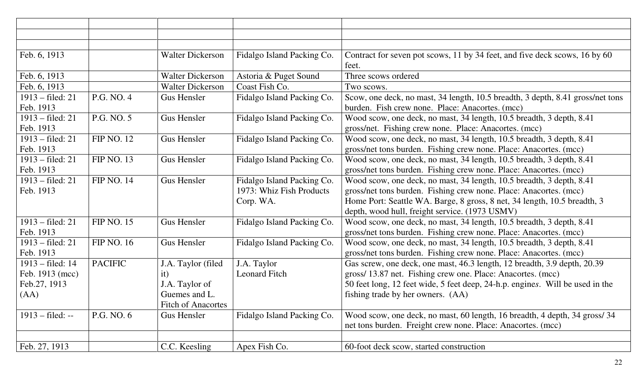| Feb. 6, 1913               |                   | <b>Walter Dickerson</b>   | Fidalgo Island Packing Co. | Contract for seven pot scows, 11 by 34 feet, and five deck scows, 16 by 60     |
|----------------------------|-------------------|---------------------------|----------------------------|--------------------------------------------------------------------------------|
|                            |                   |                           |                            | feet.                                                                          |
| Feb. 6, 1913               |                   | <b>Walter Dickerson</b>   | Astoria & Puget Sound      | Three scows ordered                                                            |
| Feb. 6, 1913               |                   | <b>Walter Dickerson</b>   | Coast Fish Co.             | Two scows.                                                                     |
| 1913 – filed: 21           | P.G. NO. 4        | <b>Gus Hensler</b>        | Fidalgo Island Packing Co. | Scow, one deck, no mast, 34 length, 10.5 breadth, 3 depth, 8.41 gross/net tons |
| Feb. 1913                  |                   |                           |                            | burden. Fish crew none. Place: Anacortes. (mcc)                                |
| $1913 - \text{field}$ : 21 | P.G. NO. 5        | <b>Gus Hensler</b>        | Fidalgo Island Packing Co. | Wood scow, one deck, no mast, 34 length, 10.5 breadth, 3 depth, 8.41           |
| Feb. 1913                  |                   |                           |                            | gross/net. Fishing crew none. Place: Anacortes. (mcc)                          |
| 1913 – filed: 21           | <b>FIP NO. 12</b> | Gus Hensler               | Fidalgo Island Packing Co. | Wood scow, one deck, no mast, 34 length, 10.5 breadth, 3 depth, 8.41           |
| Feb. 1913                  |                   |                           |                            | gross/net tons burden. Fishing crew none. Place: Anacortes. (mcc)              |
| $1913 - filed: 21$         | <b>FIP NO. 13</b> | Gus Hensler               | Fidalgo Island Packing Co. | Wood scow, one deck, no mast, 34 length, 10.5 breadth, 3 depth, 8.41           |
| Feb. 1913                  |                   |                           |                            | gross/net tons burden. Fishing crew none. Place: Anacortes. (mcc)              |
| 1913 – filed: 21           | <b>FIP NO. 14</b> | Gus Hensler               | Fidalgo Island Packing Co. | Wood scow, one deck, no mast, 34 length, 10.5 breadth, 3 depth, 8.41           |
| Feb. 1913                  |                   |                           | 1973: Whiz Fish Products   | gross/net tons burden. Fishing crew none. Place: Anacortes. (mcc)              |
|                            |                   |                           | Corp. WA.                  | Home Port: Seattle WA. Barge, 8 gross, 8 net, 34 length, 10.5 breadth, 3       |
|                            |                   |                           |                            | depth, wood hull, freight service. (1973 USMV)                                 |
| $1913 - \text{field}$ : 21 | <b>FIP NO. 15</b> | Gus Hensler               | Fidalgo Island Packing Co. | Wood scow, one deck, no mast, 34 length, 10.5 breadth, 3 depth, 8.41           |
| Feb. 1913                  |                   |                           |                            | gross/net tons burden. Fishing crew none. Place: Anacortes. (mcc)              |
| $1913 - filed: 21$         | <b>FIP NO. 16</b> | Gus Hensler               | Fidalgo Island Packing Co. | Wood scow, one deck, no mast, 34 length, 10.5 breadth, 3 depth, 8.41           |
| Feb. 1913                  |                   |                           |                            | gross/net tons burden. Fishing crew none. Place: Anacortes. (mcc)              |
| $1913 - filed: 14$         | <b>PACIFIC</b>    | J.A. Taylor (filed        | J.A. Taylor                | Gas screw, one deck, one mast, 46.3 length, 12 breadth, 3.9 depth, 20.39       |
| Feb. 1913 (mcc)            |                   | it)                       | <b>Leonard Fitch</b>       | gross/ 13.87 net. Fishing crew one. Place: Anacortes. (mcc)                    |
| Feb.27, 1913               |                   | J.A. Taylor of            |                            | 50 feet long, 12 feet wide, 5 feet deep, 24-h.p. engines. Will be used in the  |
| (AA)                       |                   | Guemes and L.             |                            | fishing trade by her owners. (AA)                                              |
|                            |                   | <b>Fitch of Anacortes</b> |                            |                                                                                |
| $1913 - \text{field}: -$   | P.G. NO. 6        | <b>Gus Hensler</b>        | Fidalgo Island Packing Co. | Wood scow, one deck, no mast, 60 length, 16 breadth, 4 depth, 34 gross/34      |
|                            |                   |                           |                            | net tons burden. Freight crew none. Place: Anacortes. (mcc)                    |
|                            |                   |                           |                            |                                                                                |
| Feb. 27, 1913              |                   | C.C. Keesling             | Apex Fish Co.              | 60-foot deck scow, started construction                                        |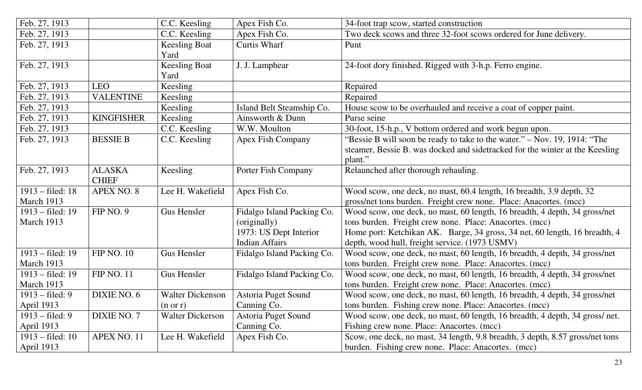| Feb. 27, 1913              |                   | C.C. Keesling           | Apex Fish Co.              | 34-foot trap scow, started construction                                       |
|----------------------------|-------------------|-------------------------|----------------------------|-------------------------------------------------------------------------------|
| Feb. 27, 1913              |                   | C.C. Keesling           | Apex Fish Co.              | Two deck scows and three 32-foot scows ordered for June delivery.             |
| Feb. 27, 1913              |                   | <b>Keesling Boat</b>    | <b>Curtis Wharf</b>        | Punt                                                                          |
|                            |                   | Yard                    |                            |                                                                               |
| Feb. 27, 1913              |                   | <b>Keesling Boat</b>    | J. J. Lamphear             | 24-foot dory finished. Rigged with 3-h.p. Ferro engine.                       |
|                            |                   | Yard                    |                            |                                                                               |
| Feb. 27, 1913              | <b>LEO</b>        | Keesling                |                            | Repaired                                                                      |
| Feb. 27, 1913              | <b>VALENTINE</b>  | Keesling                |                            | Repaired                                                                      |
| Feb. 27, 1913              |                   | Keesling                | Island Belt Steamship Co.  | House scow to be overhauled and receive a coat of copper paint.               |
| Feb. 27, 1913              | <b>KINGFISHER</b> | Keesling                | Ainsworth & Dunn           | Purse seine                                                                   |
| Feb. 27, 1913              |                   | C.C. Keesling           | W.W. Moulton               | 30-foot, 15-h.p., V bottom ordered and work begun upon.                       |
| Feb. 27, 1913              | <b>BESSIE B</b>   | C.C. Keesling           | <b>Apex Fish Company</b>   | "Bessie B will soon be ready to take to the water." – Nov. 19, 1914: "The     |
|                            |                   |                         |                            | steamer, Bessie B. was docked and sidetracked for the winter at the Keesling  |
|                            |                   |                         |                            | plant."                                                                       |
| Feb. 27, 1913              | <b>ALASKA</b>     | Keesling                | Porter Fish Company        | Relaunched after thorough rehauling.                                          |
|                            | <b>CHIEF</b>      |                         |                            |                                                                               |
| $1913 - \text{field}$ : 18 | <b>APEX NO. 8</b> | Lee H. Wakefield        | Apex Fish Co.              | Wood scow, one deck, no mast, 60.4 length, 16 breadth, 3.9 depth, 32          |
| March 1913                 |                   |                         |                            | gross/net tons burden. Freight crew none. Place: Anacortes. (mcc)             |
| 1913 – filed: 19           | FIP NO. 9         | <b>Gus Hensler</b>      | Fidalgo Island Packing Co. | Wood scow, one deck, no mast, 60 length, 16 breadth, 4 depth, 34 gross/net    |
| March 1913                 |                   |                         | (originally)               | tons burden. Freight crew none. Place: Anacortes. (mcc)                       |
|                            |                   |                         | 1973: US Dept Interior     | Home port: Ketchikan AK. Barge, 34 gross, 34 net, 60 length, 16 breadth, 4    |
|                            |                   |                         | <b>Indian Affairs</b>      | depth, wood hull, freight service. (1973 USMV)                                |
| 1913 – filed: 19           | <b>FIP NO. 10</b> | <b>Gus Hensler</b>      | Fidalgo Island Packing Co. | Wood scow, one deck, no mast, 60 length, 16 breadth, 4 depth, 34 gross/net    |
| March 1913                 |                   |                         |                            | tons burden. Freight crew none. Place: Anacortes. (mcc)                       |
| $1913 - \text{field}$ : 19 | <b>FIP NO. 11</b> | <b>Gus Hensler</b>      | Fidalgo Island Packing Co. | Wood scow, one deck, no mast, 60 length, 16 breadth, 4 depth, 34 gross/net    |
| March 1913                 |                   |                         |                            | tons burden. Freight crew none. Place: Anacortes. (mcc)                       |
| $1913 - \text{field}$ : 9  | DIXIE NO. 6       | <b>Walter Dickenson</b> | <b>Astoria Puget Sound</b> | Wood scow, one deck, no mast, 60 length, 16 breadth, 4 depth, 34 gross/net    |
| April 1913                 |                   | $(n \text{ or } r)$     | Canning Co.                | tons burden. Fishing crew none. Place: Anacortes. (mcc)                       |
| $1913 - \text{field}$ : 9  | DIXIE NO. 7       | <b>Walter Dickerson</b> | <b>Astoria Puget Sound</b> | Wood scow, one deck, no mast, 60 length, 16 breadth, 4 depth, 34 gross/ net.  |
| April 1913                 |                   |                         | Canning Co.                | Fishing crew none. Place: Anacortes. (mcc)                                    |
| $1913 - \text{filed}: 10$  | APEX NO. 11       | Lee H. Wakefield        | Apex Fish Co.              | Scow, one deck, no mast, 34 length, 9.8 breadth, 3 depth, 8.57 gross/net tons |
| April 1913                 |                   |                         |                            | burden. Fishing crew none. Place: Anacortes. (mcc)                            |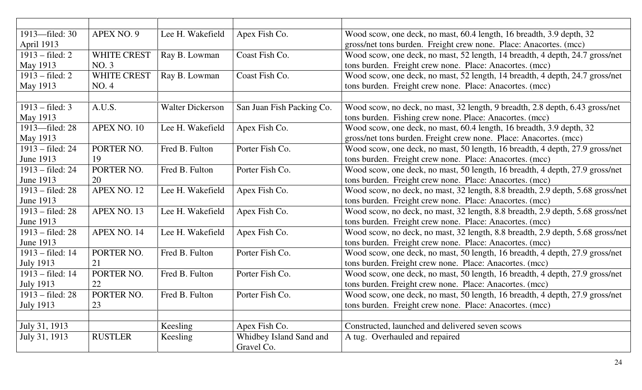| 1913-filed: 30             | APEX NO. 9         | Lee H. Wakefield        | Apex Fish Co.             | Wood scow, one deck, no mast, 60.4 length, 16 breadth, 3.9 depth, 32           |
|----------------------------|--------------------|-------------------------|---------------------------|--------------------------------------------------------------------------------|
| April 1913                 |                    |                         |                           | gross/net tons burden. Freight crew none. Place: Anacortes. (mcc)              |
| $1913 - filed: 2$          | WHITE CREST        | Ray B. Lowman           | Coast Fish Co.            | Wood scow, one deck, no mast, 52 length, 14 breadth, 4 depth, 24.7 gross/net   |
| May 1913                   | NO.3               |                         |                           | tons burden. Freight crew none. Place: Anacortes. (mcc)                        |
| $1913 - \text{field}$ : 2  | <b>WHITE CREST</b> | Ray B. Lowman           | Coast Fish Co.            | Wood scow, one deck, no mast, 52 length, 14 breadth, 4 depth, 24.7 gross/net   |
| May 1913                   | NO. 4              |                         |                           | tons burden. Freight crew none. Place: Anacortes. (mcc)                        |
|                            |                    |                         |                           |                                                                                |
| $1913 - \text{field: } 3$  | A.U.S.             | <b>Walter Dickerson</b> | San Juan Fish Packing Co. | Wood scow, no deck, no mast, 32 length, 9 breadth, 2.8 depth, 6.43 gross/net   |
| May 1913                   |                    |                         |                           | tons burden. Fishing crew none. Place: Anacortes. (mcc)                        |
| 1913-filed: 28             | APEX NO. 10        | Lee H. Wakefield        | Apex Fish Co.             | Wood scow, one deck, no mast, 60.4 length, 16 breadth, 3.9 depth, 32           |
| May 1913                   |                    |                         |                           | gross/net tons burden. Freight crew none. Place: Anacortes. (mcc)              |
| $1913 - \text{field}$ : 24 | PORTER NO.         | Fred B. Fulton          | Porter Fish Co.           | Wood scow, one deck, no mast, 50 length, 16 breadth, 4 depth, 27.9 gross/net   |
| June 1913                  | 19                 |                         |                           | tons burden. Freight crew none. Place: Anacortes. (mcc)                        |
| 1913 – filed: 24           | PORTER NO.         | Fred B. Fulton          | Porter Fish Co.           | Wood scow, one deck, no mast, 50 length, 16 breadth, 4 depth, 27.9 gross/net   |
| <b>June 1913</b>           | 20                 |                         |                           | tons burden. Freight crew none. Place: Anacortes. (mcc)                        |
| $1913 - \text{field}$ : 28 | APEX NO. 12        | Lee H. Wakefield        | Apex Fish Co.             | Wood scow, no deck, no mast, 32 length, 8.8 breadth, 2.9 depth, 5.68 gross/net |
| June 1913                  |                    |                         |                           | tons burden. Freight crew none. Place: Anacortes. (mcc)                        |
| $1913 - filed: 28$         | APEX NO. 13        | Lee H. Wakefield        | Apex Fish Co.             | Wood scow, no deck, no mast, 32 length, 8.8 breadth, 2.9 depth, 5.68 gross/net |
| June 1913                  |                    |                         |                           | tons burden. Freight crew none. Place: Anacortes. (mcc)                        |
| $1913 - \text{field}$ : 28 | APEX NO. 14        | Lee H. Wakefield        | Apex Fish Co.             | Wood scow, no deck, no mast, 32 length, 8.8 breadth, 2.9 depth, 5.68 gross/net |
| June 1913                  |                    |                         |                           | tons burden. Freight crew none. Place: Anacortes. (mcc)                        |
| $1913 - \text{field}$ : 14 | PORTER NO.         | Fred B. Fulton          | Porter Fish Co.           | Wood scow, one deck, no mast, 50 length, 16 breadth, 4 depth, 27.9 gross/net   |
| <b>July 1913</b>           | 21                 |                         |                           | tons burden. Freight crew none. Place: Anacortes. (mcc)                        |
| $1913 - \text{filed}: 14$  | PORTER NO.         | Fred B. Fulton          | Porter Fish Co.           | Wood scow, one deck, no mast, 50 length, 16 breadth, 4 depth, 27.9 gross/net   |
| <b>July 1913</b>           | 22                 |                         |                           | tons burden. Freight crew none. Place: Anacortes. (mcc)                        |
| $1913 - \text{field}$ : 28 | PORTER NO.         | Fred B. Fulton          | Porter Fish Co.           | Wood scow, one deck, no mast, 50 length, 16 breadth, 4 depth, 27.9 gross/net   |
| <b>July 1913</b>           | 23                 |                         |                           | tons burden. Freight crew none. Place: Anacortes. (mcc)                        |
|                            |                    |                         |                           |                                                                                |
| July 31, 1913              |                    | Keesling                | Apex Fish Co.             | Constructed, launched and delivered seven scows                                |
| July 31, 1913              | <b>RUSTLER</b>     | Keesling                | Whidbey Island Sand and   | A tug. Overhauled and repaired                                                 |
|                            |                    |                         | Gravel Co.                |                                                                                |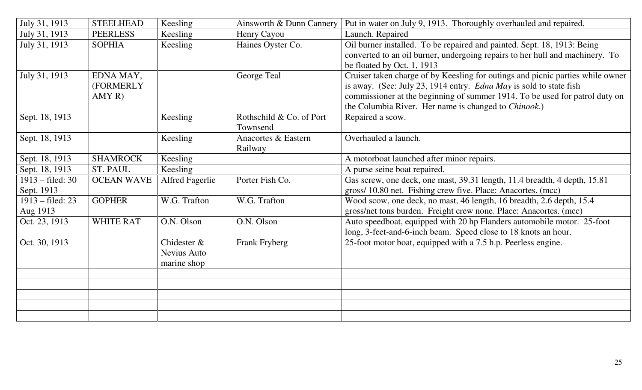| July 31, 1913              | <b>STEELHEAD</b>  | Keesling               | Ainsworth & Dunn Cannery | Put in water on July 9, 1913. Thoroughly overhauled and repaired.              |
|----------------------------|-------------------|------------------------|--------------------------|--------------------------------------------------------------------------------|
| July 31, 1913              | <b>PEERLESS</b>   | Keesling               | Henry Cayou              | Launch. Repaired                                                               |
| July 31, 1913              | <b>SOPHIA</b>     | Keesling               | Haines Oyster Co.        | Oil burner installed. To be repaired and painted. Sept. 18, 1913: Being        |
|                            |                   |                        |                          | converted to an oil burner, undergoing repairs to her hull and machinery. To   |
|                            |                   |                        |                          | be floated by Oct. 1, 1913                                                     |
| July 31, 1913              | EDNA MAY,         |                        | George Teal              | Cruiser taken charge of by Keesling for outings and picnic parties while owner |
|                            | (FORMERLY         |                        |                          | is away. (See: July 23, 1914 entry. Edna May is sold to state fish             |
|                            | AMYR)             |                        |                          | commissioner at the beginning of summer 1914. To be used for patrol duty on    |
|                            |                   |                        |                          | the Columbia River. Her name is changed to <i>Chinook</i> .)                   |
| Sept. 18, 1913             |                   | Keesling               | Rothschild & Co. of Port | Repaired a scow.                                                               |
|                            |                   |                        | Townsend                 |                                                                                |
| Sept. 18, 1913             |                   | Keesling               | Anacortes & Eastern      | Overhauled a launch.                                                           |
|                            |                   |                        | Railway                  |                                                                                |
| Sept. 18, 1913             | <b>SHAMROCK</b>   | Keesling               |                          | A motorboat launched after minor repairs.                                      |
| Sept. 18, 1913             | <b>ST. PAUL</b>   | Keesling               |                          | A purse seine boat repaired.                                                   |
| $1913 - \text{field}$ : 30 | <b>OCEAN WAVE</b> | <b>Alfred Fagerlie</b> | Porter Fish Co.          | Gas screw, one deck, one mast, 39.31 length, 11.4 breadth, 4 depth, 15.81      |
| Sept. 1913                 |                   |                        |                          | gross/ 10.80 net. Fishing crew five. Place: Anacortes. (mcc)                   |
| 1913 – filed: 23           | <b>GOPHER</b>     | W.G. Trafton           | W.G. Trafton             | Wood scow, one deck, no mast, 46 length, 16 breadth, 2.6 depth, 15.4           |
| Aug 1913                   |                   |                        |                          | gross/net tons burden. Freight crew none. Place: Anacortes. (mcc)              |
| Oct. 23, 1913              | <b>WHITE RAT</b>  | O.N. Olson             | O.N. Olson               | Auto speedboat, equipped with 20 hp Flanders automobile motor. 25-foot         |
|                            |                   |                        |                          | long, 3-feet-and-6-inch beam. Speed close to 18 knots an hour.                 |
| Oct. 30, 1913              |                   | Chidester &            | Frank Fryberg            | 25-foot motor boat, equipped with a 7.5 h.p. Peerless engine.                  |
|                            |                   | Nevius Auto            |                          |                                                                                |
|                            |                   | marine shop            |                          |                                                                                |
|                            |                   |                        |                          |                                                                                |
|                            |                   |                        |                          |                                                                                |
|                            |                   |                        |                          |                                                                                |
|                            |                   |                        |                          |                                                                                |
|                            |                   |                        |                          |                                                                                |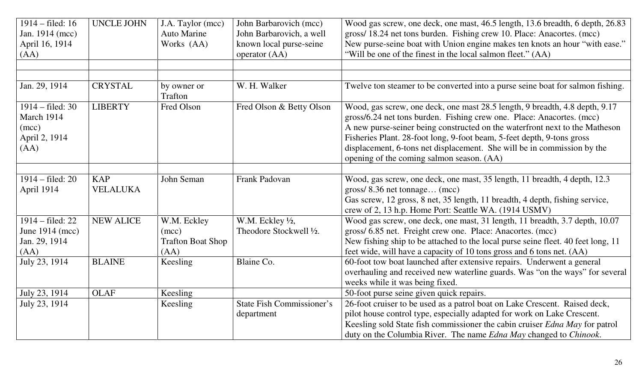| 1914 – filed: 16<br>Jan. 1914 (mcc)<br>April 16, 1914<br>(AA)              | <b>UNCLE JOHN</b>             | J.A. Taylor (mcc)<br><b>Auto Marine</b><br>Works (AA)    | John Barbarovich (mcc)<br>John Barbarovich, a well<br>known local purse-seine<br>operator (AA) | Wood gas screw, one deck, one mast, 46.5 length, 13.6 breadth, 6 depth, 26.83<br>gross/ 18.24 net tons burden. Fishing crew 10. Place: Anacortes. (mcc)<br>New purse-seine boat with Union engine makes ten knots an hour "with ease."<br>"Will be one of the finest in the local salmon fleet." (AA)                                                                                                                                 |
|----------------------------------------------------------------------------|-------------------------------|----------------------------------------------------------|------------------------------------------------------------------------------------------------|---------------------------------------------------------------------------------------------------------------------------------------------------------------------------------------------------------------------------------------------------------------------------------------------------------------------------------------------------------------------------------------------------------------------------------------|
|                                                                            |                               |                                                          |                                                                                                |                                                                                                                                                                                                                                                                                                                                                                                                                                       |
| Jan. 29, 1914                                                              | <b>CRYSTAL</b>                | by owner or<br>Trafton                                   | W. H. Walker                                                                                   | Twelve ton steamer to be converted into a purse seine boat for salmon fishing.                                                                                                                                                                                                                                                                                                                                                        |
| $1914 - \text{field}$ : 30<br>March 1914<br>(mcc)<br>April 2, 1914<br>(AA) | <b>LIBERTY</b>                | Fred Olson                                               | Fred Olson & Betty Olson                                                                       | Wood, gas screw, one deck, one mast 28.5 length, 9 breadth, 4.8 depth, 9.17<br>gross/6.24 net tons burden. Fishing crew one. Place: Anacortes. (mcc)<br>A new purse-seiner being constructed on the waterfront next to the Matheson<br>Fisheries Plant. 28-foot long, 9-foot beam, 5-feet depth, 9-tons gross<br>displacement, 6-tons net displacement. She will be in commission by the<br>opening of the coming salmon season. (AA) |
|                                                                            |                               |                                                          |                                                                                                |                                                                                                                                                                                                                                                                                                                                                                                                                                       |
| $1914 - filed: 20$<br>April 1914                                           | <b>KAP</b><br><b>VELALUKA</b> | John Seman                                               | Frank Padovan                                                                                  | Wood, gas screw, one deck, one mast, 35 length, 11 breadth, 4 depth, 12.3<br>gross/8.36 net tonnage (mcc)<br>Gas screw, 12 gross, 8 net, 35 length, 11 breadth, 4 depth, fishing service,<br>crew of 2, 13 h.p. Home Port: Seattle WA. (1914 USMV)                                                                                                                                                                                    |
| 1914 – filed: 22<br>June 1914 (mcc)<br>Jan. 29, 1914<br>(AA)               | <b>NEW ALICE</b>              | W.M. Eckley<br>(mcc)<br><b>Trafton Boat Shop</b><br>(AA) | W.M. Eckley $\frac{1}{2}$ ,<br>Theodore Stockwell 1/2.                                         | Wood gas screw, one deck, one mast, 31 length, 11 breadth, 3.7 depth, 10.07<br>gross/ 6.85 net. Freight crew one. Place: Anacortes. (mcc)<br>New fishing ship to be attached to the local purse seine fleet. 40 feet long, 11<br>feet wide, will have a capacity of 10 tons gross and 6 tons net. (AA)                                                                                                                                |
| July 23, 1914                                                              | <b>BLAINE</b>                 | Keesling                                                 | Blaine Co.                                                                                     | 60-foot tow boat launched after extensive repairs. Underwent a general<br>overhauling and received new waterline guards. Was "on the ways" for several<br>weeks while it was being fixed.                                                                                                                                                                                                                                             |
| July 23, 1914                                                              | <b>OLAF</b>                   | Keesling                                                 |                                                                                                | 50-foot purse seine given quick repairs.                                                                                                                                                                                                                                                                                                                                                                                              |
| July 23, 1914                                                              |                               | Keesling                                                 | <b>State Fish Commissioner's</b><br>department                                                 | 26-foot cruiser to be used as a patrol boat on Lake Crescent. Raised deck,<br>pilot house control type, especially adapted for work on Lake Crescent.<br>Keesling sold State fish commissioner the cabin cruiser Edna May for patrol<br>duty on the Columbia River. The name <i>Edna May</i> changed to <i>Chinook</i> .                                                                                                              |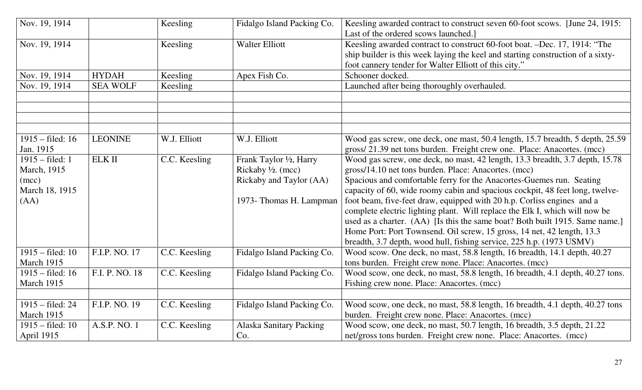| Nov. 19, 1914                                                       |                 | Keesling      | Fidalgo Island Packing Co.                                                                                     | Keesling awarded contract to construct seven 60-foot scows. [June 24, 1915:<br>Last of the ordered scows launched.]                                                                                                                                                                                                                                                                                                                                                                                                                                                                                                                                                                     |
|---------------------------------------------------------------------|-----------------|---------------|----------------------------------------------------------------------------------------------------------------|-----------------------------------------------------------------------------------------------------------------------------------------------------------------------------------------------------------------------------------------------------------------------------------------------------------------------------------------------------------------------------------------------------------------------------------------------------------------------------------------------------------------------------------------------------------------------------------------------------------------------------------------------------------------------------------------|
| Nov. 19, 1914                                                       |                 | Keesling      | <b>Walter Elliott</b>                                                                                          | Keesling awarded contract to construct 60-foot boat. -Dec. 17, 1914: "The<br>ship builder is this week laying the keel and starting construction of a sixty-<br>foot cannery tender for Walter Elliott of this city."                                                                                                                                                                                                                                                                                                                                                                                                                                                                   |
| Nov. 19, 1914                                                       | <b>HYDAH</b>    | Keesling      | Apex Fish Co.                                                                                                  | Schooner docked.                                                                                                                                                                                                                                                                                                                                                                                                                                                                                                                                                                                                                                                                        |
| Nov. 19, 1914                                                       | <b>SEA WOLF</b> | Keesling      |                                                                                                                | Launched after being thoroughly overhauled.                                                                                                                                                                                                                                                                                                                                                                                                                                                                                                                                                                                                                                             |
|                                                                     |                 |               |                                                                                                                |                                                                                                                                                                                                                                                                                                                                                                                                                                                                                                                                                                                                                                                                                         |
|                                                                     |                 |               |                                                                                                                |                                                                                                                                                                                                                                                                                                                                                                                                                                                                                                                                                                                                                                                                                         |
|                                                                     |                 |               |                                                                                                                |                                                                                                                                                                                                                                                                                                                                                                                                                                                                                                                                                                                                                                                                                         |
| $1915 - \text{field}$ : 16<br>Jan. 1915                             | <b>LEONINE</b>  | W.J. Elliott  | W.J. Elliott                                                                                                   | Wood gas screw, one deck, one mast, 50.4 length, 15.7 breadth, 5 depth, 25.59<br>gross/21.39 net tons burden. Freight crew one. Place: Anacortes. (mcc)                                                                                                                                                                                                                                                                                                                                                                                                                                                                                                                                 |
| $1915 - filed: 1$<br>March, 1915<br>(mcc)<br>March 18, 1915<br>(AA) | $\rm ELK$ II    | C.C. Keesling | Frank Taylor 1/2, Harry<br>Rickaby $\frac{1}{2}$ . (mcc)<br>Rickaby and Taylor (AA)<br>1973- Thomas H. Lampman | Wood gas screw, one deck, no mast, 42 length, 13.3 breadth, 3.7 depth, 15.78<br>gross/14.10 net tons burden. Place: Anacortes. (mcc)<br>Spacious and comfortable ferry for the Anacortes-Guemes run. Seating<br>capacity of 60, wide roomy cabin and spacious cockpit, 48 feet long, twelve-<br>foot beam, five-feet draw, equipped with 20 h.p. Corliss engines and a<br>complete electric lighting plant. Will replace the Elk I, which will now be<br>used as a charter. (AA) [Is this the same boat? Both built 1915. Same name.]<br>Home Port: Port Townsend. Oil screw, 15 gross, 14 net, 42 length, 13.3<br>breadth, 3.7 depth, wood hull, fishing service, 225 h.p. (1973 USMV) |
| $1915 - \text{filed}: 10$<br>March 1915                             | F.I.P. NO. 17   | C.C. Keesling | Fidalgo Island Packing Co.                                                                                     | Wood scow. One deck, no mast, 58.8 length, 16 breadth, 14.1 depth, 40.27<br>tons burden. Freight crew none. Place: Anacortes. (mcc)                                                                                                                                                                                                                                                                                                                                                                                                                                                                                                                                                     |
| $1915 - \text{field}$ : 16                                          | F.I. P. NO. 18  | C.C. Keesling | Fidalgo Island Packing Co.                                                                                     | Wood scow, one deck, no mast, 58.8 length, 16 breadth, 4.1 depth, 40.27 tons.                                                                                                                                                                                                                                                                                                                                                                                                                                                                                                                                                                                                           |
| March 1915                                                          |                 |               |                                                                                                                | Fishing crew none. Place: Anacortes. (mcc)                                                                                                                                                                                                                                                                                                                                                                                                                                                                                                                                                                                                                                              |
|                                                                     |                 |               |                                                                                                                |                                                                                                                                                                                                                                                                                                                                                                                                                                                                                                                                                                                                                                                                                         |
| $1915 - \text{field}$ : 24<br>March 1915                            | F.I.P. NO. 19   | C.C. Keesling | Fidalgo Island Packing Co.                                                                                     | Wood scow, one deck, no mast, 58.8 length, 16 breadth, 4.1 depth, 40.27 tons<br>burden. Freight crew none. Place: Anacortes. (mcc)                                                                                                                                                                                                                                                                                                                                                                                                                                                                                                                                                      |
| $1915 - \text{filed}: 10$                                           | A.S.P. NO. 1    | C.C. Keesling | <b>Alaska Sanitary Packing</b>                                                                                 | Wood scow, one deck, no mast, 50.7 length, 16 breadth, 3.5 depth, 21.22                                                                                                                                                                                                                                                                                                                                                                                                                                                                                                                                                                                                                 |
| April 1915                                                          |                 |               | Co.                                                                                                            | net/gross tons burden. Freight crew none. Place: Anacortes. (mcc)                                                                                                                                                                                                                                                                                                                                                                                                                                                                                                                                                                                                                       |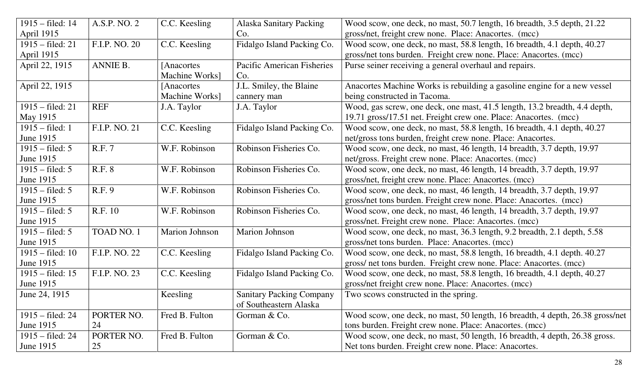| $1915 - \text{filed}: 14$  | A.S.P. NO. 2  | C.C. Keesling  | <b>Alaska Sanitary Packing</b>  | Wood scow, one deck, no mast, 50.7 length, 16 breadth, 3.5 depth, 21.22       |
|----------------------------|---------------|----------------|---------------------------------|-------------------------------------------------------------------------------|
| April 1915                 |               |                | Co.                             | gross/net, freight crew none. Place: Anacortes. (mcc)                         |
| $1915 - \text{field: } 21$ | F.I.P. NO. 20 | C.C. Keesling  | Fidalgo Island Packing Co.      | Wood scow, one deck, no mast, 58.8 length, 16 breadth, 4.1 depth, 40.27       |
| April 1915                 |               |                |                                 | gross/net tons burden. Freight crew none. Place: Anacortes. (mcc)             |
| April 22, 1915             | ANNIE B.      | [Anacortes]    | Pacific American Fisheries      | Purse seiner receiving a general overhaul and repairs.                        |
|                            |               | Machine Works] | Co.                             |                                                                               |
| April 22, 1915             |               | [Anacortes]    | J.L. Smiley, the Blaine         | Anacortes Machine Works is rebuilding a gasoline engine for a new vessel      |
|                            |               | Machine Works] | cannery man                     | being constructed in Tacoma.                                                  |
| $1915 - \text{filed}$ : 21 | <b>REF</b>    | J.A. Taylor    | J.A. Taylor                     | Wood, gas screw, one deck, one mast, 41.5 length, 13.2 breadth, 4.4 depth,    |
| May 1915                   |               |                |                                 | 19.71 gross/17.51 net. Freight crew one. Place: Anacortes. (mcc)              |
| $1915 - \text{filed}: 1$   | F.I.P. NO. 21 | C.C. Keesling  | Fidalgo Island Packing Co.      | Wood scow, one deck, no mast, 58.8 length, 16 breadth, 4.1 depth, 40.27       |
| June 1915                  |               |                |                                 | net/gross tons burden, freight crew none. Place: Anacortes.                   |
| $1915 - \text{filed: } 5$  | <b>R.F. 7</b> | W.F. Robinson  | Robinson Fisheries Co.          | Wood scow, one deck, no mast, 46 length, 14 breadth, 3.7 depth, 19.97         |
| June 1915                  |               |                |                                 | net/gross. Freight crew none. Place: Anacortes. (mcc)                         |
| $1915 - \text{filed: } 5$  | <b>R.F. 8</b> | W.F. Robinson  | Robinson Fisheries Co.          | Wood scow, one deck, no mast, 46 length, 14 breadth, 3.7 depth, 19.97         |
| June 1915                  |               |                |                                 | gross/net, freight crew none. Place: Anacortes. (mcc)                         |
| $1915 - \text{filed: } 5$  | R.F. 9        | W.F. Robinson  | Robinson Fisheries Co.          | Wood scow, one deck, no mast, 46 length, 14 breadth, 3.7 depth, 19.97         |
| June 1915                  |               |                |                                 | gross/net tons burden. Freight crew none. Place: Anacortes. (mcc)             |
| $1915 - \text{filed: } 5$  | R.F. 10       | W.F. Robinson  | Robinson Fisheries Co.          | Wood scow, one deck, no mast, 46 length, 14 breadth, 3.7 depth, 19.97         |
| June 1915                  |               |                |                                 | gross/net. Freight crew none. Place: Anacortes. (mcc)                         |
| $1915 - \text{filed: } 5$  | TOAD NO. 1    | Marion Johnson | Marion Johnson                  | Wood scow, one deck, no mast, 36.3 length, 9.2 breadth, 2.1 depth, 5.58       |
| June 1915                  |               |                |                                 | gross/net tons burden. Place: Anacortes. (mcc)                                |
| $1915 - \text{field}$ : 10 | F.I.P. NO. 22 | C.C. Keesling  | Fidalgo Island Packing Co.      | Wood scow, one deck, no mast, 58.8 length, 16 breadth, 4.1 depth. 40.27       |
| June 1915                  |               |                |                                 | gross/ net tons burden. Freight crew none. Place: Anacortes. (mcc)            |
| $1915 - \text{field: } 15$ | F.I.P. NO. 23 | C.C. Keesling  | Fidalgo Island Packing Co.      | Wood scow, one deck, no mast, 58.8 length, 16 breadth, 4.1 depth, 40.27       |
| June 1915                  |               |                |                                 | gross/net freight crew none. Place: Anacortes. (mcc)                          |
| June 24, 1915              |               | Keesling       | <b>Sanitary Packing Company</b> | Two scows constructed in the spring.                                          |
|                            |               |                | of Southeastern Alaska          |                                                                               |
| $1915 - \text{field}$ : 24 | PORTER NO.    | Fred B. Fulton | Gorman & Co.                    | Wood scow, one deck, no mast, 50 length, 16 breadth, 4 depth, 26.38 gross/net |
| June 1915                  | 24            |                |                                 | tons burden. Freight crew none. Place: Anacortes. (mcc)                       |
| $1915 - \text{field: } 24$ | PORTER NO.    | Fred B. Fulton | Gorman & Co.                    | Wood scow, one deck, no mast, 50 length, 16 breadth, 4 depth, 26.38 gross.    |
| June 1915                  | 25            |                |                                 | Net tons burden. Freight crew none. Place: Anacortes.                         |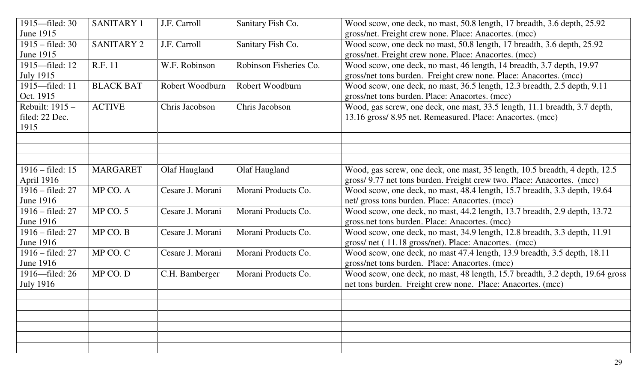| 1915—filed: 30             | <b>SANITARY 1</b> | J.F. Carroll     | Sanitary Fish Co.      | Wood scow, one deck, no mast, 50.8 length, 17 breadth, 3.6 depth, 25.92       |
|----------------------------|-------------------|------------------|------------------------|-------------------------------------------------------------------------------|
| <b>June 1915</b>           |                   |                  |                        | gross/net. Freight crew none. Place: Anacortes. (mcc)                         |
| $1915 - \text{filed}$ : 30 | <b>SANITARY 2</b> | J.F. Carroll     | Sanitary Fish Co.      | Wood scow, one deck no mast, 50.8 length, 17 breadth, 3.6 depth, 25.92        |
| June 1915                  |                   |                  |                        | gross/net. Freight crew none. Place: Anacortes. (mcc)                         |
| 1915—filed: 12             | R.F. 11           | W.F. Robinson    | Robinson Fisheries Co. | Wood scow, one deck, no mast, 46 length, 14 breadth, 3.7 depth, 19.97         |
| <b>July 1915</b>           |                   |                  |                        | gross/net tons burden. Freight crew none. Place: Anacortes. (mcc)             |
| 1915-filed: 11             | <b>BLACK BAT</b>  | Robert Woodburn  | Robert Woodburn        | Wood scow, one deck, no mast, 36.5 length, 12.3 breadth, 2.5 depth, 9.11      |
| Oct. 1915                  |                   |                  |                        | gross/net tons burden. Place: Anacortes. (mcc)                                |
| Rebuilt: 1915 -            | <b>ACTIVE</b>     | Chris Jacobson   | Chris Jacobson         | Wood, gas screw, one deck, one mast, 33.5 length, 11.1 breadth, 3.7 depth,    |
| filed: 22 Dec.             |                   |                  |                        | 13.16 gross/ 8.95 net. Remeasured. Place: Anacortes. (mcc)                    |
| 1915                       |                   |                  |                        |                                                                               |
|                            |                   |                  |                        |                                                                               |
|                            |                   |                  |                        |                                                                               |
|                            |                   |                  |                        |                                                                               |
| $1916 - \text{filed}: 15$  | <b>MARGARET</b>   | Olaf Haugland    | Olaf Haugland          | Wood, gas screw, one deck, one mast, 35 length, 10.5 breadth, 4 depth, 12.5   |
| April 1916                 |                   |                  |                        | gross/ 9.77 net tons burden. Freight crew two. Place: Anacortes. (mcc)        |
| $1916 - \text{filed}$ : 27 | MP CO. A          | Cesare J. Morani | Morani Products Co.    | Wood scow, one deck, no mast, 48.4 length, 15.7 breadth, 3.3 depth, 19.64     |
| <b>June 1916</b>           |                   |                  |                        | net/ gross tons burden. Place: Anacortes. (mcc)                               |
| $1916 - \text{filed}$ : 27 | $MP$ CO. 5        | Cesare J. Morani | Morani Products Co.    | Wood scow, one deck, no mast, 44.2 length, 13.7 breadth, 2.9 depth, 13.72     |
| June 1916                  |                   |                  |                        | gross.net tons burden. Place: Anacortes. (mcc)                                |
| $1916 - \text{filed}$ : 27 | MP CO. B          | Cesare J. Morani | Morani Products Co.    | Wood scow, one deck, no mast, 34.9 length, 12.8 breadth, 3.3 depth, 11.91     |
| June 1916                  |                   |                  |                        | gross/net (11.18 gross/net). Place: Anacortes. (mcc)                          |
| $1916 - \text{field: } 27$ | MP CO. C          | Cesare J. Morani | Morani Products Co.    | Wood scow, one deck, no mast 47.4 length, 13.9 breadth, 3.5 depth, 18.11      |
| June 1916                  |                   |                  |                        | gross/net tons burden. Place: Anacortes. (mcc)                                |
| 1916—filed: 26             | MP CO. D          | C.H. Bamberger   | Morani Products Co.    | Wood scow, one deck, no mast, 48 length, 15.7 breadth, 3.2 depth, 19.64 gross |
| <b>July 1916</b>           |                   |                  |                        | net tons burden. Freight crew none. Place: Anacortes. (mcc)                   |
|                            |                   |                  |                        |                                                                               |
|                            |                   |                  |                        |                                                                               |
|                            |                   |                  |                        |                                                                               |
|                            |                   |                  |                        |                                                                               |
|                            |                   |                  |                        |                                                                               |
|                            |                   |                  |                        |                                                                               |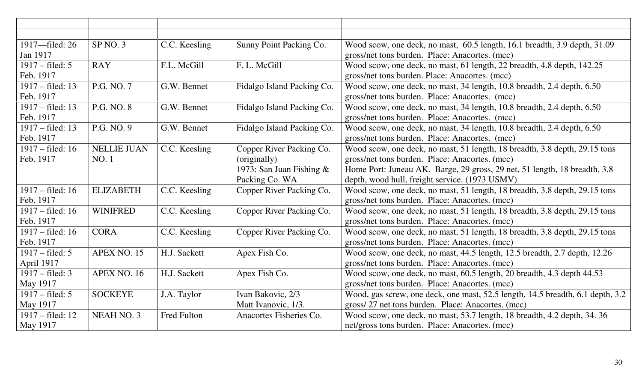| 1917—filed: 26             | SP NO. 3           | C.C. Keesling | Sunny Point Packing Co.     | Wood scow, one deck, no mast, 60.5 length, 16.1 breadth, 3.9 depth, 31.09      |
|----------------------------|--------------------|---------------|-----------------------------|--------------------------------------------------------------------------------|
| Jan 1917                   |                    |               |                             | gross/net tons burden. Place: Anacortes. (mcc)                                 |
| $1917 - filed: 5$          | <b>RAY</b>         | F.L. McGill   | F. L. McGill                | Wood scow, one deck, no mast, 61 length, 22 breadth, 4.8 depth, 142.25         |
| Feb. 1917                  |                    |               |                             | gross/net tons burden. Place: Anacortes. (mcc)                                 |
| 1917 – filed: 13           | P.G. NO. 7         | G.W. Bennet   | Fidalgo Island Packing Co.  | Wood scow, one deck, no mast, 34 length, 10.8 breadth, 2.4 depth, 6.50         |
| Feb. 1917                  |                    |               |                             | gross/net tons burden. Place: Anacortes. (mcc)                                 |
| 1917 – filed: 13           | P.G. NO. 8         | G.W. Bennet   | Fidalgo Island Packing Co.  | Wood scow, one deck, no mast, 34 length, 10.8 breadth, 2.4 depth, 6.50         |
| Feb. 1917                  |                    |               |                             | gross/net tons burden. Place: Anacortes. (mcc)                                 |
| 1917 – filed: 13           | P.G. NO. 9         | G.W. Bennet   | Fidalgo Island Packing Co.  | Wood scow, one deck, no mast, 34 length, 10.8 breadth, 2.4 depth, 6.50         |
| Feb. 1917                  |                    |               |                             | gross/net tons burden. Place: Anacortes. (mcc)                                 |
| $1917 - filed: 16$         | <b>NELLIE JUAN</b> | C.C. Keesling | Copper River Packing Co.    | Wood scow, one deck, no mast, 51 length, 18 breadth, 3.8 depth, 29.15 tons     |
| Feb. 1917                  | <b>NO.1</b>        |               | (originally)                | gross/net tons burden. Place: Anacortes. (mcc)                                 |
|                            |                    |               | 1973: San Juan Fishing $\&$ | Home Port: Juneau AK. Barge, 29 gross, 29 net, 51 length, 18 breadth, 3.8      |
|                            |                    |               | Packing Co. WA              | depth, wood hull, freight service. (1973 USMV)                                 |
| $1917 - \text{field}$ : 16 | <b>ELIZABETH</b>   | C.C. Keesling | Copper River Packing Co.    | Wood scow, one deck, no mast, 51 length, 18 breadth, 3.8 depth, 29.15 tons     |
| Feb. 1917                  |                    |               |                             | gross/net tons burden. Place: Anacortes. (mcc)                                 |
| $1917 - \text{field}$ : 16 | <b>WINIFRED</b>    | C.C. Keesling | Copper River Packing Co.    | Wood scow, one deck, no mast, 51 length, 18 breadth, 3.8 depth, 29.15 tons     |
| Feb. 1917                  |                    |               |                             | gross/net tons burden. Place: Anacortes. (mcc)                                 |
| $1917 - \text{filed: } 16$ | <b>CORA</b>        | C.C. Keesling | Copper River Packing Co.    | Wood scow, one deck, no mast, 51 length, 18 breadth, 3.8 depth, 29.15 tons     |
| Feb. 1917                  |                    |               |                             | gross/net tons burden. Place: Anacortes. (mcc)                                 |
| $1917 - filed: 5$          | APEX NO. 15        | H.J. Sackett  | Apex Fish Co.               | Wood scow, one deck, no mast, 44.5 length, 12.5 breadth, 2.7 depth, 12.26      |
| April 1917                 |                    |               |                             | gross/net tons burden. Place: Anacortes. (mcc)                                 |
| $1917 - filed: 3$          | APEX NO. 16        | H.J. Sackett  | Apex Fish Co.               | Wood scow, one deck, no mast, 60.5 length, 20 breadth, 4.3 depth 44.53         |
| May 1917                   |                    |               |                             | gross/net tons burden. Place: Anacortes. (mcc)                                 |
| $1917 - filed: 5$          | <b>SOCKEYE</b>     | J.A. Taylor   | Ivan Bakovic, 2/3           | Wood, gas screw, one deck, one mast, 52.5 length, 14.5 breadth, 6.1 depth, 3.2 |
| May 1917                   |                    |               | Matt Ivanovic, 1/3.         | gross/27 net tons burden. Place: Anacortes. (mcc)                              |
| $1917 - \text{field}$ : 12 | NEAH NO. 3         | Fred Fulton   | Anacortes Fisheries Co.     | Wood scow, one deck, no mast, 53.7 length, 18 breadth, 4.2 depth, 34.36        |
| May 1917                   |                    |               |                             | net/gross tons burden. Place: Anacortes. (mcc)                                 |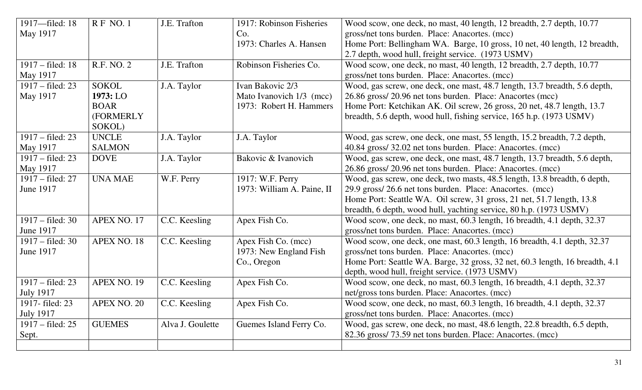| 1917-filed: 18     | RF NO.1            | J.E. Trafton     | 1917: Robinson Fisheries   | Wood scow, one deck, no mast, 40 length, 12 breadth, 2.7 depth, 10.77        |
|--------------------|--------------------|------------------|----------------------------|------------------------------------------------------------------------------|
| May 1917           |                    |                  | Co.                        | gross/net tons burden. Place: Anacortes. (mcc)                               |
|                    |                    |                  | 1973: Charles A. Hansen    | Home Port: Bellingham WA. Barge, 10 gross, 10 net, 40 length, 12 breadth,    |
|                    |                    |                  |                            | 2.7 depth, wood hull, freight service. (1973 USMV)                           |
| 1917 – filed: 18   | R.F. NO. 2         | J.E. Trafton     | Robinson Fisheries Co.     | Wood scow, one deck, no mast, 40 length, 12 breadth, 2.7 depth, 10.77        |
| May 1917           |                    |                  |                            | gross/net tons burden. Place: Anacortes. (mcc)                               |
| 1917 – filed: 23   | <b>SOKOL</b>       | J.A. Taylor      | Ivan Bakovic 2/3           | Wood, gas screw, one deck, one mast, 48.7 length, 13.7 breadth, 5.6 depth,   |
| May 1917           | 1973: LO           |                  | Mato Ivanovich 1/3 (mcc)   | 26.86 gross/20.96 net tons burden. Place: Anacortes (mcc)                    |
|                    | <b>BOAR</b>        |                  | 1973: Robert H. Hammers    | Home Port: Ketchikan AK. Oil screw, 26 gross, 20 net, 48.7 length, 13.7      |
|                    | (FORMERLY          |                  |                            | breadth, 5.6 depth, wood hull, fishing service, 165 h.p. (1973 USMV)         |
|                    | SOKOL)             |                  |                            |                                                                              |
| 1917 – filed: 23   | <b>UNCLE</b>       | J.A. Taylor      | J.A. Taylor                | Wood, gas screw, one deck, one mast, 55 length, 15.2 breadth, 7.2 depth,     |
| May 1917           | <b>SALMON</b>      |                  |                            | 40.84 gross/ 32.02 net tons burden. Place: Anacortes. (mcc)                  |
| 1917 – filed: 23   | <b>DOVE</b>        | J.A. Taylor      | Bakovic & Ivanovich        | Wood, gas screw, one deck, one mast, 48.7 length, 13.7 breadth, 5.6 depth,   |
| May 1917           |                    |                  |                            | 26.86 gross/20.96 net tons burden. Place: Anacortes. (mcc)                   |
| 1917 – filed: 27   | <b>UNA MAE</b>     | W.F. Perry       | 1917: W.F. Perry           | Wood, gas screw, one deck, two masts, 48.5 length, 13.8 breadth, 6 depth,    |
| <b>June 1917</b>   |                    |                  | 1973: William A. Paine, II | 29.9 gross/26.6 net tons burden. Place: Anacortes. (mcc)                     |
|                    |                    |                  |                            | Home Port: Seattle WA. Oil screw, 31 gross, 21 net, 51.7 length, 13.8        |
|                    |                    |                  |                            | breadth, 6 depth, wood hull, yachting service, 80 h.p. (1973 USMV)           |
| 1917 – filed: 30   | APEX NO. 17        | C.C. Keesling    | Apex Fish Co.              | Wood scow, one deck, no mast, 60.3 length, 16 breadth, 4.1 depth, 32.37      |
| <b>June 1917</b>   |                    |                  |                            | gross/net tons burden. Place: Anacortes. (mcc)                               |
| $1917 - filed: 30$ | APEX NO. 18        | C.C. Keesling    | Apex Fish Co. (mcc)        | Wood scow, one deck, one mast, 60.3 length, 16 breadth, 4.1 depth, 32.37     |
| <b>June 1917</b>   |                    |                  | 1973: New England Fish     | gross/net tons burden. Place: Anacortes. (mcc)                               |
|                    |                    |                  | Co., Oregon                | Home Port: Seattle WA. Barge, 32 gross, 32 net, 60.3 length, 16 breadth, 4.1 |
|                    |                    |                  |                            | depth, wood hull, freight service. (1973 USMV)                               |
| 1917 – filed: 23   | APEX NO. 19        | C.C. Keesling    | Apex Fish Co.              | Wood scow, one deck, no mast, 60.3 length, 16 breadth, 4.1 depth, 32.37      |
| <b>July 1917</b>   |                    |                  |                            | net/gross tons burden. Place: Anacortes. (mcc)                               |
| 1917-filed: 23     | <b>APEX NO. 20</b> | C.C. Keesling    | Apex Fish Co.              | Wood scow, one deck, no mast, 60.3 length, 16 breadth, 4.1 depth, 32.37      |
| <b>July 1917</b>   |                    |                  |                            | gross/net tons burden. Place: Anacortes. (mcc)                               |
| $1917 - filed: 25$ | <b>GUEMES</b>      | Alva J. Goulette | Guemes Island Ferry Co.    | Wood, gas screw, one deck, no mast, 48.6 length, 22.8 breadth, 6.5 depth,    |
| Sept.              |                    |                  |                            | 82.36 gross/73.59 net tons burden. Place: Anacortes. (mcc)                   |
|                    |                    |                  |                            |                                                                              |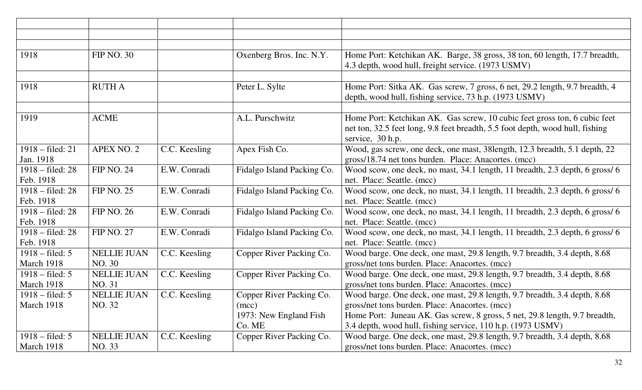| 1918                       | <b>FIP NO. 30</b>  |               | Oxenberg Bros. Inc. N.Y.   | Home Port: Ketchikan AK. Barge, 38 gross, 38 ton, 60 length, 17.7 breadth,<br>4.3 depth, wood hull, freight service. (1973 USMV)                                               |
|----------------------------|--------------------|---------------|----------------------------|--------------------------------------------------------------------------------------------------------------------------------------------------------------------------------|
|                            |                    |               |                            |                                                                                                                                                                                |
| 1918                       | <b>RUTH A</b>      |               | Peter L. Sylte             | Home Port: Sitka AK. Gas screw, 7 gross, 6 net, 29.2 length, 9.7 breadth, 4<br>depth, wood hull, fishing service, 73 h.p. (1973 USMV)                                          |
|                            |                    |               |                            |                                                                                                                                                                                |
| 1919                       | <b>ACME</b>        |               | A.L. Purschwitz            | Home Port: Ketchikan AK. Gas screw, 10 cubic feet gross ton, 6 cubic feet<br>net ton, 32.5 feet long, 9.8 feet breadth, 5.5 foot depth, wood hull, fishing<br>service, 30 h.p. |
| 1918 – filed: 21           | APEX NO. 2         | C.C. Keesling | Apex Fish Co.              | Wood, gas screw, one deck, one mast, 38length, 12.3 breadth, 5.1 depth, 22                                                                                                     |
| Jan. 1918                  |                    |               |                            | gross/18.74 net tons burden. Place: Anacortes. (mcc)                                                                                                                           |
| 1918 – filed: 28           | <b>FIP NO. 24</b>  | E.W. Conradi  | Fidalgo Island Packing Co. | Wood scow, one deck, no mast, 34.1 length, 11 breadth, 2.3 depth, 6 gross/ 6                                                                                                   |
| Feb. 1918                  |                    |               |                            | net. Place: Seattle. (mcc)                                                                                                                                                     |
| 1918 – filed: 28           | <b>FIP NO. 25</b>  | E.W. Conradi  | Fidalgo Island Packing Co. | Wood scow, one deck, no mast, 34.1 length, 11 breadth, 2.3 depth, 6 gross/ 6                                                                                                   |
| Feb. 1918                  |                    |               |                            | net. Place: Seattle. (mcc)                                                                                                                                                     |
| $1918 - \text{field}$ : 28 | <b>FIP NO. 26</b>  | E.W. Conradi  | Fidalgo Island Packing Co. | Wood scow, one deck, no mast, 34.1 length, 11 breadth, 2.3 depth, 6 gross/ 6                                                                                                   |
| Feb. 1918                  |                    |               |                            | net. Place: Seattle. (mcc)                                                                                                                                                     |
| $1918 - \text{field}$ : 28 | <b>FIP NO. 27</b>  | E.W. Conradi  | Fidalgo Island Packing Co. | Wood scow, one deck, no mast, 34.1 length, 11 breadth, 2.3 depth, 6 gross/ 6                                                                                                   |
| Feb. 1918                  |                    |               |                            | net. Place: Seattle. (mcc)                                                                                                                                                     |
| $1918 - \text{field: } 5$  | <b>NELLIE JUAN</b> | C.C. Keesling | Copper River Packing Co.   | Wood barge. One deck, one mast, 29.8 length, 9.7 breadth, 3.4 depth, 8.68                                                                                                      |
| March 1918                 | NO. 30             |               |                            | gross/net tons burden. Place: Anacortes. (mcc)                                                                                                                                 |
| $1918 - \text{field: } 5$  | <b>NELLIE JUAN</b> | C.C. Keesling | Copper River Packing Co.   | Wood barge. One deck, one mast, 29.8 length, 9.7 breadth, 3.4 depth, 8.68                                                                                                      |
| March 1918                 | NO. 31             |               |                            | gross/net tons burden. Place: Anacortes. (mcc)                                                                                                                                 |
| $1918 - \text{field: } 5$  | <b>NELLIE JUAN</b> | C.C. Keesling | Copper River Packing Co.   | Wood barge. One deck, one mast, 29.8 length, 9.7 breadth, 3.4 depth, 8.68                                                                                                      |
| March 1918                 | NO. 32             |               | (mcc)                      | gross/net tons burden. Place: Anacortes. (mcc)                                                                                                                                 |
|                            |                    |               | 1973: New England Fish     | Home Port: Juneau AK. Gas screw, 8 gross, 5 net, 29.8 length, 9.7 breadth,                                                                                                     |
|                            |                    |               | Co. ME                     | 3.4 depth, wood hull, fishing service, 110 h.p. (1973 USMV)                                                                                                                    |
| $1918 - \text{field: } 5$  | <b>NELLIE JUAN</b> | C.C. Keesling | Copper River Packing Co.   | Wood barge. One deck, one mast, 29.8 length, 9.7 breadth, 3.4 depth, 8.68                                                                                                      |
| March 1918                 | NO. 33             |               |                            | gross/net tons burden. Place: Anacortes. (mcc)                                                                                                                                 |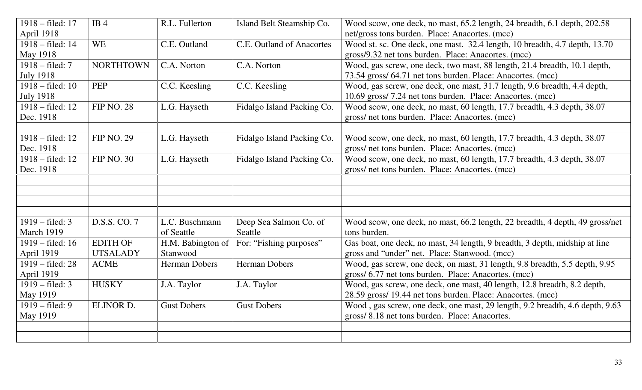| 1918 – filed: 17           | IB4               | R.L. Fullerton       | Island Belt Steamship Co.  | Wood scow, one deck, no mast, 65.2 length, 24 breadth, 6.1 depth, 202.58     |
|----------------------------|-------------------|----------------------|----------------------------|------------------------------------------------------------------------------|
| April 1918                 |                   |                      |                            | net/gross tons burden. Place: Anacortes. (mcc)                               |
| 1918 – filed: 14           | <b>WE</b>         | C.E. Outland         | C.E. Outland of Anacortes  | Wood st. sc. One deck, one mast. 32.4 length, 10 breadth, 4.7 depth, 13.70   |
| May 1918                   |                   |                      |                            | gross/9.32 net tons burden. Place: Anacortes. (mcc)                          |
| $1918 - \text{field}$ : 7  | <b>NORTHTOWN</b>  | C.A. Norton          | C.A. Norton                | Wood, gas screw, one deck, two mast, 88 length, 21.4 breadth, 10.1 depth,    |
| <b>July 1918</b>           |                   |                      |                            | 73.54 gross/ 64.71 net tons burden. Place: Anacortes. (mcc)                  |
| $1918 - \text{filed}: 10$  | <b>PEP</b>        | C.C. Keesling        | C.C. Keesling              | Wood, gas screw, one deck, one mast, 31.7 length, 9.6 breadth, 4.4 depth,    |
| <b>July 1918</b>           |                   |                      |                            | 10.69 gross/7.24 net tons burden. Place: Anacortes. (mcc)                    |
| 1918 – filed: 12           | <b>FIP NO. 28</b> | L.G. Hayseth         | Fidalgo Island Packing Co. | Wood scow, one deck, no mast, 60 length, 17.7 breadth, 4.3 depth, 38.07      |
| Dec. 1918                  |                   |                      |                            | gross/ net tons burden. Place: Anacortes. (mcc)                              |
|                            |                   |                      |                            |                                                                              |
| 1918 – filed: 12           | <b>FIP NO. 29</b> | L.G. Hayseth         | Fidalgo Island Packing Co. | Wood scow, one deck, no mast, 60 length, 17.7 breadth, 4.3 depth, 38.07      |
| Dec. 1918                  |                   |                      |                            | gross/ net tons burden. Place: Anacortes. (mcc)                              |
| 1918 – filed: 12           | <b>FIP NO. 30</b> | L.G. Hayseth         | Fidalgo Island Packing Co. | Wood scow, one deck, no mast, 60 length, 17.7 breadth, 4.3 depth, 38.07      |
| Dec. 1918                  |                   |                      |                            | gross/ net tons burden. Place: Anacortes. (mcc)                              |
|                            |                   |                      |                            |                                                                              |
|                            |                   |                      |                            |                                                                              |
|                            |                   |                      |                            |                                                                              |
|                            |                   |                      |                            |                                                                              |
| $1919 - \text{filed: } 3$  | D.S.S. CO. 7      | L.C. Buschmann       | Deep Sea Salmon Co. of     | Wood scow, one deck, no mast, 66.2 length, 22 breadth, 4 depth, 49 gross/net |
| March 1919                 |                   | of Seattle           | Seattle                    | tons burden.                                                                 |
| $1919 - \text{filed}: 16$  | <b>EDITH OF</b>   | H.M. Babington of    | For: "Fishing purposes"    | Gas boat, one deck, no mast, 34 length, 9 breadth, 3 depth, midship at line  |
| April 1919                 | <b>UTSALADY</b>   | Stanwood             |                            | gross and "under" net. Place: Stanwood. (mcc)                                |
| $1919 - \text{filed: } 28$ | <b>ACME</b>       | <b>Herman Dobers</b> | <b>Herman Dobers</b>       | Wood, gas screw, one deck, on mast, 31 length, 9.8 breadth, 5.5 depth, 9.95  |
| April 1919                 |                   |                      |                            | gross/ 6.77 net tons burden. Place: Anacortes. (mcc)                         |
| $1919 - \text{filed: } 3$  | <b>HUSKY</b>      | J.A. Taylor          | J.A. Taylor                | Wood, gas screw, one deck, one mast, 40 length, 12.8 breadth, 8.2 depth,     |
| May 1919                   |                   |                      |                            | 28.59 gross/ 19.44 net tons burden. Place: Anacortes. (mcc)                  |
| $1919 - \text{field}$ : 9  | ELINOR D.         | <b>Gust Dobers</b>   | <b>Gust Dobers</b>         | Wood, gas screw, one deck, one mast, 29 length, 9.2 breadth, 4.6 depth, 9.63 |
| May 1919                   |                   |                      |                            | gross/8.18 net tons burden. Place: Anacortes.                                |
|                            |                   |                      |                            |                                                                              |
|                            |                   |                      |                            |                                                                              |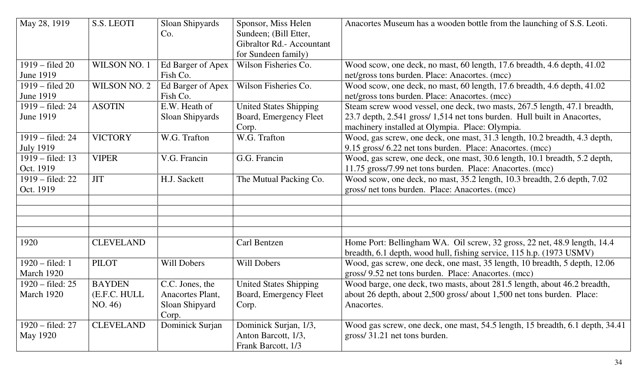| May 28, 1919                                  | S.S. LEOTI                               | Sloan Shipyards<br>Co.                                         | Sponsor, Miss Helen<br>Sundeen; (Bill Etter,<br>Gibraltor Rd.- Accountant<br>for Sundeen family) | Anacortes Museum has a wooden bottle from the launching of S.S. Leoti.                                                                                                                                   |
|-----------------------------------------------|------------------------------------------|----------------------------------------------------------------|--------------------------------------------------------------------------------------------------|----------------------------------------------------------------------------------------------------------------------------------------------------------------------------------------------------------|
| $1919 - \text{field } 20$<br><b>June 1919</b> | WILSON NO. 1                             | Ed Barger of Apex<br>Fish Co.                                  | Wilson Fisheries Co.                                                                             | Wood scow, one deck, no mast, 60 length, 17.6 breadth, 4.6 depth, 41.02<br>net/gross tons burden. Place: Anacortes. (mcc)                                                                                |
| $1919 - filed 20$<br><b>June 1919</b>         | WILSON NO. 2                             | Ed Barger of Apex<br>Fish Co.                                  | Wilson Fisheries Co.                                                                             | Wood scow, one deck, no mast, 60 length, 17.6 breadth, 4.6 depth, 41.02<br>net/gross tons burden. Place: Anacortes. (mcc)                                                                                |
| 1919 – filed: 24<br><b>June 1919</b>          | <b>ASOTIN</b>                            | E.W. Heath of<br>Sloan Shipyards                               | <b>United States Shipping</b><br>Board, Emergency Fleet<br>Corp.                                 | Steam screw wood vessel, one deck, two masts, 267.5 length, 47.1 breadth,<br>23.7 depth, 2.541 gross/ 1,514 net tons burden. Hull built in Anacortes,<br>machinery installed at Olympia. Place: Olympia. |
| 1919 – filed: 24<br><b>July 1919</b>          | <b>VICTORY</b>                           | W.G. Trafton                                                   | W.G. Trafton                                                                                     | Wood, gas screw, one deck, one mast, 31.3 length, 10.2 breadth, 4.3 depth,<br>9.15 gross/ 6.22 net tons burden. Place: Anacortes. (mcc)                                                                  |
| $1919 - \text{field}$ : 13<br>Oct. 1919       | <b>VIPER</b>                             | V.G. Francin                                                   | G.G. Francin                                                                                     | Wood, gas screw, one deck, one mast, 30.6 length, 10.1 breadth, 5.2 depth,<br>11.75 gross/7.99 net tons burden. Place: Anacortes. (mcc)                                                                  |
| $1919 - \text{field: } 22$<br>Oct. 1919       | <b>JIT</b>                               | H.J. Sackett                                                   | The Mutual Packing Co.                                                                           | Wood scow, one deck, no mast, 35.2 length, 10.3 breadth, 2.6 depth, 7.02<br>gross/ net tons burden. Place: Anacortes. (mcc)                                                                              |
|                                               |                                          |                                                                |                                                                                                  |                                                                                                                                                                                                          |
| 1920                                          | <b>CLEVELAND</b>                         |                                                                | Carl Bentzen                                                                                     | Home Port: Bellingham WA. Oil screw, 32 gross, 22 net, 48.9 length, 14.4<br>breadth, 6.1 depth, wood hull, fishing service, 115 h.p. (1973 USMV)                                                         |
| $1920 - filed: 1$<br>March 1920               | <b>PILOT</b>                             | <b>Will Dobers</b>                                             | Will Dobers                                                                                      | Wood, gas screw, one deck, one mast, 35 length, 10 breadth, 5 depth, 12.06<br>gross/ 9.52 net tons burden. Place: Anacortes. (mcc)                                                                       |
| 1920 – filed: 25<br>March 1920                | <b>BAYDEN</b><br>(E.F.C. HULL<br>NO. 46) | C.C. Jones, the<br>Anacortes Plant,<br>Sloan Shipyard<br>Corp. | <b>United States Shipping</b><br>Board, Emergency Fleet<br>Corp.                                 | Wood barge, one deck, two masts, about 281.5 length, about 46.2 breadth,<br>about 26 depth, about 2,500 gross/ about 1,500 net tons burden. Place:<br>Anacortes.                                         |
| 1920 – filed: 27<br>May 1920                  | <b>CLEVELAND</b>                         | Dominick Surjan                                                | Dominick Surjan, 1/3,<br>Anton Barcott, 1/3,<br>Frank Barcott, 1/3                               | Wood gas screw, one deck, one mast, 54.5 length, 15 breadth, 6.1 depth, 34.41<br>gross/31.21 net tons burden.                                                                                            |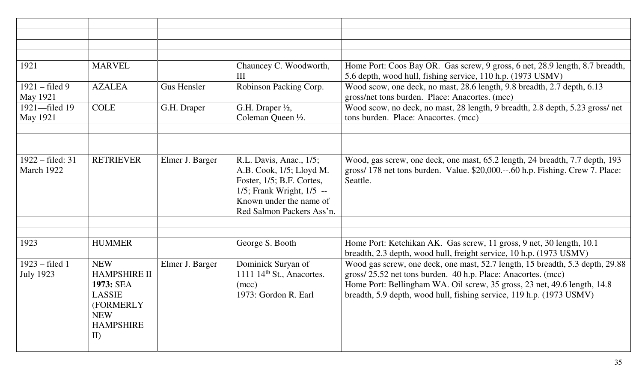| 1921                                 | <b>MARVEL</b>                                                                                                                 |                    | Chauncey C. Woodworth,<br>III                                                                                                                                         | Home Port: Coos Bay OR. Gas screw, 9 gross, 6 net, 28.9 length, 8.7 breadth,<br>5.6 depth, wood hull, fishing service, 110 h.p. (1973 USMV)                                                                                                                                                       |
|--------------------------------------|-------------------------------------------------------------------------------------------------------------------------------|--------------------|-----------------------------------------------------------------------------------------------------------------------------------------------------------------------|---------------------------------------------------------------------------------------------------------------------------------------------------------------------------------------------------------------------------------------------------------------------------------------------------|
| $1921 - filed 9$<br><b>May 1921</b>  | <b>AZALEA</b>                                                                                                                 | <b>Gus Hensler</b> | Robinson Packing Corp.                                                                                                                                                | Wood scow, one deck, no mast, 28.6 length, 9.8 breadth, 2.7 depth, 6.13<br>gross/net tons burden. Place: Anacortes. (mcc)                                                                                                                                                                         |
| 1921-filed 19<br>May 1921            | <b>COLE</b>                                                                                                                   | G.H. Draper        | G.H. Draper 1/2,<br>Coleman Queen 1/2.                                                                                                                                | Wood scow, no deck, no mast, 28 length, 9 breadth, 2.8 depth, 5.23 gross/net<br>tons burden. Place: Anacortes. (mcc)                                                                                                                                                                              |
|                                      |                                                                                                                               |                    |                                                                                                                                                                       |                                                                                                                                                                                                                                                                                                   |
|                                      |                                                                                                                               |                    |                                                                                                                                                                       |                                                                                                                                                                                                                                                                                                   |
|                                      |                                                                                                                               |                    |                                                                                                                                                                       |                                                                                                                                                                                                                                                                                                   |
| $1922 - filed: 31$<br>March 1922     | <b>RETRIEVER</b>                                                                                                              | Elmer J. Barger    | R.L. Davis, Anac., 1/5;<br>A.B. Cook, 1/5; Lloyd M.<br>Foster, 1/5; B.F. Cortes,<br>1/5; Frank Wright, 1/5 --<br>Known under the name of<br>Red Salmon Packers Ass'n. | Wood, gas screw, one deck, one mast, 65.2 length, 24 breadth, 7.7 depth, 193<br>gross/ 178 net tons burden. Value. \$20,000.--.60 h.p. Fishing. Crew 7. Place:<br>Seattle.                                                                                                                        |
|                                      |                                                                                                                               |                    |                                                                                                                                                                       |                                                                                                                                                                                                                                                                                                   |
| 1923                                 | <b>HUMMER</b>                                                                                                                 |                    | George S. Booth                                                                                                                                                       | Home Port: Ketchikan AK. Gas screw, 11 gross, 9 net, 30 length, 10.1<br>breadth, 2.3 depth, wood hull, freight service, 10 h.p. (1973 USMV)                                                                                                                                                       |
| $1923 - filed 1$<br><b>July 1923</b> | <b>NEW</b><br><b>HAMPSHIRE II</b><br>1973: SEA<br><b>LASSIE</b><br><b>(FORMERLY)</b><br><b>NEW</b><br><b>HAMPSHIRE</b><br>II) | Elmer J. Barger    | Dominick Suryan of<br>1111 $14th$ St., Anacortes.<br>(mcc)<br>1973: Gordon R. Earl                                                                                    | Wood gas screw, one deck, one mast, 52.7 length, 15 breadth, 5.3 depth, 29.88<br>gross/25.52 net tons burden. 40 h.p. Place: Anacortes. (mcc)<br>Home Port: Bellingham WA. Oil screw, 35 gross, 23 net, 49.6 length, 14.8<br>breadth, 5.9 depth, wood hull, fishing service, 119 h.p. (1973 USMV) |
|                                      |                                                                                                                               |                    |                                                                                                                                                                       |                                                                                                                                                                                                                                                                                                   |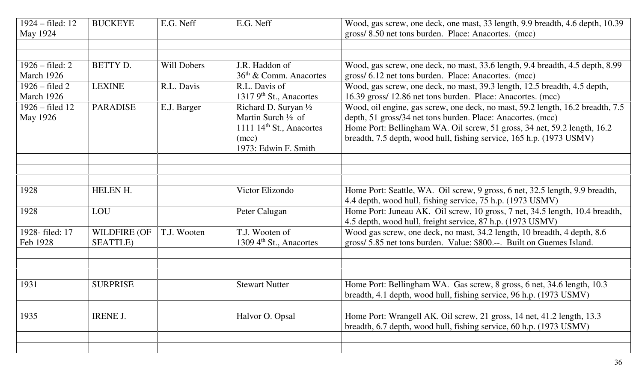| $1924 - filed: 12$<br>May 1924              | <b>BUCKEYE</b>                          | E.G. Neff   | E.G. Neff                                                                                                                       | Wood, gas screw, one deck, one mast, 33 length, 9.9 breadth, 4.6 depth, 10.39<br>gross/8.50 net tons burden. Place: Anacortes. (mcc)                                                                                                                                                              |
|---------------------------------------------|-----------------------------------------|-------------|---------------------------------------------------------------------------------------------------------------------------------|---------------------------------------------------------------------------------------------------------------------------------------------------------------------------------------------------------------------------------------------------------------------------------------------------|
|                                             |                                         |             |                                                                                                                                 |                                                                                                                                                                                                                                                                                                   |
| $1926 - \text{field: } 2$<br>March 1926     | BETTY D.                                | Will Dobers | J.R. Haddon of<br>$36th$ & Comm. Anacortes                                                                                      | Wood, gas screw, one deck, no mast, 33.6 length, 9.4 breadth, 4.5 depth, 8.99<br>gross/ 6.12 net tons burden. Place: Anacortes. (mcc)                                                                                                                                                             |
| $1926$ – filed 2<br>March 1926              | <b>LEXINE</b>                           | R.L. Davis  | R.L. Davis of<br>1317 9 <sup>th</sup> St., Anacortes                                                                            | Wood, gas screw, one deck, no mast, 39.3 length, 12.5 breadth, 4.5 depth,<br>16.39 gross/ 12.86 net tons burden. Place: Anacortes. (mcc)                                                                                                                                                          |
| $1926 - \text{field}$ 12<br><b>May 1926</b> | <b>PARADISE</b>                         | E.J. Barger | Richard D. Suryan $\frac{1}{2}$<br>Martin Surch $\frac{1}{2}$ of<br>1111 $14th$ St., Anacortes<br>(mcc)<br>1973: Edwin F. Smith | Wood, oil engine, gas screw, one deck, no mast, 59.2 length, 16.2 breadth, 7.5<br>depth, 51 gross/34 net tons burden. Place: Anacortes. (mcc)<br>Home Port: Bellingham WA. Oil screw, 51 gross, 34 net, 59.2 length, 16.2<br>breadth, 7.5 depth, wood hull, fishing service, 165 h.p. (1973 USMV) |
|                                             |                                         |             |                                                                                                                                 |                                                                                                                                                                                                                                                                                                   |
|                                             |                                         |             |                                                                                                                                 |                                                                                                                                                                                                                                                                                                   |
| 1928                                        | HELEN H.                                |             | Victor Elizondo                                                                                                                 | Home Port: Seattle, WA. Oil screw, 9 gross, 6 net, 32.5 length, 9.9 breadth,<br>4.4 depth, wood hull, fishing service, 75 h.p. (1973 USMV)                                                                                                                                                        |
| 1928                                        | LOU                                     |             | Peter Calugan                                                                                                                   | Home Port: Juneau AK. Oil screw, 10 gross, 7 net, 34.5 length, 10.4 breadth,<br>4.5 depth, wood hull, freight service, 87 h.p. (1973 USMV)                                                                                                                                                        |
| 1928-filed: 17<br>Feb 1928                  | <b>WILDFIRE (OF</b><br><b>SEATTLE</b> ) | T.J. Wooten | T.J. Wooten of<br>1309 4 <sup>th</sup> St., Anacortes                                                                           | Wood gas screw, one deck, no mast, 34.2 length, 10 breadth, 4 depth, 8.6<br>gross/ 5.85 net tons burden. Value: \$800.--. Built on Guemes Island.                                                                                                                                                 |
|                                             |                                         |             |                                                                                                                                 |                                                                                                                                                                                                                                                                                                   |
| 1931                                        | <b>SURPRISE</b>                         |             | <b>Stewart Nutter</b>                                                                                                           | Home Port: Bellingham WA. Gas screw, 8 gross, 6 net, 34.6 length, 10.3<br>breadth, 4.1 depth, wood hull, fishing service, 96 h.p. (1973 USMV)                                                                                                                                                     |
| 1935                                        | <b>IRENE J.</b>                         |             | Halvor O. Opsal                                                                                                                 | Home Port: Wrangell AK. Oil screw, 21 gross, 14 net, 41.2 length, 13.3<br>breadth, 6.7 depth, wood hull, fishing service, 60 h.p. (1973 USMV)                                                                                                                                                     |
|                                             |                                         |             |                                                                                                                                 |                                                                                                                                                                                                                                                                                                   |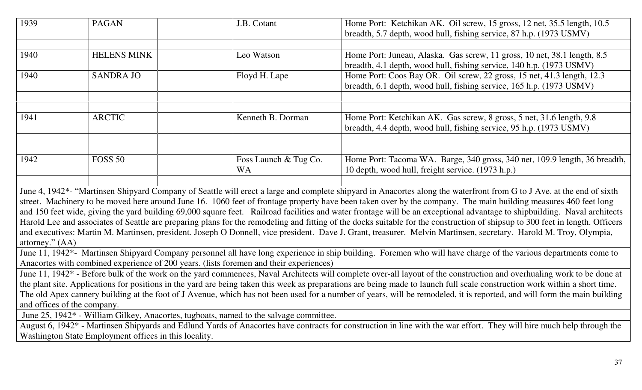| 1939 | <b>PAGAN</b>       | J.B. Cotant                 | Home Port: Ketchikan AK. Oil screw, 15 gross, 12 net, 35.5 length, 10.5<br>breadth, 5.7 depth, wood hull, fishing service, 87 h.p. (1973 USMV)   |
|------|--------------------|-----------------------------|--------------------------------------------------------------------------------------------------------------------------------------------------|
|      |                    |                             |                                                                                                                                                  |
| 1940 | <b>HELENS MINK</b> | Leo Watson                  | Home Port: Juneau, Alaska. Gas screw, 11 gross, 10 net, 38.1 length, 8.5<br>breadth, 4.1 depth, wood hull, fishing service, 140 h.p. (1973 USMV) |
| 1940 | <b>SANDRA JO</b>   | Floyd H. Lape               | Home Port: Coos Bay OR. Oil screw, 22 gross, 15 net, 41.3 length, 12.3<br>breadth, 6.1 depth, wood hull, fishing service, 165 h.p. (1973 USMV)   |
|      |                    |                             |                                                                                                                                                  |
| 1941 | <b>ARCTIC</b>      | Kenneth B. Dorman           | Home Port: Ketchikan AK. Gas screw, 8 gross, 5 net, 31.6 length, 9.8<br>breadth, 4.4 depth, wood hull, fishing service, 95 h.p. (1973 USMV)      |
| 1942 |                    |                             |                                                                                                                                                  |
|      | <b>FOSS 50</b>     | Foss Launch & Tug Co.<br>WA | Home Port: Tacoma WA. Barge, 340 gross, 340 net, 109.9 length, 36 breadth,<br>10 depth, wood hull, freight service. (1973 h.p.)                  |
|      |                    |                             |                                                                                                                                                  |

June 4, 1942\*- "Martinsen Shipyard Company of Seattle will erect a large and complete shipyard in Anacortes along the waterfront from G to J Ave. at the end of sixth street. Machinery to be moved here around June 16. 1060 feet of frontage property have been taken over by the company. The main building measures 460 feet long and 150 feet wide, giving the yard building 69,000 square feet. Railroad facilities and water frontage will be an exceptional advantage to shipbuilding. Naval architects Harold Lee and associates of Seattle are preparing plans for the remodeling and fitting of the docks suitable for the construction of shipsup to 300 feet in length. Officers and executives: Martin M. Martinsen, president. Joseph O Donnell, vice president. Dave J. Grant, treasurer. Melvin Martinsen, secretary. Harold M. Troy, Olympia, attorney." (AA)

 June 11, 1942\*- Martinsen Shipyard Company personnel all have long experience in ship building. Foremen who will have charge of the various departments come to Anacortes with combined experience of 200 years. (lists foremen and their experiences)

 June 11, 1942\* - Before bulk of the work on the yard commences, Naval Architects will complete over-all layout of the construction and overhualing work to be done at the plant site. Applications for positions in the yard are being taken this week as preparations are being made to launch full scale construction work within a short time. The old Apex cannery building at the foot of J Avenue, which has not been used for a number of years, will be remodeled, it is reported, and will form the main building and offices of the company.

June 25, 1942\* - William Gilkey, Anacortes, tugboats, named to the salvage committee.

 August 6, 1942\* - Martinsen Shipyards and Edlund Yards of Anacortes have contracts for construction in line with the war effort. They will hire much help through the Washington State Employment offices in this locality.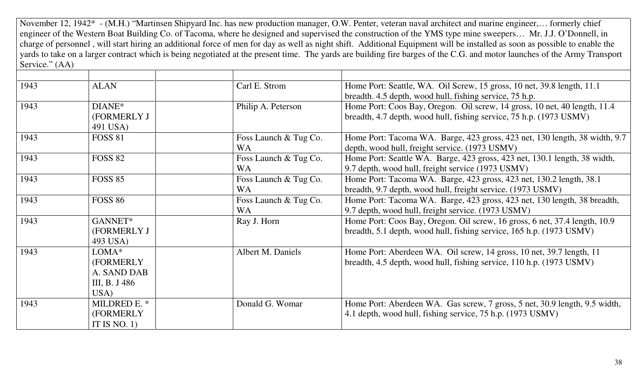November 12, 1942\* - (M.H.) "Martinsen Shipyard Inc. has new production manager, O.W. Penter, veteran naval architect and marine engineer,… formerly chief engineer of the Western Boat Building Co. of Tacoma, where he designed and supervised the construction of the YMS type mine sweepers… Mr. J.J. O'Donnell, in charge of personnel , will start hiring an additional force of men for day as well as night shift. Additional Equipment will be installed as soon as possible to enable the yards to take on a larger contract which is being negotiated at the present time. The yards are building fire barges of the C.G. and motor launches of the Army Transport Service." (AA)

| 1943 | <b>ALAN</b>    | Carl E. Strom         | Home Port: Seattle, WA. Oil Screw, 15 gross, 10 net, 39.8 length, 11.1     |
|------|----------------|-----------------------|----------------------------------------------------------------------------|
|      |                |                       | breadth. 4.5 depth, wood hull, fishing service, 75 h.p.                    |
| 1943 | DIANE*         | Philip A. Peterson    | Home Port: Coos Bay, Oregon. Oil screw, 14 gross, 10 net, 40 length, 11.4  |
|      | (FORMERLY J    |                       | breadth, 4.7 depth, wood hull, fishing service, 75 h.p. (1973 USMV)        |
|      | 491 USA)       |                       |                                                                            |
| 1943 | <b>FOSS 81</b> | Foss Launch & Tug Co. | Home Port: Tacoma WA. Barge, 423 gross, 423 net, 130 length, 38 width, 9.7 |
|      |                | <b>WA</b>             | depth, wood hull, freight service. (1973 USMV)                             |
| 1943 | <b>FOSS 82</b> | Foss Launch & Tug Co. | Home Port: Seattle WA. Barge, 423 gross, 423 net, 130.1 length, 38 width,  |
|      |                | <b>WA</b>             | 9.7 depth, wood hull, freight service (1973 USMV)                          |
| 1943 | <b>FOSS 85</b> | Foss Launch & Tug Co. | Home Port: Tacoma WA. Barge, 423 gross, 423 net, 130.2 length, 38.1        |
|      |                | <b>WA</b>             | breadth, 9.7 depth, wood hull, freight service. (1973 USMV)                |
| 1943 | <b>FOSS 86</b> | Foss Launch & Tug Co. | Home Port: Tacoma WA. Barge, 423 gross, 423 net, 130 length, 38 breadth,   |
|      |                | <b>WA</b>             | 9.7 depth, wood hull, freight service. (1973 USMV)                         |
| 1943 | GANNET*        | Ray J. Horn           | Home Port: Coos Bay, Oregon. Oil screw, 16 gross, 6 net, 37.4 length, 10.9 |
|      | (FORMERLY J    |                       | breadth, 5.1 depth, wood hull, fishing service, 165 h.p. (1973 USMV)       |
|      | 493 USA)       |                       |                                                                            |
| 1943 | LOMA*          | Albert M. Daniels     | Home Port: Aberdeen WA. Oil screw, 14 gross, 10 net, 39.7 length, 11       |
|      | (FORMERLY      |                       | breadth, 4.5 depth, wood hull, fishing service, 110 h.p. (1973 USMV)       |
|      | A. SAND DAB    |                       |                                                                            |
|      | III, B. J 486  |                       |                                                                            |
|      | USA)           |                       |                                                                            |
| 1943 | MILDRED E. *   | Donald G. Womar       | Home Port: Aberdeen WA. Gas screw, 7 gross, 5 net, 30.9 length, 9.5 width, |
|      | (FORMERLY      |                       | 4.1 depth, wood hull, fishing service, 75 h.p. (1973 USMV)                 |
|      | IT IS NO. $1)$ |                       |                                                                            |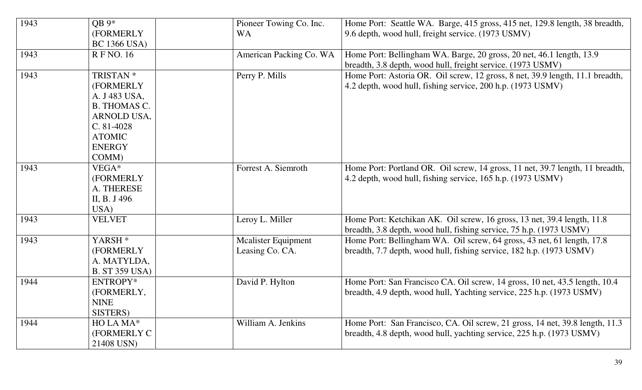| 1943 | $OB 9*$<br>(FORMERLY<br><b>BC 1366 USA)</b>                                                                                                         | Pioneer Towing Co. Inc.<br><b>WA</b>          | Home Port: Seattle WA. Barge, 415 gross, 415 net, 129.8 length, 38 breadth,<br>9.6 depth, wood hull, freight service. (1973 USMV)                     |
|------|-----------------------------------------------------------------------------------------------------------------------------------------------------|-----------------------------------------------|-------------------------------------------------------------------------------------------------------------------------------------------------------|
| 1943 | <b>RFNO.</b> 16                                                                                                                                     | American Packing Co. WA                       | Home Port: Bellingham WA. Barge, 20 gross, 20 net, 46.1 length, 13.9<br>breadth, 3.8 depth, wood hull, freight service. (1973 USMV)                   |
| 1943 | TRISTAN <sup>*</sup><br>(FORMERLY<br>A. J 483 USA,<br><b>B. THOMAS C.</b><br>ARNOLD USA,<br>$C. 81-4028$<br><b>ATOMIC</b><br><b>ENERGY</b><br>COMM) | Perry P. Mills                                | Home Port: Astoria OR. Oil screw, 12 gross, 8 net, 39.9 length, 11.1 breadth,<br>4.2 depth, wood hull, fishing service, 200 h.p. (1973 USMV)          |
| 1943 | VEGA*<br>(FORMERLY<br>A. THERESE<br>II, B. J 496<br>USA)                                                                                            | Forrest A. Siemroth                           | Home Port: Portland OR. Oil screw, 14 gross, 11 net, 39.7 length, 11 breadth,<br>4.2 depth, wood hull, fishing service, 165 h.p. (1973 USMV)          |
| 1943 | <b>VELVET</b>                                                                                                                                       | Leroy L. Miller                               | Home Port: Ketchikan AK. Oil screw, 16 gross, 13 net, 39.4 length, 11.8<br>breadth, 3.8 depth, wood hull, fishing service, 75 h.p. (1973 USMV)        |
| 1943 | YARSH <sup>*</sup><br>(FORMERLY<br>A. MATYLDA,<br><b>B.</b> ST 359 USA)                                                                             | <b>Mcalister Equipment</b><br>Leasing Co. CA. | Home Port: Bellingham WA. Oil screw, 64 gross, 43 net, 61 length, 17.8<br>breadth, 7.7 depth, wood hull, fishing service, 182 h.p. (1973 USMV)        |
| 1944 | ENTROPY*<br>(FORMERLY,<br><b>NINE</b><br>SISTERS)                                                                                                   | David P. Hylton                               | Home Port: San Francisco CA. Oil screw, 14 gross, 10 net, 43.5 length, 10.4<br>breadth, 4.9 depth, wood hull, Yachting service, 225 h.p. (1973 USMV)  |
| 1944 | HO LA MA*<br>(FORMERLY C<br>21408 USN)                                                                                                              | William A. Jenkins                            | Home Port: San Francisco, CA. Oil screw, 21 gross, 14 net, 39.8 length, 11.3<br>breadth, 4.8 depth, wood hull, yachting service, 225 h.p. (1973 USMV) |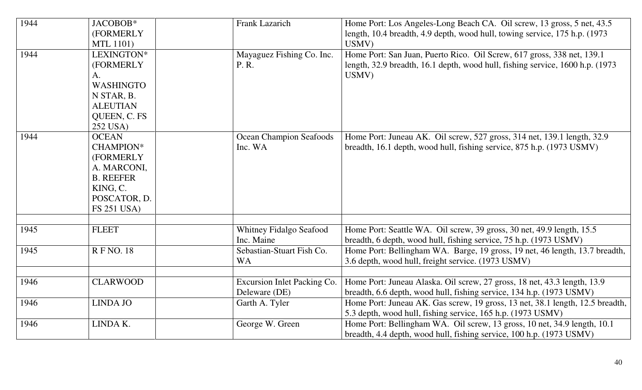| 1944 | JACOBOB*<br>(FORMERLY<br>MTL 1101)                                                                                                 | Frank Lazarich                               | Home Port: Los Angeles-Long Beach CA. Oil screw, 13 gross, 5 net, 43.5<br>length, 10.4 breadth, 4.9 depth, wood hull, towing service, 175 h.p. (1973)<br>USMV)    |
|------|------------------------------------------------------------------------------------------------------------------------------------|----------------------------------------------|-------------------------------------------------------------------------------------------------------------------------------------------------------------------|
| 1944 | LEXINGTON*<br>(FORMERLY<br>A.<br><b>WASHINGTO</b><br>N STAR, B.<br><b>ALEUTIAN</b><br>QUEEN, C. FS<br>252 USA)                     | Mayaguez Fishing Co. Inc.<br>P. R.           | Home Port: San Juan, Puerto Rico. Oil Screw, 617 gross, 338 net, 139.1<br>length, 32.9 breadth, 16.1 depth, wood hull, fishing service, 1600 h.p. (1973)<br>USMV) |
| 1944 | <b>OCEAN</b><br><b>CHAMPION*</b><br>(FORMERLY<br>A. MARCONI,<br><b>B. REEFER</b><br>KING, C.<br>POSCATOR, D.<br><b>FS 251 USA)</b> | <b>Ocean Champion Seafoods</b><br>Inc. WA    | Home Port: Juneau AK. Oil screw, 527 gross, 314 net, 139.1 length, 32.9<br>breadth, 16.1 depth, wood hull, fishing service, 875 h.p. (1973 USMV)                  |
| 1945 | <b>FLEET</b>                                                                                                                       | <b>Whitney Fidalgo Seafood</b><br>Inc. Maine | Home Port: Seattle WA. Oil screw, 39 gross, 30 net, 49.9 length, 15.5<br>breadth, 6 depth, wood hull, fishing service, 75 h.p. (1973 USMV)                        |
| 1945 | <b>RFNO. 18</b>                                                                                                                    | Sebastian-Stuart Fish Co.<br><b>WA</b>       | Home Port: Bellingham WA. Barge, 19 gross, 19 net, 46 length, 13.7 breadth,<br>3.6 depth, wood hull, freight service. (1973 USMV)                                 |
| 1946 | <b>CLARWOOD</b>                                                                                                                    | Excursion Inlet Packing Co.<br>Deleware (DE) | Home Port: Juneau Alaska. Oil screw, 27 gross, 18 net, 43.3 length, 13.9<br>breadth, 6.6 depth, wood hull, fishing service, 134 h.p. (1973 USMV)                  |
| 1946 | <b>LINDA JO</b>                                                                                                                    | Garth A. Tyler                               | Home Port: Juneau AK. Gas screw, 19 gross, 13 net, 38.1 length, 12.5 breadth,<br>5.3 depth, wood hull, fishing service, 165 h.p. (1973 USMV)                      |
| 1946 | LINDA K.                                                                                                                           | George W. Green                              | Home Port: Bellingham WA. Oil screw, 13 gross, 10 net, 34.9 length, 10.1<br>breadth, 4.4 depth, wood hull, fishing service, 100 h.p. (1973 USMV)                  |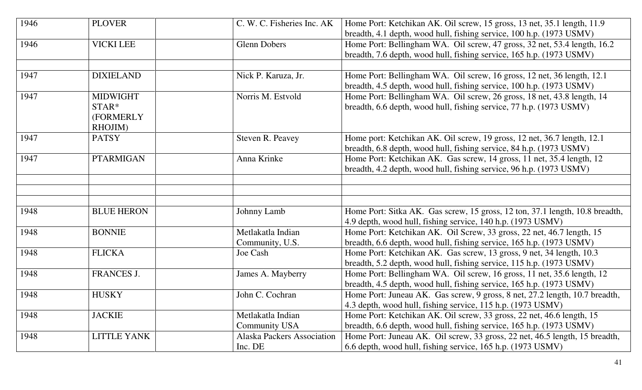| 1946 | <b>PLOVER</b>      | C. W. C. Fisheries Inc. AK        | Home Port: Ketchikan AK. Oil screw, 15 gross, 13 net, 35.1 length, 11.9<br>breadth, 4.1 depth, wood hull, fishing service, 100 h.p. (1973 USMV) |
|------|--------------------|-----------------------------------|-------------------------------------------------------------------------------------------------------------------------------------------------|
| 1946 | <b>VICKI LEE</b>   | <b>Glenn Dobers</b>               | Home Port: Bellingham WA. Oil screw, 47 gross, 32 net, 53.4 length, 16.2                                                                        |
|      |                    |                                   |                                                                                                                                                 |
|      |                    |                                   | breadth, 7.6 depth, wood hull, fishing service, 165 h.p. (1973 USMV)                                                                            |
|      |                    |                                   |                                                                                                                                                 |
| 1947 | <b>DIXIELAND</b>   | Nick P. Karuza, Jr.               | Home Port: Bellingham WA. Oil screw, 16 gross, 12 net, 36 length, 12.1                                                                          |
|      |                    |                                   | breadth, 4.5 depth, wood hull, fishing service, 100 h.p. (1973 USMV)                                                                            |
| 1947 | <b>MIDWIGHT</b>    | Norris M. Estvold                 | Home Port: Bellingham WA. Oil screw, 26 gross, 18 net, 43.8 length, 14                                                                          |
|      | STAR*              |                                   | breadth, 6.6 depth, wood hull, fishing service, 77 h.p. (1973 USMV)                                                                             |
|      | (FORMERLY          |                                   |                                                                                                                                                 |
|      | RHOJIM)            |                                   |                                                                                                                                                 |
| 1947 | <b>PATSY</b>       | Steven R. Peavey                  | Home port: Ketchikan AK. Oil screw, 19 gross, 12 net, 36.7 length, 12.1                                                                         |
|      |                    |                                   | breadth, 6.8 depth, wood hull, fishing service, 84 h.p. (1973 USMV)                                                                             |
| 1947 | <b>PTARMIGAN</b>   | Anna Krinke                       | Home Port: Ketchikan AK. Gas screw, 14 gross, 11 net, 35.4 length, 12                                                                           |
|      |                    |                                   | breadth, 4.2 depth, wood hull, fishing service, 96 h.p. (1973 USMV)                                                                             |
|      |                    |                                   |                                                                                                                                                 |
|      |                    |                                   |                                                                                                                                                 |
|      |                    |                                   |                                                                                                                                                 |
| 1948 | <b>BLUE HERON</b>  | Johnny Lamb                       | Home Port: Sitka AK. Gas screw, 15 gross, 12 ton, 37.1 length, 10.8 breadth,                                                                    |
|      |                    |                                   | 4.9 depth, wood hull, fishing service, 140 h.p. (1973 USMV)                                                                                     |
| 1948 | <b>BONNIE</b>      | Metlakatla Indian                 | Home Port: Ketchikan AK. Oil Screw, 33 gross, 22 net, 46.7 length, 15                                                                           |
|      |                    |                                   |                                                                                                                                                 |
|      |                    | Community, U.S.                   | breadth, 6.6 depth, wood hull, fishing service, 165 h.p. (1973 USMV)                                                                            |
| 1948 | <b>FLICKA</b>      | Joe Cash                          | Home Port: Ketchikan AK. Gas screw, 13 gross, 9 net, 34 length, 10.3                                                                            |
|      |                    |                                   | breadth, 5.2 depth, wood hull, fishing service, 115 h.p. (1973 USMV)                                                                            |
| 1948 | FRANCES J.         | James A. Mayberry                 | Home Port: Bellingham WA. Oil screw, 16 gross, 11 net, 35.6 length, 12                                                                          |
|      |                    |                                   | breadth, 4.5 depth, wood hull, fishing service, 165 h.p. (1973 USMV)                                                                            |
| 1948 | <b>HUSKY</b>       | John C. Cochran                   | Home Port: Juneau AK. Gas screw, 9 gross, 8 net, 27.2 length, 10.7 breadth,                                                                     |
|      |                    |                                   | 4.3 depth, wood hull, fishing service, 115 h.p. (1973 USMV)                                                                                     |
| 1948 | <b>JACKIE</b>      | Metlakatla Indian                 | Home Port: Ketchikan AK. Oil screw, 33 gross, 22 net, 46.6 length, 15                                                                           |
|      |                    | <b>Community USA</b>              | breadth, 6.6 depth, wood hull, fishing service, 165 h.p. (1973 USMV)                                                                            |
| 1948 | <b>LITTLE YANK</b> | <b>Alaska Packers Association</b> | Home Port: Juneau AK. Oil screw, 33 gross, 22 net, 46.5 length, 15 breadth,                                                                     |
|      |                    | Inc. DE                           | 6.6 depth, wood hull, fishing service, 165 h.p. (1973 USMV)                                                                                     |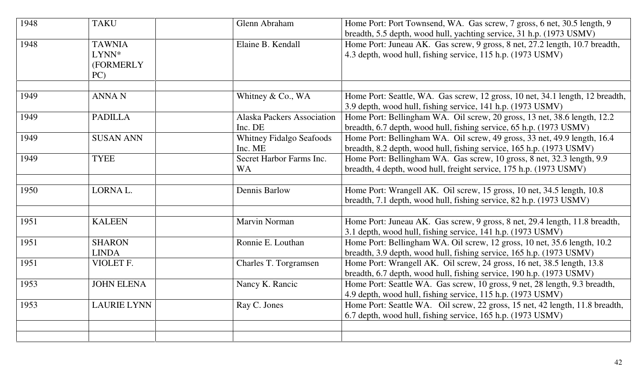| <b>TAKU</b>                                | Glenn Abraham                                | Home Port: Port Townsend, WA. Gas screw, 7 gross, 6 net, 30.5 length, 9<br>breadth, 5.5 depth, wood hull, yachting service, 31 h.p. (1973 USMV)  |
|--------------------------------------------|----------------------------------------------|--------------------------------------------------------------------------------------------------------------------------------------------------|
| <b>TAWNIA</b><br>LYNN*<br>(FORMERLY<br>PC) | Elaine B. Kendall                            | Home Port: Juneau AK. Gas screw, 9 gross, 8 net, 27.2 length, 10.7 breadth,<br>4.3 depth, wood hull, fishing service, 115 h.p. (1973 USMV)       |
| <b>ANNAN</b>                               | Whitney & Co., WA                            | Home Port: Seattle, WA. Gas screw, 12 gross, 10 net, 34.1 length, 12 breadth,<br>3.9 depth, wood hull, fishing service, 141 h.p. (1973 USMV)     |
| <b>PADILLA</b>                             | <b>Alaska Packers Association</b><br>Inc. DE | Home Port: Bellingham WA. Oil screw, 20 gross, 13 net, 38.6 length, 12.2<br>breadth, 6.7 depth, wood hull, fishing service, 65 h.p. (1973 USMV)  |
| <b>SUSAN ANN</b>                           | <b>Whitney Fidalgo Seafoods</b><br>Inc. ME   | Home Port: Bellingham WA. Oil screw, 49 gross, 33 net, 49.9 length, 16.4<br>breadth, 8.2 depth, wood hull, fishing service, 165 h.p. (1973 USMV) |
| <b>TYEE</b>                                | Secret Harbor Farms Inc.<br><b>WA</b>        | Home Port: Bellingham WA. Gas screw, 10 gross, 8 net, 32.3 length, 9.9<br>breadth, 4 depth, wood hull, freight service, 175 h.p. (1973 USMV)     |
| LORNA L.                                   | Dennis Barlow                                | Home Port: Wrangell AK. Oil screw, 15 gross, 10 net, 34.5 length, 10.8<br>breadth, 7.1 depth, wood hull, fishing service, 82 h.p. (1973 USMV)    |
| <b>KALEEN</b>                              | Marvin Norman                                | Home Port: Juneau AK. Gas screw, 9 gross, 8 net, 29.4 length, 11.8 breadth,<br>3.1 depth, wood hull, fishing service, 141 h.p. (1973 USMV)       |
| <b>SHARON</b><br><b>LINDA</b>              | Ronnie E. Louthan                            | Home Port: Bellingham WA. Oil screw, 12 gross, 10 net, 35.6 length, 10.2<br>breadth, 3.9 depth, wood hull, fishing service, 165 h.p. (1973 USMV) |
| VIOLET F.                                  | Charles T. Torgramsen                        | Home Port: Wrangell AK. Oil screw, 24 gross, 16 net, 38.5 length, 13.8<br>breadth, 6.7 depth, wood hull, fishing service, 190 h.p. (1973 USMV)   |
| <b>JOHN ELENA</b>                          | Nancy K. Rancic                              | Home Port: Seattle WA. Gas screw, 10 gross, 9 net, 28 length, 9.3 breadth,<br>4.9 depth, wood hull, fishing service, 115 h.p. (1973 USMV)        |
| <b>LAURIE LYNN</b>                         | Ray C. Jones                                 | Home Port: Seattle WA. Oil screw, 22 gross, 15 net, 42 length, 11.8 breadth,<br>6.7 depth, wood hull, fishing service, 165 h.p. (1973 USMV)      |
|                                            |                                              |                                                                                                                                                  |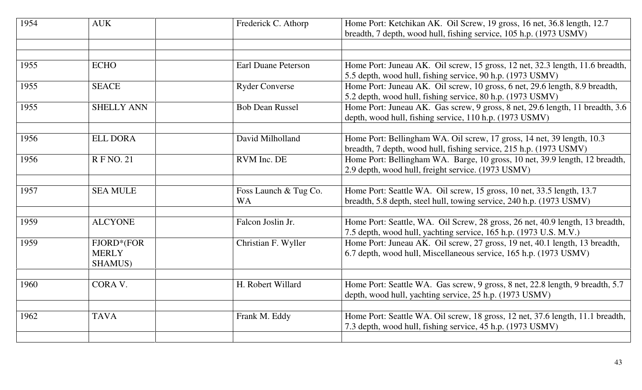| 1954 | <b>AUK</b>                            | Frederick C. Athorp                | Home Port: Ketchikan AK. Oil Screw, 19 gross, 16 net, 36.8 length, 12.7<br>breadth, 7 depth, wood hull, fishing service, 105 h.p. (1973 USMV)      |
|------|---------------------------------------|------------------------------------|----------------------------------------------------------------------------------------------------------------------------------------------------|
|      |                                       |                                    |                                                                                                                                                    |
|      |                                       |                                    |                                                                                                                                                    |
| 1955 | <b>ECHO</b>                           | <b>Earl Duane Peterson</b>         | Home Port: Juneau AK. Oil screw, 15 gross, 12 net, 32.3 length, 11.6 breadth,<br>5.5 depth, wood hull, fishing service, 90 h.p. (1973 USMV)        |
| 1955 | <b>SEACE</b>                          | <b>Ryder Converse</b>              | Home Port: Juneau AK. Oil screw, 10 gross, 6 net, 29.6 length, 8.9 breadth,<br>5.2 depth, wood hull, fishing service, 80 h.p. (1973 USMV)          |
| 1955 | <b>SHELLY ANN</b>                     | <b>Bob Dean Russel</b>             | Home Port: Juneau AK. Gas screw, 9 gross, 8 net, 29.6 length, 11 breadth, 3.6<br>depth, wood hull, fishing service, 110 h.p. (1973 USMV)           |
|      |                                       |                                    |                                                                                                                                                    |
| 1956 | <b>ELL DORA</b>                       | David Milholland                   | Home Port: Bellingham WA. Oil screw, 17 gross, 14 net, 39 length, 10.3<br>breadth, 7 depth, wood hull, fishing service, 215 h.p. (1973 USMV)       |
| 1956 | <b>RFNO.21</b>                        | RVM Inc. DE                        | Home Port: Bellingham WA. Barge, 10 gross, 10 net, 39.9 length, 12 breadth,<br>2.9 depth, wood hull, freight service. (1973 USMV)                  |
|      |                                       |                                    |                                                                                                                                                    |
| 1957 | <b>SEA MULE</b>                       | Foss Launch & Tug Co.<br><b>WA</b> | Home Port: Seattle WA. Oil screw, 15 gross, 10 net, 33.5 length, 13.7<br>breadth, 5.8 depth, steel hull, towing service, 240 h.p. (1973 USMV)      |
|      |                                       |                                    |                                                                                                                                                    |
| 1959 | <b>ALCYONE</b>                        | Falcon Joslin Jr.                  | Home Port: Seattle, WA. Oil Screw, 28 gross, 26 net, 40.9 length, 13 breadth,<br>7.5 depth, wood hull, yachting service, 165 h.p. (1973 U.S. M.V.) |
| 1959 | FJORD*(FOR<br><b>MERLY</b><br>SHAMUS) | Christian F. Wyller                | Home Port: Juneau AK. Oil screw, 27 gross, 19 net, 40.1 length, 13 breadth,<br>6.7 depth, wood hull, Miscellaneous service, 165 h.p. (1973 USMV)   |
|      |                                       |                                    |                                                                                                                                                    |
| 1960 | CORA V.                               | H. Robert Willard                  | Home Port: Seattle WA. Gas screw, 9 gross, 8 net, 22.8 length, 9 breadth, 5.7<br>depth, wood hull, yachting service, 25 h.p. (1973 USMV)           |
|      |                                       |                                    |                                                                                                                                                    |
| 1962 | <b>TAVA</b>                           | Frank M. Eddy                      | Home Port: Seattle WA. Oil screw, 18 gross, 12 net, 37.6 length, 11.1 breadth,<br>7.3 depth, wood hull, fishing service, 45 h.p. (1973 USMV)       |
|      |                                       |                                    |                                                                                                                                                    |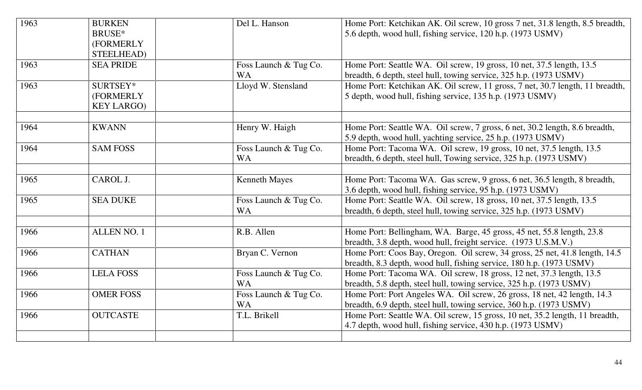| 1963 | <b>BURKEN</b><br>BRUSE*<br>(FORMERLY<br>STEELHEAD) | Del L. Hanson                      | Home Port: Ketchikan AK. Oil screw, 10 gross 7 net, 31.8 length, 8.5 breadth,<br>5.6 depth, wood hull, fishing service, 120 h.p. (1973 USMV)        |
|------|----------------------------------------------------|------------------------------------|-----------------------------------------------------------------------------------------------------------------------------------------------------|
| 1963 | <b>SEA PRIDE</b>                                   | Foss Launch & Tug Co.<br><b>WA</b> | Home Port: Seattle WA. Oil screw, 19 gross, 10 net, 37.5 length, 13.5<br>breadth, 6 depth, steel hull, towing service, 325 h.p. (1973 USMV)         |
| 1963 | SURTSEY*<br>(FORMERLY<br><b>KEY LARGO)</b>         | Lloyd W. Stensland                 | Home Port: Ketchikan AK. Oil screw, 11 gross, 7 net, 30.7 length, 11 breadth,<br>5 depth, wood hull, fishing service, 135 h.p. (1973 USMV)          |
| 1964 | <b>KWANN</b>                                       | Henry W. Haigh                     | Home Port: Seattle WA. Oil screw, 7 gross, 6 net, 30.2 length, 8.6 breadth,<br>5.9 depth, wood hull, yachting service, 25 h.p. (1973 USMV)          |
| 1964 | <b>SAM FOSS</b>                                    | Foss Launch & Tug Co.<br><b>WA</b> | Home Port: Tacoma WA. Oil screw, 19 gross, 10 net, 37.5 length, 13.5<br>breadth, 6 depth, steel hull, Towing service, 325 h.p. (1973 USMV)          |
| 1965 | CAROL J.                                           | <b>Kenneth Mayes</b>               | Home Port: Tacoma WA. Gas screw, 9 gross, 6 net, 36.5 length, 8 breadth,<br>3.6 depth, wood hull, fishing service, 95 h.p. (1973 USMV)              |
| 1965 | <b>SEA DUKE</b>                                    | Foss Launch & Tug Co.<br><b>WA</b> | Home Port: Seattle WA. Oil screw, 18 gross, 10 net, 37.5 length, 13.5<br>breadth, 6 depth, steel hull, towing service, 325 h.p. (1973 USMV)         |
| 1966 | <b>ALLEN NO. 1</b>                                 | R.B. Allen                         | Home Port: Bellingham, WA. Barge, 45 gross, 45 net, 55.8 length, 23.8<br>breadth, 3.8 depth, wood hull, freight service. (1973 U.S.M.V.)            |
| 1966 | <b>CATHAN</b>                                      | Bryan C. Vernon                    | Home Port: Coos Bay, Oregon. Oil screw, 34 gross, 25 net, 41.8 length, 14.5<br>breadth, 8.3 depth, wood hull, fishing service, 180 h.p. (1973 USMV) |
| 1966 | <b>LELA FOSS</b>                                   | Foss Launch & Tug Co.<br><b>WA</b> | Home Port: Tacoma WA. Oil screw, 18 gross, 12 net, 37.3 length, 13.5<br>breadth, 5.8 depth, steel hull, towing service, 325 h.p. (1973 USMV)        |
| 1966 | <b>OMER FOSS</b>                                   | Foss Launch & Tug Co.<br><b>WA</b> | Home Port: Port Angeles WA. Oil screw, 26 gross, 18 net, 42 length, 14.3<br>breadth, 6.9 depth, steel hull, towing service, 360 h.p. (1973 USMV)    |
| 1966 | <b>OUTCASTE</b>                                    | T.L. Brikell                       | Home Port: Seattle WA. Oil screw, 15 gross, 10 net, 35.2 length, 11 breadth,<br>4.7 depth, wood hull, fishing service, 430 h.p. (1973 USMV)         |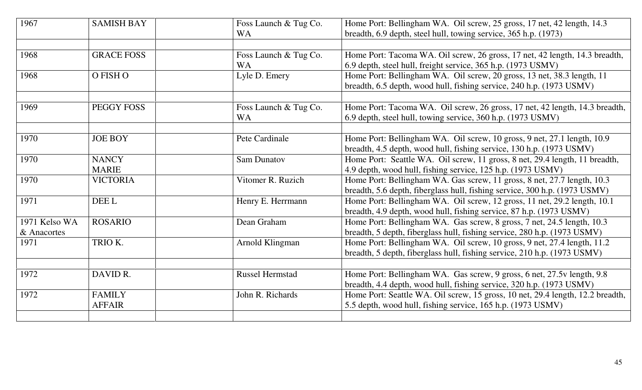| 1967                         | <b>SAMISH BAY</b>              | Foss Launch & Tug Co.<br><b>WA</b> | Home Port: Bellingham WA. Oil screw, 25 gross, 17 net, 42 length, 14.3<br>breadth, 6.9 depth, steel hull, towing service, 365 h.p. (1973)             |
|------------------------------|--------------------------------|------------------------------------|-------------------------------------------------------------------------------------------------------------------------------------------------------|
| 1968                         | <b>GRACE FOSS</b>              | Foss Launch & Tug Co.<br><b>WA</b> | Home Port: Tacoma WA. Oil screw, 26 gross, 17 net, 42 length, 14.3 breadth,<br>6.9 depth, steel hull, freight service, 365 h.p. (1973 USMV)           |
| 1968                         | O FISH O                       | Lyle D. Emery                      | Home Port: Bellingham WA. Oil screw, 20 gross, 13 net, 38.3 length, 11<br>breadth, 6.5 depth, wood hull, fishing service, 240 h.p. (1973 USMV)        |
| 1969                         | PEGGY FOSS                     | Foss Launch & Tug Co.<br><b>WA</b> | Home Port: Tacoma WA. Oil screw, 26 gross, 17 net, 42 length, 14.3 breadth,<br>6.9 depth, steel hull, towing service, 360 h.p. (1973 USMV)            |
| 1970                         | <b>JOE BOY</b>                 | Pete Cardinale                     | Home Port: Bellingham WA. Oil screw, 10 gross, 9 net, 27.1 length, 10.9<br>breadth, 4.5 depth, wood hull, fishing service, 130 h.p. (1973 USMV)       |
| 1970                         | <b>NANCY</b><br><b>MARIE</b>   | <b>Sam Dunatov</b>                 | Home Port: Seattle WA. Oil screw, 11 gross, 8 net, 29.4 length, 11 breadth,<br>4.9 depth, wood hull, fishing service, 125 h.p. (1973 USMV)            |
| 1970                         | <b>VICTORIA</b>                | Vitomer R. Ruzich                  | Home Port: Bellingham WA. Gas screw, 11 gross, 8 net, 27.7 length, 10.3<br>breadth, 5.6 depth, fiberglass hull, fishing service, 300 h.p. (1973 USMV) |
| 1971                         | DEE L                          | Henry E. Herrmann                  | Home Port: Bellingham WA. Oil screw, 12 gross, 11 net, 29.2 length, 10.1<br>breadth, 4.9 depth, wood hull, fishing service, 87 h.p. (1973 USMV)       |
| 1971 Kelso WA<br>& Anacortes | <b>ROSARIO</b>                 | Dean Graham                        | Home Port: Bellingham WA. Gas screw, 8 gross, 7 net, 24.5 length, 10.3<br>breadth, 5 depth, fiberglass hull, fishing service, 280 h.p. (1973 USMV)    |
| 1971                         | TRIO K.                        | Arnold Klingman                    | Home Port: Bellingham WA. Oil screw, 10 gross, 9 net, 27.4 length, 11.2<br>breadth, 5 depth, fiberglass hull, fishing service, 210 h.p. (1973 USMV)   |
| 1972                         | DAVID R.                       | <b>Russel Hermstad</b>             | Home Port: Bellingham WA. Gas screw, 9 gross, 6 net, 27.5v length, 9.8<br>breadth, 4.4 depth, wood hull, fishing service, 320 h.p. (1973 USMV)        |
| 1972                         | <b>FAMILY</b><br><b>AFFAIR</b> | John R. Richards                   | Home Port: Seattle WA. Oil screw, 15 gross, 10 net, 29.4 length, 12.2 breadth,<br>5.5 depth, wood hull, fishing service, 165 h.p. (1973 USMV)         |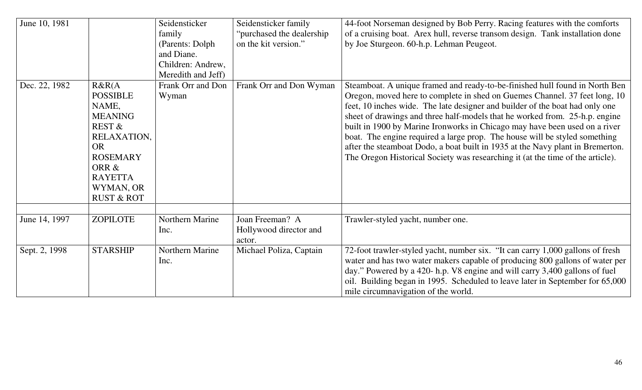| June 10, 1981 |                                                                                                                                                                                           | Seidensticker<br>family<br>(Parents: Dolph)<br>and Diane.<br>Children: Andrew,<br>Meredith and Jeff) | Seidensticker family<br>"purchased the dealership"<br>on the kit version." | 44-foot Norseman designed by Bob Perry. Racing features with the comforts<br>of a cruising boat. Arex hull, reverse transom design. Tank installation done<br>by Joe Sturgeon. 60-h.p. Lehman Peugeot.                                                                                                                                                                                                                                                                                                                                                                                                                                                   |
|---------------|-------------------------------------------------------------------------------------------------------------------------------------------------------------------------------------------|------------------------------------------------------------------------------------------------------|----------------------------------------------------------------------------|----------------------------------------------------------------------------------------------------------------------------------------------------------------------------------------------------------------------------------------------------------------------------------------------------------------------------------------------------------------------------------------------------------------------------------------------------------------------------------------------------------------------------------------------------------------------------------------------------------------------------------------------------------|
| Dec. 22, 1982 | R&R(A)<br><b>POSSIBLE</b><br>NAME,<br><b>MEANING</b><br><b>REST &amp;</b><br>RELAXATION,<br><b>OR</b><br><b>ROSEMARY</b><br>ORR &<br><b>RAYETTA</b><br>WYMAN, OR<br><b>RUST &amp; ROT</b> | Frank Orr and Don<br>Wyman                                                                           | Frank Orr and Don Wyman                                                    | Steamboat. A unique framed and ready-to-be-finished hull found in North Ben<br>Oregon, moved here to complete in shed on Guemes Channel. 37 feet long, 10<br>feet, 10 inches wide. The late designer and builder of the boat had only one<br>sheet of drawings and three half-models that he worked from. 25-h.p. engine<br>built in 1900 by Marine Ironworks in Chicago may have been used on a river<br>boat. The engine required a large prop. The house will be styled something<br>after the steamboat Dodo, a boat built in 1935 at the Navy plant in Bremerton.<br>The Oregon Historical Society was researching it (at the time of the article). |
| June 14, 1997 | ZOPILOTE                                                                                                                                                                                  | Northern Marine<br>Inc.                                                                              | Joan Freeman? A<br>Hollywood director and<br>actor.                        | Trawler-styled yacht, number one.                                                                                                                                                                                                                                                                                                                                                                                                                                                                                                                                                                                                                        |
| Sept. 2, 1998 | <b>STARSHIP</b>                                                                                                                                                                           | Northern Marine<br>Inc.                                                                              | Michael Poliza, Captain                                                    | 72-foot trawler-styled yacht, number six. "It can carry 1,000 gallons of fresh<br>water and has two water makers capable of producing 800 gallons of water per<br>day." Powered by a 420- h.p. V8 engine and will carry 3,400 gallons of fuel<br>oil. Building began in 1995. Scheduled to leave later in September for 65,000<br>mile circumnavigation of the world.                                                                                                                                                                                                                                                                                    |